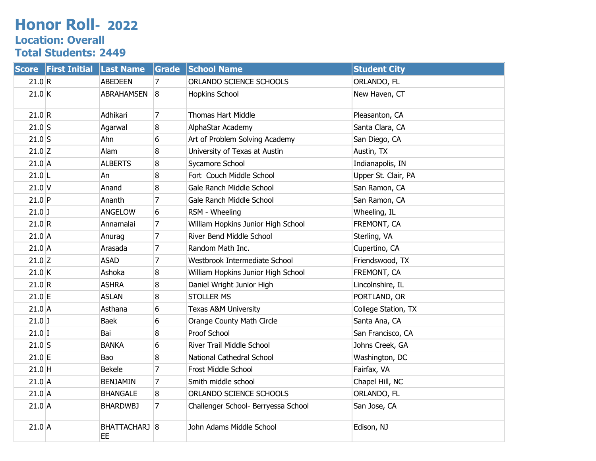## **Honor Roll- 2022 Location: Overall Total Students: 2449**

| <b>Score</b> | <b>First Initial</b> | <b>Last Name</b>    | Grade          | <b>School Name</b>                  | <b>Student City</b> |
|--------------|----------------------|---------------------|----------------|-------------------------------------|---------------------|
| 21.0 R       |                      | <b>ABEDEEN</b>      | 7              | ORLANDO SCIENCE SCHOOLS             | ORLANDO, FL         |
| 21.0 K       |                      | <b>ABRAHAMSEN</b>   | 8              | Hopkins School                      | New Haven, CT       |
| 21.0 R       |                      | Adhikari            | 7              | Thomas Hart Middle                  | Pleasanton, CA      |
| $21.0$ S     |                      | Agarwal             | 8              | AlphaStar Academy                   | Santa Clara, CA     |
| $21.0$ S     |                      | Ahn                 | 6              | Art of Problem Solving Academy      | San Diego, CA       |
| $21.0$ Z     |                      | Alam                | 8              | University of Texas at Austin       | Austin, TX          |
| $21.0$ A     |                      | <b>ALBERTS</b>      | 8              | Sycamore School                     | Indianapolis, IN    |
| $21.0$  L    |                      | An                  | 8              | Fort Couch Middle School            | Upper St. Clair, PA |
| $21.0$ V     |                      | Anand               | 8              | Gale Ranch Middle School            | San Ramon, CA       |
| $21.0$ P     |                      | Ananth              | $\overline{7}$ | Gale Ranch Middle School            | San Ramon, CA       |
| $21.0$ J     |                      | <b>ANGELOW</b>      | 6              | RSM - Wheeling                      | Wheeling, IL        |
| 21.0 R       |                      | Annamalai           | 7              | William Hopkins Junior High School  | FREMONT, CA         |
| $21.0$ A     |                      | Anurag              | 7              | River Bend Middle School            | Sterling, VA        |
| $21.0$ A     |                      | Arasada             | $\overline{7}$ | Random Math Inc.                    | Cupertino, CA       |
| $21.0$ Z     |                      | <b>ASAD</b>         | $\overline{7}$ | Westbrook Intermediate School       | Friendswood, TX     |
| 21.0 K       |                      | Ashoka              | 8              | William Hopkins Junior High School  | FREMONT, CA         |
| 21.0 R       |                      | <b>ASHRA</b>        | 8              | Daniel Wright Junior High           | Lincolnshire, IL    |
| $21.0$ E     |                      | <b>ASLAN</b>        | 8              | <b>STOLLER MS</b>                   | PORTLAND, OR        |
| $21.0$ A     |                      | Asthana             | 6              | Texas A&M University                | College Station, TX |
| $21.0$ J     |                      | <b>Baek</b>         | 6              | Orange County Math Circle           | Santa Ana, CA       |
| $21.0$ I     |                      | Bai                 | 8              | Proof School                        | San Francisco, CA   |
| $21.0$ S     |                      | <b>BANKA</b>        | 6              | River Trail Middle School           | Johns Creek, GA     |
| $21.0$ E     |                      | Bao                 | 8              | National Cathedral School           | Washington, DC      |
| $21.0$ H     |                      | <b>Bekele</b>       | $\overline{7}$ | Frost Middle School                 | Fairfax, VA         |
| $21.0$ A     |                      | <b>BENJAMIN</b>     | 7              | Smith middle school                 | Chapel Hill, NC     |
| $21.0$ A     |                      | <b>BHANGALE</b>     | $\overline{8}$ | ORLANDO SCIENCE SCHOOLS             | ORLANDO, FL         |
| $21.0$ A     |                      | <b>BHARDWBJ</b>     | 7              | Challenger School- Berryessa School | San Jose, CA        |
| $21.0$ A     |                      | BHATTACHARJ 8<br>EE |                | John Adams Middle School            | Edison, NJ          |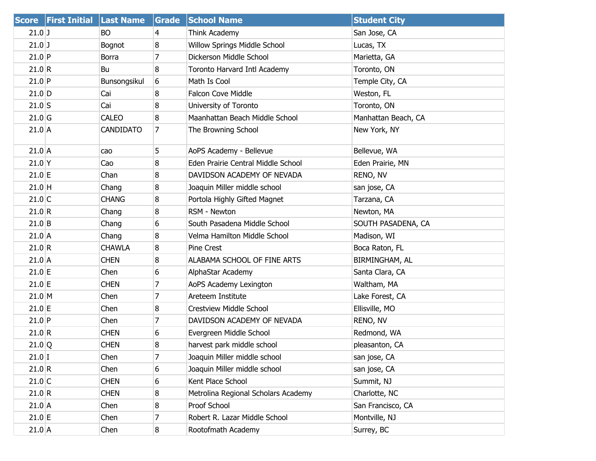|          | Score First Initial Last Name |                  | Grade          | <b>School Name</b>                  | <b>Student City</b> |
|----------|-------------------------------|------------------|----------------|-------------------------------------|---------------------|
| $21.0$ J |                               | BO               | 4              | Think Academy                       | San Jose, CA        |
| $21.0$ J |                               | Bognot           | 8              | Willow Springs Middle School        | Lucas, TX           |
| $21.0$ P |                               | <b>Borra</b>     | $\overline{7}$ | Dickerson Middle School             | Marietta, GA        |
| 21.0 R   |                               | Bu               | 8              | Toronto Harvard Intl Academy        | Toronto, ON         |
| $21.0$ P |                               | Bunsongsikul     | 6              | Math Is Cool                        | Temple City, CA     |
| $21.0$ D |                               | Cai              | 8              | Falcon Cove Middle                  | Weston, FL          |
| $21.0$ S |                               | Cai              | 8              | University of Toronto               | Toronto, ON         |
| $21.0$ G |                               | <b>CALEO</b>     | 8              | Maanhattan Beach Middle School      | Manhattan Beach, CA |
| $21.0$ A |                               | <b>CANDIDATO</b> | 7              | The Browning School                 | New York, NY        |
| $21.0$ A |                               | cao              | 5              | AoPS Academy - Bellevue             | Bellevue, WA        |
| $21.0$ Y |                               | Cao              | 8              | Eden Prairie Central Middle School  | Eden Prairie, MN    |
| $21.0$ E |                               | Chan             | 8              | DAVIDSON ACADEMY OF NEVADA          | RENO, NV            |
| $21.0$ H |                               | Chang            | 8              | Joaquin Miller middle school        | san jose, CA        |
| $21.0$ C |                               | <b>CHANG</b>     | 8              | Portola Highly Gifted Magnet        | Tarzana, CA         |
| 21.0 R   |                               | Chang            | 8              | RSM - Newton                        | Newton, MA          |
| $21.0$ B |                               | Chang            | 6              | South Pasadena Middle School        | SOUTH PASADENA, CA  |
| $21.0$ A |                               | Chang            | 8              | Velma Hamilton Middle School        | Madison, WI         |
| 21.0 R   |                               | <b>CHAWLA</b>    | 8              | Pine Crest                          | Boca Raton, FL      |
| $21.0$ A |                               | <b>CHEN</b>      | 8              | ALABAMA SCHOOL OF FINE ARTS         | BIRMINGHAM, AL      |
| $21.0$ E |                               | Chen             | 6              | AlphaStar Academy                   | Santa Clara, CA     |
| $21.0$ E |                               | <b>CHEN</b>      | $\overline{7}$ | AoPS Academy Lexington              | Waltham, MA         |
| 21.0 M   |                               | Chen             | $\overline{7}$ | Areteem Institute                   | Lake Forest, CA     |
| $21.0$ E |                               | Chen             | 8              | Crestview Middle School             | Ellisville, MO      |
| $21.0$ P |                               | Chen             | $\overline{7}$ | DAVIDSON ACADEMY OF NEVADA          | RENO, NV            |
| 21.0 R   |                               | <b>CHEN</b>      | 6              | Evergreen Middle School             | Redmond, WA         |
| 21.0 Q   |                               | <b>CHEN</b>      | 8              | harvest park middle school          | pleasanton, CA      |
| $21.0$ I |                               | Chen             | 7              | Joaquin Miller middle school        | san jose, CA        |
| 21.0 R   |                               | Chen             | 6              | Joaquin Miller middle school        | san jose, CA        |
| $21.0$ C |                               | <b>CHEN</b>      | 6              | Kent Place School                   | Summit, NJ          |
| 21.0 R   |                               | <b>CHEN</b>      | 8              | Metrolina Regional Scholars Academy | Charlotte, NC       |
| $21.0$ A |                               | Chen             | 8              | Proof School                        | San Francisco, CA   |
| $21.0$ E |                               | Chen             | 7              | Robert R. Lazar Middle School       | Montville, NJ       |
| $21.0$ A |                               | Chen             | 8              | Rootofmath Academy                  | Surrey, BC          |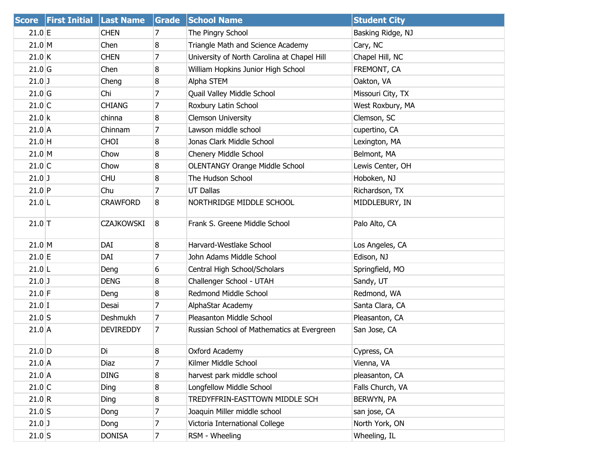|           | Score First Initial Last Name |                   | Grade          | <b>School Name</b>                          | <b>Student City</b> |
|-----------|-------------------------------|-------------------|----------------|---------------------------------------------|---------------------|
| 21.0 E    |                               | <b>CHEN</b>       | 7              | The Pingry School                           | Basking Ridge, NJ   |
| 21.0 M    |                               | Chen              | 8              | Triangle Math and Science Academy           | Cary, NC            |
| $21.0$ K  |                               | <b>CHEN</b>       | $\overline{7}$ | University of North Carolina at Chapel Hill | Chapel Hill, NC     |
| $21.0$ G  |                               | Chen              | 8              | William Hopkins Junior High School          | FREMONT, CA         |
| $21.0$ J  |                               | Cheng             | 8              | Alpha STEM                                  | Oakton, VA          |
| $21.0$ G  |                               | Chi               | 7              | Quail Valley Middle School                  | Missouri City, TX   |
| $21.0$ C  |                               | <b>CHIANG</b>     | 7              | Roxbury Latin School                        | West Roxbury, MA    |
| 21.0 k    |                               | chinna            | 8              | <b>Clemson University</b>                   | Clemson, SC         |
| $21.0$ A  |                               | Chinnam           | 7              | Lawson middle school                        | cupertino, CA       |
| $21.0$ H  |                               | <b>CHOI</b>       | 8              | Jonas Clark Middle School                   | Lexington, MA       |
| 21.0 M    |                               | Chow              | 8              | Chenery Middle School                       | Belmont, MA         |
| $21.0$ C  |                               | Chow              | 8              | <b>OLENTANGY Orange Middle School</b>       | Lewis Center, OH    |
| $21.0$ J  |                               | <b>CHU</b>        | 8              | The Hudson School                           | Hoboken, NJ         |
| $21.0$ P  |                               | Chu               | 7              | <b>UT Dallas</b>                            | Richardson, TX      |
| $21.0$  L |                               | <b>CRAWFORD</b>   | 8              | NORTHRIDGE MIDDLE SCHOOL                    | MIDDLEBURY, IN      |
| $21.0$ T  |                               | <b>CZAJKOWSKI</b> | 8              | Frank S. Greene Middle School               | Palo Alto, CA       |
| 21.0 M    |                               | DAI               | 8              | Harvard-Westlake School                     | Los Angeles, CA     |
| $21.0$ E  |                               | DAI               | $\overline{7}$ | John Adams Middle School                    | Edison, NJ          |
| $21.0$ L  |                               | Deng              | 6              | Central High School/Scholars                | Springfield, MO     |
| $21.0$ J  |                               | <b>DENG</b>       | 8              | Challenger School - UTAH                    | Sandy, UT           |
| $21.0$ F  |                               | Deng              | 8              | Redmond Middle School                       | Redmond, WA         |
| $21.0$ I  |                               | Desai             | $\overline{7}$ | AlphaStar Academy                           | Santa Clara, CA     |
| $21.0$ S  |                               | Deshmukh          | $\overline{7}$ | Pleasanton Middle School                    | Pleasanton, CA      |
| $21.0$ A  |                               | <b>DEVIREDDY</b>  | 7              | Russian School of Mathematics at Evergreen  | San Jose, CA        |
| $21.0$ D  |                               | Di                | 8              | Oxford Academy                              | Cypress, CA         |
| $21.0$ A  |                               | Diaz              | 7              | Kilmer Middle School                        | Vienna, VA          |
| 21.0 A    |                               | <b>DING</b>       | 8              | harvest park middle school                  | pleasanton, CA      |
| $21.0$ C  |                               | Ding              | 8              | Longfellow Middle School                    | Falls Church, VA    |
| 21.0 R    |                               | Ding              | 8              | TREDYFFRIN-EASTTOWN MIDDLE SCH              | BERWYN, PA          |
| $21.0$ S  |                               | Dong              | 7              | Joaquin Miller middle school                | san jose, CA        |
| $21.0$ J  |                               | Dong              | $\overline{7}$ | Victoria International College              | North York, ON      |
| $21.0$ S  |                               | <b>DONISA</b>     | $\overline{7}$ | RSM - Wheeling                              | Wheeling, IL        |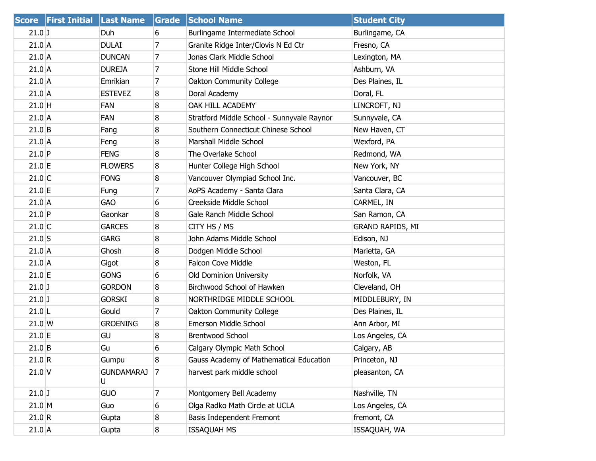|           | Score First Initial Last Name |                        | Grade            | <b>School Name</b>                         | <b>Student City</b>     |
|-----------|-------------------------------|------------------------|------------------|--------------------------------------------|-------------------------|
| $21.0$ J  |                               | Duh                    | 6                | Burlingame Intermediate School             | Burlingame, CA          |
| $21.0$ A  |                               | <b>DULAI</b>           | 7                | Granite Ridge Inter/Clovis N Ed Ctr        | Fresno, CA              |
| $21.0$ A  |                               | <b>DUNCAN</b>          | $\overline{7}$   | Jonas Clark Middle School                  | Lexington, MA           |
| $21.0$ A  |                               | <b>DUREJA</b>          | 7                | Stone Hill Middle School                   | Ashburn, VA             |
| $21.0$ A  |                               | Emrikian               | 7                | Oakton Community College                   | Des Plaines, IL         |
| $21.0$ A  |                               | <b>ESTEVEZ</b>         | 8                | Doral Academy                              | Doral, FL               |
| $21.0$ H  |                               | <b>FAN</b>             | 8                | OAK HILL ACADEMY                           | LINCROFT, NJ            |
| $21.0$ A  |                               | FAN                    | 8                | Stratford Middle School - Sunnyvale Raynor | Sunnyvale, CA           |
| $21.0$ B  |                               | Fang                   | 8                | Southern Connecticut Chinese School        | New Haven, CT           |
| $21.0$ A  |                               | Feng                   | 8                | Marshall Middle School                     | Wexford, PA             |
| $21.0$ P  |                               | <b>FENG</b>            | 8                | The Overlake School                        | Redmond, WA             |
| $21.0$ E  |                               | <b>FLOWERS</b>         | 8                | Hunter College High School                 | New York, NY            |
| $21.0$ C  |                               | <b>FONG</b>            | 8                | Vancouver Olympiad School Inc.             | Vancouver, BC           |
| $21.0$ E  |                               | Fung                   | $\overline{7}$   | AoPS Academy - Santa Clara                 | Santa Clara, CA         |
| $21.0$ A  |                               | <b>GAO</b>             | 6                | Creekside Middle School                    | CARMEL, IN              |
| $21.0$ P  |                               | Gaonkar                | 8                | Gale Ranch Middle School                   | San Ramon, CA           |
| $21.0$ C  |                               | <b>GARCES</b>          | 8                | CITY HS / MS                               | <b>GRAND RAPIDS, MI</b> |
| $21.0$ S  |                               | <b>GARG</b>            | 8                | John Adams Middle School                   | Edison, NJ              |
| $21.0$ A  |                               | Ghosh                  | 8                | Dodgen Middle School                       | Marietta, GA            |
| $21.0$ A  |                               | Gigot                  | 8                | <b>Falcon Cove Middle</b>                  | Weston, FL              |
| $21.0$ E  |                               | <b>GONG</b>            | 6                | Old Dominion University                    | Norfolk, VA             |
| $21.0$ J  |                               | <b>GORDON</b>          | 8                | Birchwood School of Hawken                 | Cleveland, OH           |
| $21.0$ J  |                               | <b>GORSKI</b>          | 8                | NORTHRIDGE MIDDLE SCHOOL                   | MIDDLEBURY, IN          |
| $21.0$  L |                               | Gould                  | 7                | Oakton Community College                   | Des Plaines, IL         |
| $21.0$ W  |                               | <b>GROENING</b>        | 8                | Emerson Middle School                      | Ann Arbor, MI           |
| $21.0$ E  |                               | GU                     | 8                | <b>Brentwood School</b>                    | Los Angeles, CA         |
| $21.0$ B  |                               | Gu                     | 6                | Calgary Olympic Math School                | Calgary, AB             |
| 21.0 R    |                               | Gumpu                  | 8                | Gauss Academy of Mathematical Education    | Princeton, NJ           |
| $21.0$ V  |                               | <b>GUNDAMARAJ</b><br>U | $\overline{7}$   | harvest park middle school                 | pleasanton, CA          |
| $21.0$ J  |                               | <b>GUO</b>             | 7                | Montgomery Bell Academy                    | Nashville, TN           |
| 21.0 M    |                               | Guo                    | 6                | Olga Radko Math Circle at UCLA             | Los Angeles, CA         |
| 21.0 R    |                               | Gupta                  | 8                | Basis Independent Fremont                  | fremont, CA             |
| $21.0$ A  |                               | Gupta                  | $\boldsymbol{8}$ | <b>ISSAQUAH MS</b>                         | ISSAQUAH, WA            |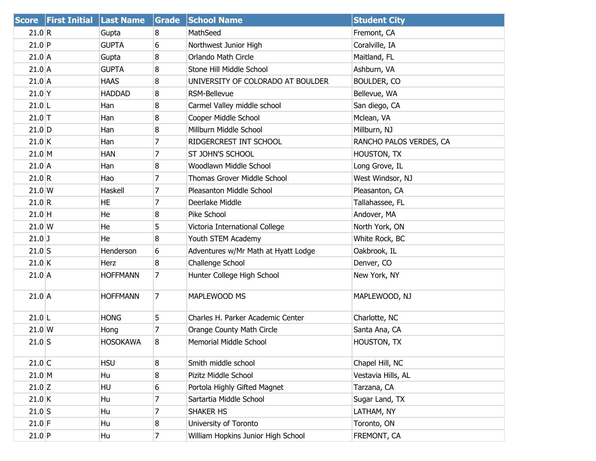|                  | Score First Initial Last Name |                 | Grade | <b>School Name</b>                  | <b>Student City</b>     |
|------------------|-------------------------------|-----------------|-------|-------------------------------------|-------------------------|
| 21.0 R           |                               | Gupta           | 8     | MathSeed                            | Fremont, CA             |
| $21.0$ P         |                               | <b>GUPTA</b>    | 6     | Northwest Junior High               | Coralville, IA          |
| $21.0$ A         |                               | Gupta           | 8     | Orlando Math Circle                 | Maitland, FL            |
| $21.0$ A         |                               | <b>GUPTA</b>    | 8     | Stone Hill Middle School            | Ashburn, VA             |
| $21.0$ A         |                               | <b>HAAS</b>     | 8     | UNIVERSITY OF COLORADO AT BOULDER   | <b>BOULDER, CO</b>      |
| $21.0$ Y         |                               | <b>HADDAD</b>   | 8     | RSM-Bellevue                        | Bellevue, WA            |
| $21.0$ L         |                               | Han             | 8     | Carmel Valley middle school         | San diego, CA           |
| $21.0$ T         |                               | Han             | 8     | Cooper Middle School                | Mclean, VA              |
| $21.0$ D         |                               | Han             | 8     | Millburn Middle School              | Millburn, NJ            |
| $21.0$ K         |                               | Han             | 7     | RIDGERCREST INT SCHOOL              | RANCHO PALOS VERDES, CA |
| 21.0 M           |                               | <b>HAN</b>      | 7     | ST JOHN'S SCHOOL                    | HOUSTON, TX             |
| $21.0$ A         |                               | Han             | 8     | Woodlawn Middle School              | Long Grove, IL          |
| 21.0 R           |                               | Hao             | 7     | Thomas Grover Middle School         | West Windsor, NJ        |
| $21.0 \text{ W}$ |                               | Haskell         | 7     | Pleasanton Middle School            | Pleasanton, CA          |
| 21.0 R           |                               | HE              | 7     | Deerlake Middle                     | Tallahassee, FL         |
| $21.0$ H         |                               | He              | 8     | Pike School                         | Andover, MA             |
| $21.0 \text{ W}$ |                               | He              | 5     | Victoria International College      | North York, ON          |
| $21.0$ J         |                               | He              | 8     | Youth STEM Academy                  | White Rock, BC          |
| $21.0$ S         |                               | Henderson       | 6     | Adventures w/Mr Math at Hyatt Lodge | Oakbrook, IL            |
| 21.0 K           |                               | <b>Herz</b>     | 8     | Challenge School                    | Denver, CO              |
| $21.0$ A         |                               | <b>HOFFMANN</b> | 7     | Hunter College High School          | New York, NY            |
| $21.0$ A         |                               | <b>HOFFMANN</b> | 7     | MAPLEWOOD MS                        | MAPLEWOOD, NJ           |
| $21.0$  L        |                               | <b>HONG</b>     | 5     | Charles H. Parker Academic Center   | Charlotte, NC           |
| $21.0 \, W$      |                               | Hong            | 7     | Orange County Math Circle           | Santa Ana, CA           |
| $21.0$ S         |                               | <b>HOSOKAWA</b> | 8     | Memorial Middle School              | HOUSTON, TX             |
| $21.0$ C         |                               | <b>HSU</b>      | 8     | Smith middle school                 | Chapel Hill, NC         |
| $21.0$ M         |                               | Hu              | 8     | Pizitz Middle School                | Vestavia Hills, AL      |
| $21.0$ Z         |                               | <b>HU</b>       | 6     | Portola Highly Gifted Magnet        | Tarzana, CA             |
| $21.0$ K         |                               | Hu              | 7     | Sartartia Middle School             | Sugar Land, TX          |
| $21.0$ S         |                               | Hu              | 7     | SHAKER HS                           | LATHAM, NY              |
| $21.0$ F         |                               | Hu              | 8     | University of Toronto               | Toronto, ON             |
| $21.0$ P         |                               | Hu              | 7     | William Hopkins Junior High School  | FREMONT, CA             |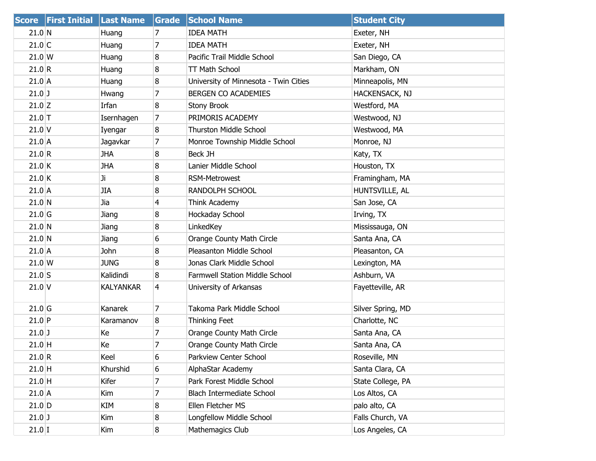|                  | Score First Initial Last Name |                  | Grade           | <b>School Name</b>                    | <b>Student City</b> |
|------------------|-------------------------------|------------------|-----------------|---------------------------------------|---------------------|
| 21.0 N           |                               | Huang            | 7               | <b>IDEA MATH</b>                      | Exeter, NH          |
| $21.0$ C         |                               | Huang            | 7               | <b>IDEA MATH</b>                      | Exeter, NH          |
| 21.0 W           |                               | Huang            | 8               | Pacific Trail Middle School           | San Diego, CA       |
| 21.0 R           |                               | Huang            | 8               | <b>TT Math School</b>                 | Markham, ON         |
| $21.0$ A         |                               | Huang            | 8               | University of Minnesota - Twin Cities | Minneapolis, MN     |
| $21.0$ J         |                               | Hwang            | 7               | BERGEN CO ACADEMIES                   | HACKENSACK, NJ      |
| $21.0$ Z         |                               | Irfan            | 8               | Stony Brook                           | Westford, MA        |
| $21.0$ T         |                               | Isernhagen       | 7               | PRIMORIS ACADEMY                      | Westwood, NJ        |
| $21.0$ V         |                               | Iyengar          | 8               | <b>Thurston Middle School</b>         | Westwood, MA        |
| $21.0$ A         |                               | Jagavkar         | 7               | Monroe Township Middle School         | Monroe, NJ          |
| 21.0 R           |                               | <b>JHA</b>       | 8               | Beck JH                               | Katy, TX            |
| $21.0$ K         |                               | <b>JHA</b>       | 8               | Lanier Middle School                  | Houston, TX         |
| $21.0$ K         |                               | Ji               | 8               | <b>RSM-Metrowest</b>                  | Framingham, MA      |
| $21.0$ A         |                               | <b>JIA</b>       | 8               | RANDOLPH SCHOOL                       | HUNTSVILLE, AL      |
| 21.0 N           |                               | Jia              | $\overline{4}$  | Think Academy                         | San Jose, CA        |
| $21.0$ G         |                               | Jiang            | 8               | Hockaday School                       | Irving, TX          |
| 21.0 N           |                               | Jiang            | 8               | LinkedKey                             | Mississauga, ON     |
| 21.0 N           |                               | Jiang            | 6               | Orange County Math Circle             | Santa Ana, CA       |
| $21.0$ A         |                               | John             | 8               | Pleasanton Middle School              | Pleasanton, CA      |
| $21.0 \text{ W}$ |                               | <b>JUNG</b>      | 8               | Jonas Clark Middle School             | Lexington, MA       |
| $21.0$ S         |                               | Kalidindi        | 8               | Farmwell Station Middle School        | Ashburn, VA         |
| $21.0$ V         |                               | <b>KALYANKAR</b> | $\vert 4 \vert$ | University of Arkansas                | Fayetteville, AR    |
| $21.0$ G         |                               | Kanarek          | 7               | Takoma Park Middle School             | Silver Spring, MD   |
| $21.0$ P         |                               | Karamanov        | 8               | Thinking Feet                         | Charlotte, NC       |
| $21.0$ J         |                               | Кe               | 7               | Orange County Math Circle             | Santa Ana, CA       |
| $21.0$ H         |                               | Ke               | $\overline{7}$  | Orange County Math Circle             | Santa Ana, CA       |
| 21.0 R           |                               | Keel             | 6               | Parkview Center School                | Roseville, MN       |
| $21.0$ H         |                               | Khurshid         | 6               | AlphaStar Academy                     | Santa Clara, CA     |
| $21.0$ H         |                               | Kifer            | 7               | Park Forest Middle School             | State College, PA   |
| $21.0$ A         |                               | Kim              | 7               | Blach Intermediate School             | Los Altos, CA       |
| $21.0$ D         |                               | KIM              | 8               | Ellen Fletcher MS                     | palo alto, CA       |
| $21.0$ J         |                               | Kim              | 8               | Longfellow Middle School              | Falls Church, VA    |
| $21.0$ I         |                               | Kim              | 8               | Mathemagics Club                      | Los Angeles, CA     |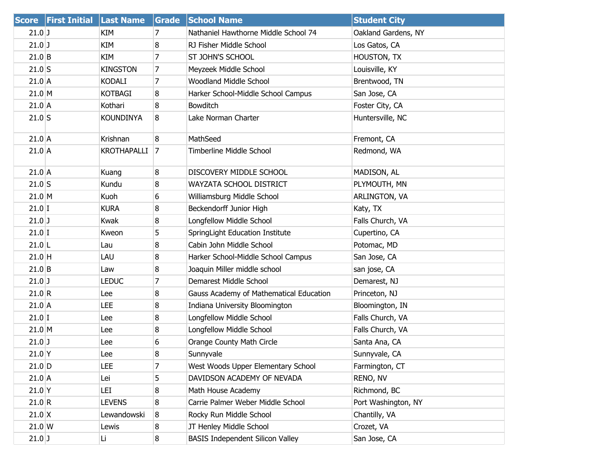|                  | Score First Initial Last Name |                    | Grade          | <b>School Name</b>                      | <b>Student City</b> |
|------------------|-------------------------------|--------------------|----------------|-----------------------------------------|---------------------|
| $21.0$ J         |                               | KIM                | 7              | Nathaniel Hawthorne Middle School 74    | Oakland Gardens, NY |
| $21.0$ J         |                               | KIM                | 8              | RJ Fisher Middle School                 | Los Gatos, CA       |
| $21.0$ B         |                               | KIM                | $\overline{7}$ | <b>ST JOHN'S SCHOOL</b>                 | HOUSTON, TX         |
| $21.0$ S         |                               | <b>KINGSTON</b>    | 7              | Meyzeek Middle School                   | Louisville, KY      |
| $21.0$ A         |                               | <b>KODALI</b>      | 7              | Woodland Middle School                  | Brentwood, TN       |
| 21.0 M           |                               | <b>KOTBAGI</b>     | 8              | Harker School-Middle School Campus      | San Jose, CA        |
| $21.0$ A         |                               | Kothari            | 8              | <b>Bowditch</b>                         | Foster City, CA     |
| $21.0$ S         |                               | <b>KOUNDINYA</b>   | 8              | Lake Norman Charter                     | Huntersville, NC    |
| $21.0$ A         |                               | Krishnan           | 8              | MathSeed                                | Fremont, CA         |
| $21.0$ A         |                               | <b>KROTHAPALLI</b> | 7              | Timberline Middle School                | Redmond, WA         |
| $21.0$ A         |                               | Kuang              | 8              | DISCOVERY MIDDLE SCHOOL                 | MADISON, AL         |
| $21.0$ S         |                               | Kundu              | 8              | WAYZATA SCHOOL DISTRICT                 | PLYMOUTH, MN        |
| 21.0 M           |                               | Kuoh               | 6              | Williamsburg Middle School              | ARLINGTON, VA       |
| $21.0$ I         |                               | <b>KURA</b>        | 8              | Beckendorff Junior High                 | Katy, TX            |
| $21.0$ J         |                               | Kwak               | 8              | Longfellow Middle School                | Falls Church, VA    |
| $21.0$ I         |                               | Kweon              | 5              | SpringLight Education Institute         | Cupertino, CA       |
| $21.0$  L        |                               | Lau                | 8              | Cabin John Middle School                | Potomac, MD         |
| $21.0$ H         |                               | LAU                | 8              | Harker School-Middle School Campus      | San Jose, CA        |
| $21.0$ B         |                               | Law                | 8              | Joaquin Miller middle school            | san jose, CA        |
| $21.0$ J         |                               | <b>LEDUC</b>       | 7              | Demarest Middle School                  | Demarest, NJ        |
| 21.0 R           |                               | Lee                | 8              | Gauss Academy of Mathematical Education | Princeton, NJ       |
| $21.0$ A         |                               | LEE                | 8              | Indiana University Bloomington          | Bloomington, IN     |
| $21.0$ I         |                               | Lee                | 8              | Longfellow Middle School                | Falls Church, VA    |
| $21.0$ M         |                               | Lee                | 8              | Longfellow Middle School                | Falls Church, VA    |
| $21.0$ J         |                               | Lee                | 6              | Orange County Math Circle               | Santa Ana, CA       |
| $21.0$ Y         |                               | Lee                | 8              | Sunnyvale                               | Sunnyvale, CA       |
| $21.0$ D         |                               | LEE                | 7              | West Woods Upper Elementary School      | Farmington, CT      |
| $21.0$ A         |                               | Lei                | 5              | DAVIDSON ACADEMY OF NEVADA              | RENO, NV            |
| $21.0$ Y         |                               | LEI                | 8              | Math House Academy                      | Richmond, BC        |
| 21.0 R           |                               | LEVENS             | 8              | Carrie Palmer Weber Middle School       | Port Washington, NY |
| $21.0 \text{ X}$ |                               | Lewandowski        | 8              | Rocky Run Middle School                 | Chantilly, VA       |
| $21.0 \text{W}$  |                               | Lewis              | 8              | JT Henley Middle School                 | Crozet, VA          |
| $21.0$ J         |                               | Li.                | 8 <sup>°</sup> | <b>BASIS Independent Silicon Valley</b> | San Jose, CA        |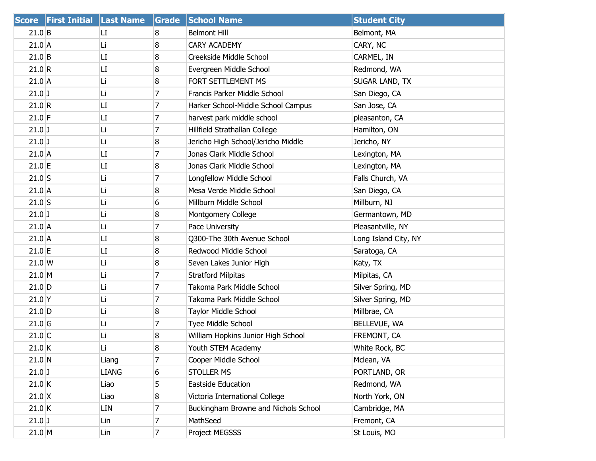|                  | <b>Score First Initial Last Name</b> |              | Grade | <b>School Name</b>                   | <b>Student City</b>  |
|------------------|--------------------------------------|--------------|-------|--------------------------------------|----------------------|
| $21.0$ B         |                                      | LI.          | 8     | <b>Belmont Hill</b>                  | Belmont, MA          |
| $21.0$ A         |                                      | Li           | 8     | <b>CARY ACADEMY</b>                  | CARY, NC             |
| $21.0$ B         |                                      | LI           | 8     | Creekside Middle School              | CARMEL, IN           |
| 21.0 R           |                                      | LI           | 8     | Evergreen Middle School              | Redmond, WA          |
| $21.0$ A         |                                      | Li           | 8     | FORT SETTLEMENT MS                   | SUGAR LAND, TX       |
| $21.0$ J         |                                      | Li           | 7     | Francis Parker Middle School         | San Diego, CA        |
| 21.0 R           |                                      | LI           | 7     | Harker School-Middle School Campus   | San Jose, CA         |
| $21.0$ F         |                                      | LI           | 7     | harvest park middle school           | pleasanton, CA       |
| $21.0$ J         |                                      | Li           | 7     | Hillfield Strathallan College        | Hamilton, ON         |
| $21.0$ J         |                                      | Li           | 8     | Jericho High School/Jericho Middle   | Jericho, NY          |
| $21.0$ A         |                                      | LI           | 7     | Jonas Clark Middle School            | Lexington, MA        |
| $21.0$ E         |                                      | LI           | 8     | Jonas Clark Middle School            | Lexington, MA        |
| $21.0$ S         |                                      | Li           | 7     | Longfellow Middle School             | Falls Church, VA     |
| $21.0$ A         |                                      | Li           | 8     | Mesa Verde Middle School             | San Diego, CA        |
| $21.0$ S         |                                      | Li           | 6     | Millburn Middle School               | Millburn, NJ         |
| $21.0$ J         |                                      | Li           | 8     | Montgomery College                   | Germantown, MD       |
| $21.0$ A         |                                      | Li           | 7     | Pace University                      | Pleasantville, NY    |
| $21.0$ A         |                                      | LI           | 8     | Q300-The 30th Avenue School          | Long Island City, NY |
| $21.0$ E         |                                      | LI           | 8     | Redwood Middle School                | Saratoga, CA         |
| $21.0 \text{ W}$ |                                      | Li           | 8     | Seven Lakes Junior High              | Katy, TX             |
| 21.0 M           |                                      | Li           | 7     | <b>Stratford Milpitas</b>            | Milpitas, CA         |
| $21.0$ D         |                                      | Li           | 7     | Takoma Park Middle School            | Silver Spring, MD    |
| $21.0$ Y         |                                      | Li           | 7     | Takoma Park Middle School            | Silver Spring, MD    |
| $21.0$ D         |                                      | Li           | 8     | Taylor Middle School                 | Millbrae, CA         |
| $21.0$ G         |                                      | Li           | 7     | Tyee Middle School                   | BELLEVUE, WA         |
| $21.0$ C         |                                      | Li           | 8     | William Hopkins Junior High School   | FREMONT, CA          |
| $21.0$ K         |                                      | Li           | 8     | Youth STEM Academy                   | White Rock, BC       |
| $21.0$ N         |                                      | Liang        | 7     | Cooper Middle School                 | Mclean, VA           |
| $21.0$ J         |                                      | <b>LIANG</b> | 6     | <b>STOLLER MS</b>                    | PORTLAND, OR         |
| $21.0$ K         |                                      | Liao         | 5     | <b>Eastside Education</b>            | Redmond, WA          |
| $21.0 \text{ X}$ |                                      | Liao         | 8     | Victoria International College       | North York, ON       |
| 21.0 K           |                                      | LIN          | 7     | Buckingham Browne and Nichols School | Cambridge, MA        |
| $21.0$ J         |                                      | Lin          | 7     | MathSeed                             | Fremont, CA          |
| $21.0$ M         |                                      | Lin          | 7     | Project MEGSSS                       | St Louis, MO         |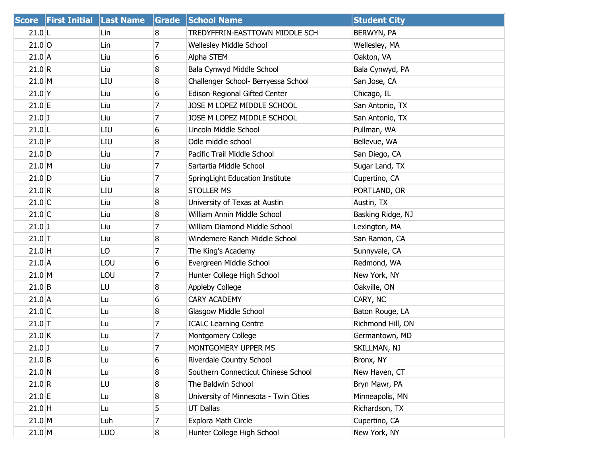|          | Score   First Initial   Last Name |            | Grade            | <b>School Name</b>                    | <b>Student City</b> |
|----------|-----------------------------------|------------|------------------|---------------------------------------|---------------------|
| $21.0$ L |                                   | Lin        | 8                | TREDYFFRIN-EASTTOWN MIDDLE SCH        | BERWYN, PA          |
| $21.0$ O |                                   | Lin        | 7                | Wellesley Middle School               | Wellesley, MA       |
| 21.0 A   |                                   | Liu        | 6                | Alpha STEM                            | Oakton, VA          |
| 21.0 R   |                                   | Liu        | 8                | Bala Cynwyd Middle School             | Bala Cynwyd, PA     |
| 21.0 M   |                                   | LIU        | 8                | Challenger School- Berryessa School   | San Jose, CA        |
| $21.0$ Y |                                   | Liu        | 6                | Edison Regional Gifted Center         | Chicago, IL         |
| $21.0$ E |                                   | Liu        | 7                | JOSE M LOPEZ MIDDLE SCHOOL            | San Antonio, TX     |
| $21.0$ J |                                   | Liu        | 7                | JOSE M LOPEZ MIDDLE SCHOOL            | San Antonio, TX     |
| $21.0$ L |                                   | LIU        | 6                | Lincoln Middle School                 | Pullman, WA         |
| $21.0$ P |                                   | LIU        | 8                | Odle middle school                    | Bellevue, WA        |
| $21.0$ D |                                   | Liu        | 7                | Pacific Trail Middle School           | San Diego, CA       |
| 21.0 M   |                                   | Liu        | 7                | Sartartia Middle School               | Sugar Land, TX      |
| $21.0$ D |                                   | Liu        | 7                | SpringLight Education Institute       | Cupertino, CA       |
| 21.0 R   |                                   | LIU        | 8                | <b>STOLLER MS</b>                     | PORTLAND, OR        |
| $21.0$ C |                                   | Liu        | 8                | University of Texas at Austin         | Austin, TX          |
| $21.0$ C |                                   | Liu        | 8                | William Annin Middle School           | Basking Ridge, NJ   |
| $21.0$ J |                                   | Liu        | 7                | William Diamond Middle School         | Lexington, MA       |
| $21.0$ T |                                   | Liu        | 8                | Windemere Ranch Middle School         | San Ramon, CA       |
| $21.0$ H |                                   | LO         | 7                | The King's Academy                    | Sunnyvale, CA       |
| 21.0 A   |                                   | LOU        | 6                | Evergreen Middle School               | Redmond, WA         |
| 21.0 M   |                                   | LOU        | 7                | Hunter College High School            | New York, NY        |
| $21.0$ B |                                   | LU         | 8                | <b>Appleby College</b>                | Oakville, ON        |
| 21.0 A   |                                   | Lu         | 6                | <b>CARY ACADEMY</b>                   | CARY, NC            |
| $21.0$ C |                                   | Lu         | 8                | Glasgow Middle School                 | Baton Rouge, LA     |
| $21.0$ T |                                   | Lu         | 7                | <b>ICALC Learning Centre</b>          | Richmond Hill, ON   |
| 21.0 K   |                                   | Lu         | 7                | Montgomery College                    | Germantown, MD      |
| $21.0$ J |                                   | Lu         | 7                | MONTGOMERY UPPER MS                   | SKILLMAN, NJ        |
| $21.0$ B |                                   | Lu         | 6                | Riverdale Country School              | Bronx, NY           |
| 21.0 N   |                                   | Lu         | 8                | Southern Connecticut Chinese School   | New Haven, CT       |
| 21.0 R   |                                   | LU         | 8                | The Baldwin School                    | Bryn Mawr, PA       |
| $21.0$ E |                                   | Lu         | 8                | University of Minnesota - Twin Cities | Minneapolis, MN     |
| $21.0$ H |                                   | Lu         | 5                | <b>UT Dallas</b>                      | Richardson, TX      |
| 21.0 M   |                                   | Luh        | 7                | Explora Math Circle                   | Cupertino, CA       |
| $21.0$ M |                                   | <b>LUO</b> | $\boldsymbol{8}$ | Hunter College High School            | New York, NY        |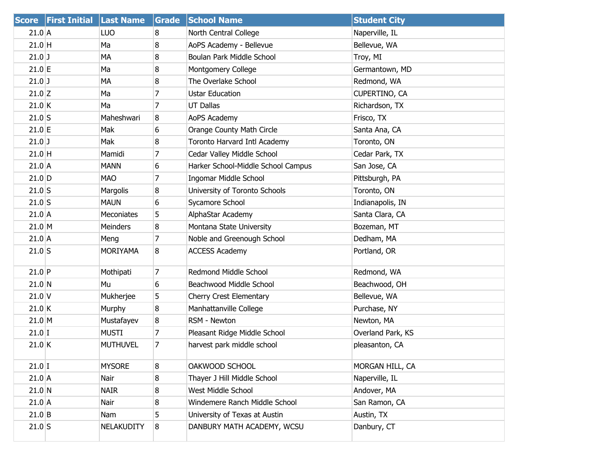|          | Score First Initial Last Name |                 | Grade | <b>School Name</b>                 | <b>Student City</b> |
|----------|-------------------------------|-----------------|-------|------------------------------------|---------------------|
| $21.0$ A |                               | <b>LUO</b>      | 8     | North Central College              | Naperville, IL      |
| $21.0$ H |                               | Ma              | 8     | AoPS Academy - Bellevue            | Bellevue, WA        |
| $21.0$ J |                               | MA              | 8     | Boulan Park Middle School          | Troy, MI            |
| $21.0$ E |                               | Ma              | 8     | Montgomery College                 | Germantown, MD      |
| $21.0$ J |                               | MA              | 8     | The Overlake School                | Redmond, WA         |
| $21.0$ Z |                               | Ma              | 7     | <b>Ustar Education</b>             | CUPERTINO, CA       |
| $21.0$ K |                               | Ma              | 7     | <b>UT Dallas</b>                   | Richardson, TX      |
| $21.0$ S |                               | Maheshwari      | 8     | AoPS Academy                       | Frisco, TX          |
| $21.0$ E |                               | Mak             | 6     | Orange County Math Circle          | Santa Ana, CA       |
| $21.0$ J |                               | Mak             | 8     | Toronto Harvard Intl Academy       | Toronto, ON         |
| $21.0$ H |                               | Mamidi          | 7     | Cedar Valley Middle School         | Cedar Park, TX      |
| $21.0$ A |                               | <b>MANN</b>     | 6     | Harker School-Middle School Campus | San Jose, CA        |
| $21.0$ D |                               | <b>MAO</b>      | 7     | Ingomar Middle School              | Pittsburgh, PA      |
| $21.0$ S |                               | Margolis        | 8     | University of Toronto Schools      | Toronto, ON         |
| $21.0$ S |                               | <b>MAUN</b>     | 6     | Sycamore School                    | Indianapolis, IN    |
| $21.0$ A |                               | Meconiates      | 5     | AlphaStar Academy                  | Santa Clara, CA     |
| 21.0 M   |                               | Meinders        | 8     | Montana State University           | Bozeman, MT         |
| $21.0$ A |                               | Meng            | 7     | Noble and Greenough School         | Dedham, MA          |
| $21.0$ S |                               | <b>MORIYAMA</b> | 8     | <b>ACCESS Academy</b>              | Portland, OR        |
| $21.0$ P |                               | Mothipati       | 7     | Redmond Middle School              | Redmond, WA         |
| $21.0$ N |                               | Mu.             | 6     | Beachwood Middle School            | Beachwood, OH       |
| $21.0$ V |                               | Mukherjee       | 5     | Cherry Crest Elementary            | Bellevue, WA        |
| $21.0$ K |                               | Murphy          | 8     | Manhattanville College             | Purchase, NY        |
| 21.0 M   |                               | Mustafayev      | 8     | RSM - Newton                       | Newton, MA          |
| $21.0$ I |                               | <b>MUSTI</b>    | 7     | Pleasant Ridge Middle School       | Overland Park, KS   |
| 21.0 K   |                               | <b>MUTHUVEL</b> | 7     | harvest park middle school         | pleasanton, CA      |
| $21.0$ I |                               | <b>MYSORE</b>   | 8     | OAKWOOD SCHOOL                     | MORGAN HILL, CA     |
| $21.0$ A |                               | Nair            | 8     | Thayer J Hill Middle School        | Naperville, IL      |
| $21.0$ N |                               | <b>NAIR</b>     | 8     | West Middle School                 | Andover, MA         |
| $21.0$ A |                               | Nair            | 8     | Windemere Ranch Middle School      | San Ramon, CA       |
| $21.0$ B |                               | Nam             | 5     | University of Texas at Austin      | Austin, TX          |
| $21.0$ S |                               | NELAKUDITY      | 8     | DANBURY MATH ACADEMY, WCSU         | Danbury, CT         |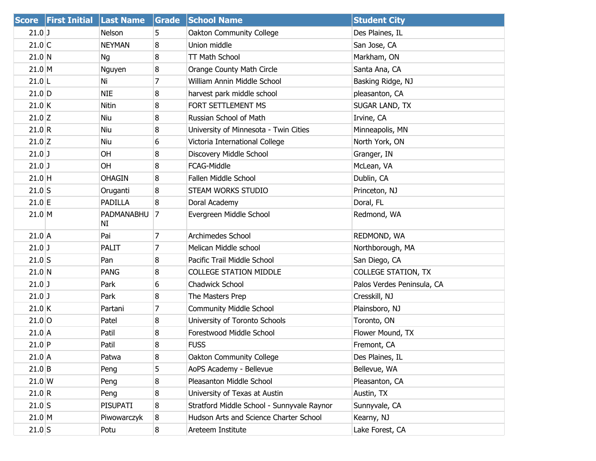|                  | Score First Initial Last Name |                  | Grade          | <b>School Name</b>                         | <b>Student City</b>        |
|------------------|-------------------------------|------------------|----------------|--------------------------------------------|----------------------------|
| $21.0$ J         |                               | Nelson           | 5              | Oakton Community College                   | Des Plaines, IL            |
| $21.0$ C         |                               | <b>NEYMAN</b>    | 8              | Union middle                               | San Jose, CA               |
| 21.0 N           |                               | Ng               | 8              | TT Math School                             | Markham, ON                |
| $21.0$ M         |                               | Nguyen           | 8              | Orange County Math Circle                  | Santa Ana, CA              |
| $21.0$  L        |                               | Ni               | $\overline{7}$ | William Annin Middle School                | Basking Ridge, NJ          |
| $21.0$ D         |                               | <b>NIE</b>       | 8              | harvest park middle school                 | pleasanton, CA             |
| $21.0$ K         |                               | <b>Nitin</b>     | 8              | FORT SETTLEMENT MS                         | SUGAR LAND, TX             |
| $21.0$ Z         |                               | Niu              | 8              | Russian School of Math                     | Irvine, CA                 |
| 21.0 R           |                               | Niu              | 8              | University of Minnesota - Twin Cities      | Minneapolis, MN            |
| $21.0$ Z         |                               | Niu              | 6              | Victoria International College             | North York, ON             |
| $21.0$ J         |                               | OH               | 8              | Discovery Middle School                    | Granger, IN                |
| $21.0$ J         |                               | <b>OH</b>        | 8              | FCAG-Middle                                | McLean, VA                 |
| $21.0$ H         |                               | <b>OHAGIN</b>    | 8              | <b>Fallen Middle School</b>                | Dublin, CA                 |
| $21.0$ S         |                               | Oruganti         | 8              | STEAM WORKS STUDIO                         | Princeton, NJ              |
| $21.0$ E         |                               | <b>PADILLA</b>   | 8              | Doral Academy                              | Doral, FL                  |
| 21.0 M           |                               | PADMANABHU<br>NI | 7              | Evergreen Middle School                    | Redmond, WA                |
| $21.0$ A         |                               | Pai              | $\overline{7}$ | Archimedes School                          | REDMOND, WA                |
| $21.0$ J         |                               | PALIT            | $\overline{7}$ | Melican Middle school                      | Northborough, MA           |
| $21.0$ S         |                               | Pan              | 8              | Pacific Trail Middle School                | San Diego, CA              |
| 21.0 N           |                               | <b>PANG</b>      | 8              | <b>COLLEGE STATION MIDDLE</b>              | <b>COLLEGE STATION, TX</b> |
| $21.0$ J         |                               | Park             | 6              | Chadwick School                            | Palos Verdes Peninsula, CA |
| $21.0$ J         |                               | Park             | 8              | The Masters Prep                           | Cresskill, NJ              |
| $21.0$ K         |                               | Partani          | 7              | <b>Community Middle School</b>             | Plainsboro, NJ             |
| $21.0$ O         |                               | Patel            | 8              | University of Toronto Schools              | Toronto, ON                |
| $21.0$ A         |                               | Patil            | 8              | Forestwood Middle School                   | Flower Mound, TX           |
| $21.0$ P         |                               | Patil            | 8              | <b>FUSS</b>                                | Fremont, CA                |
| $21.0$ A         |                               | Patwa            | 8              | Oakton Community College                   | Des Plaines, IL            |
| $21.0$ B         |                               | Peng             | 5              | AoPS Academy - Bellevue                    | Bellevue, WA               |
| $21.0 \text{ W}$ |                               | Peng             | 8              | Pleasanton Middle School                   | Pleasanton, CA             |
| 21.0 R           |                               | Peng             | 8              | University of Texas at Austin              | Austin, TX                 |
| $21.0$ S         |                               | PISUPATI         | 8              | Stratford Middle School - Sunnyvale Raynor | Sunnyvale, CA              |
| 21.0 M           |                               | Piwowarczyk      | 8              | Hudson Arts and Science Charter School     | Kearny, NJ                 |
| $21.0$ S         |                               | Potu             | 8              | Areteem Institute                          | Lake Forest, CA            |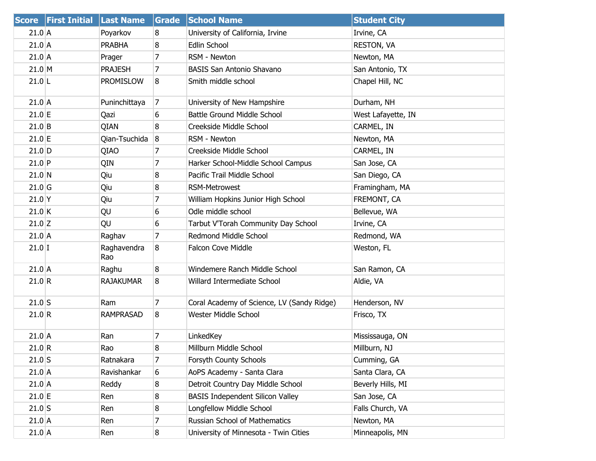| <b>Score</b> | <b>First Initial</b> | <b>Last Name</b>   | <b>Grade</b>   | <b>School Name</b>                         | <b>Student City</b> |
|--------------|----------------------|--------------------|----------------|--------------------------------------------|---------------------|
| 21.0 A       |                      | Poyarkov           | 8              | University of California, Irvine           | Irvine, CA          |
| $21.0$ A     |                      | <b>PRABHA</b>      | 8              | Edlin School                               | <b>RESTON, VA</b>   |
| $21.0$ A     |                      | Prager             | 7              | RSM - Newton                               | Newton, MA          |
| $21.0$ M     |                      | <b>PRAJESH</b>     | 7              | <b>BASIS San Antonio Shavano</b>           | San Antonio, TX     |
| $21.0$  L    |                      | <b>PROMISLOW</b>   | 8              | Smith middle school                        | Chapel Hill, NC     |
| $21.0$ A     |                      | Puninchittaya      | $\overline{7}$ | University of New Hampshire                | Durham, NH          |
| $21.0$ E     |                      | Qazi               | 6              | Battle Ground Middle School                | West Lafayette, IN  |
| $21.0$ B     |                      | QIAN               | 8              | Creekside Middle School                    | CARMEL, IN          |
| $21.0$ E     |                      | Qian-Tsuchida      | 8              | RSM - Newton                               | Newton, MA          |
| $21.0$ D     |                      | QIAO               | 7              | Creekside Middle School                    | CARMEL, IN          |
| $21.0$ P     |                      | QIN                | 7              | Harker School-Middle School Campus         | San Jose, CA        |
| $21.0$ N     |                      | Qiu                | 8              | Pacific Trail Middle School                | San Diego, CA       |
| $21.0$ G     |                      | Qiu                | 8              | <b>RSM-Metrowest</b>                       | Framingham, MA      |
| $21.0$ Y     |                      | Qiu                | 7              | William Hopkins Junior High School         | FREMONT, CA         |
| $21.0$ K     |                      | QU                 | 6              | Odle middle school                         | Bellevue, WA        |
| $21.0$ Z     |                      | QU                 | 6              | Tarbut V'Torah Community Day School        | Irvine, CA          |
| $21.0$ A     |                      | Raghav             | 7              | Redmond Middle School                      | Redmond, WA         |
| $21.0$ I     |                      | Raghavendra<br>Rao | 8              | <b>Falcon Cove Middle</b>                  | Weston, FL          |
| $21.0$ A     |                      | Raghu              | 8              | Windemere Ranch Middle School              | San Ramon, CA       |
| 21.0 R       |                      | <b>RAJAKUMAR</b>   | 8              | Willard Intermediate School                | Aldie, VA           |
| $21.0$ S     |                      | Ram                | 7              | Coral Academy of Science, LV (Sandy Ridge) | Henderson, NV       |
| 21.0 R       |                      | <b>RAMPRASAD</b>   | 8              | Wester Middle School                       | Frisco, TX          |
| 21.0 A       |                      | Ran                | 7              | LinkedKey                                  | Mississauga, ON     |
| 21.0 R       |                      | Rao                | 8              | Millburn Middle School                     | Millburn, NJ        |
| $21.0$ S     |                      | Ratnakara          | 7              | Forsyth County Schools                     | Cumming, GA         |
| $21.0$ A     |                      | Ravishankar        | 6              | AoPS Academy - Santa Clara                 | Santa Clara, CA     |
| $21.0$ A     |                      | Reddy              | 8              | Detroit Country Day Middle School          | Beverly Hills, MI   |
| $21.0$ E     |                      | Ren                | 8              | <b>BASIS Independent Silicon Valley</b>    | San Jose, CA        |
| $21.0$ S     |                      | Ren                | 8              | Longfellow Middle School                   | Falls Church, VA    |
| $21.0$ A     |                      | Ren                | 7              | Russian School of Mathematics              | Newton, MA          |
| $21.0$ A     |                      | Ren                | 8              | University of Minnesota - Twin Cities      | Minneapolis, MN     |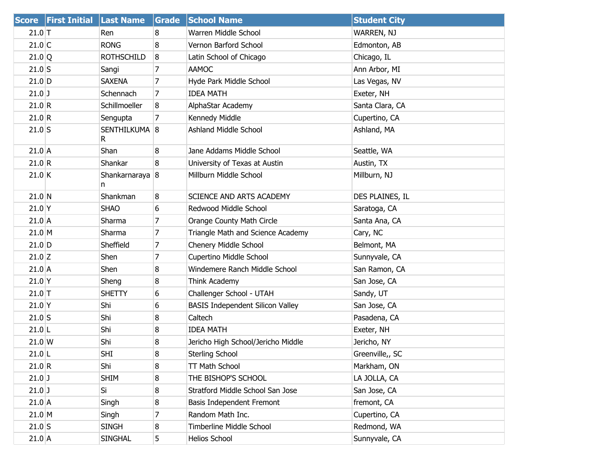|                  | Score First Initial Last Name |                                | Grade | <b>School Name</b>                      | <b>Student City</b> |
|------------------|-------------------------------|--------------------------------|-------|-----------------------------------------|---------------------|
| $21.0$ T         |                               | Ren                            | 8     | Warren Middle School                    | WARREN, NJ          |
| $21.0$ C         |                               | <b>RONG</b>                    | 8     | Vernon Barford School                   | Edmonton, AB        |
| $21.0$ Q         |                               | <b>ROTHSCHILD</b>              | 8     | Latin School of Chicago                 | Chicago, IL         |
| $21.0$ S         |                               | Sangi                          | 7     | <b>AAMOC</b>                            | Ann Arbor, MI       |
| $21.0$ D         |                               | <b>SAXENA</b>                  | 7     | Hyde Park Middle School                 | Las Vegas, NV       |
| $21.0$ J         |                               | Schennach                      | 7     | <b>IDEA MATH</b>                        | Exeter, NH          |
| 21.0 R           |                               | Schillmoeller                  | 8     | AlphaStar Academy                       | Santa Clara, CA     |
| 21.0 R           |                               | Sengupta                       | 7     | Kennedy Middle                          | Cupertino, CA       |
| $21.0$ S         |                               | SENTHILKUMA <sup>8</sup><br>R. |       | <b>Ashland Middle School</b>            | Ashland, MA         |
| $21.0$ A         |                               | Shan                           | 8     | Jane Addams Middle School               | Seattle, WA         |
| 21.0 R           |                               | Shankar                        | 8     | University of Texas at Austin           | Austin, TX          |
| $21.0$ K         |                               | Shankarnaraya 8<br>n           |       | Millburn Middle School                  | Millburn, NJ        |
| $21.0$ N         |                               | Shankman                       | 8     | <b>SCIENCE AND ARTS ACADEMY</b>         | DES PLAINES, IL     |
| $21.0$ Y         |                               | <b>SHAO</b>                    | 6     | Redwood Middle School                   | Saratoga, CA        |
| $21.0$ A         |                               | Sharma                         | 7     | Orange County Math Circle               | Santa Ana, CA       |
| $21.0$ M         |                               | Sharma                         | 7     | Triangle Math and Science Academy       | Cary, NC            |
| $21.0$ D         |                               | Sheffield                      | 7     | Chenery Middle School                   | Belmont, MA         |
| $21.0$ Z         |                               | Shen                           | 7     | Cupertino Middle School                 | Sunnyvale, CA       |
| $21.0$ A         |                               | Shen                           | 8     | Windemere Ranch Middle School           | San Ramon, CA       |
| $21.0$ Y         |                               | Sheng                          | 8     | Think Academy                           | San Jose, CA        |
| $21.0$ T         |                               | <b>SHETTY</b>                  | 6     | Challenger School - UTAH                | Sandy, UT           |
| $21.0$ Y         |                               | Shi                            | 6     | <b>BASIS Independent Silicon Valley</b> | San Jose, CA        |
| $21.0$ S         |                               | Shi                            | 8     | Caltech                                 | Pasadena, CA        |
| $21.0$ L         |                               | Shi                            | 8     | <b>IDEA MATH</b>                        | Exeter, NH          |
| $21.0 \text{ W}$ |                               | Shi                            | 8     | Jericho High School/Jericho Middle      | Jericho, NY         |
| $21.0$  L        |                               | <b>SHI</b>                     | 8     | <b>Sterling School</b>                  | Greenville,, SC     |
| 21.0 R           |                               | Shi                            | 8     | TT Math School                          | Markham, ON         |
| $21.0$ J         |                               | <b>SHIM</b>                    | 8     | THE BISHOP'S SCHOOL                     | LA JOLLA, CA        |
| $21.0$ J         |                               | Si                             | 8     | Stratford Middle School San Jose        | San Jose, CA        |
| $21.0$ A         |                               | Singh                          | 8     | Basis Independent Fremont               | fremont, CA         |
| $21.0$ M         |                               | Singh                          | 7     | Random Math Inc.                        | Cupertino, CA       |
| $21.0$ S         |                               | <b>SINGH</b>                   | 8     | Timberline Middle School                | Redmond, WA         |
| $21.0$ A         |                               | <b>SINGHAL</b>                 | 5     | Helios School                           | Sunnyvale, CA       |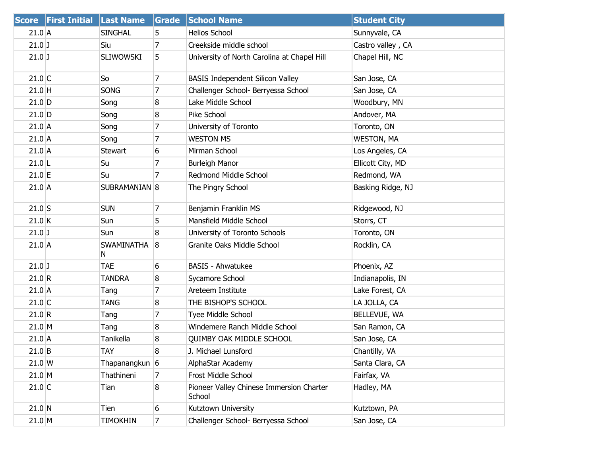| <b>Score</b> | <b>First Initial Last Name</b> |                         | Grade          | <b>School Name</b>                                 | <b>Student City</b> |
|--------------|--------------------------------|-------------------------|----------------|----------------------------------------------------|---------------------|
| $21.0$ A     |                                | <b>SINGHAL</b>          | 5              | <b>Helios School</b>                               | Sunnyvale, CA       |
| $21.0$ J     |                                | Siu                     | $\overline{7}$ | Creekside middle school                            | Castro valley, CA   |
| $21.0$ J     |                                | <b>SLIWOWSKI</b>        | 5              | University of North Carolina at Chapel Hill        | Chapel Hill, NC     |
| $21.0$ C     |                                | So                      | 7              | <b>BASIS Independent Silicon Valley</b>            | San Jose, CA        |
| $21.0$ H     |                                | SONG                    | $\overline{7}$ | Challenger School- Berryessa School                | San Jose, CA        |
| $21.0$ D     |                                | Song                    | 8              | Lake Middle School                                 | Woodbury, MN        |
| $21.0$ D     |                                | Song                    | 8              | Pike School                                        | Andover, MA         |
| $21.0$ A     |                                | Song                    | 7              | University of Toronto                              | Toronto, ON         |
| $21.0$ A     |                                | Song                    | $\overline{7}$ | <b>WESTON MS</b>                                   | <b>WESTON, MA</b>   |
| $21.0$ A     |                                | Stewart                 | 6              | Mirman School                                      | Los Angeles, CA     |
| $21.0$  L    |                                | Su                      | 7              | <b>Burleigh Manor</b>                              | Ellicott City, MD   |
| $21.0$ E     |                                | Su                      | 7              | Redmond Middle School                              | Redmond, WA         |
| $21.0$ A     |                                | SUBRAMANIAN 8           |                | The Pingry School                                  | Basking Ridge, NJ   |
| $21.0$ S     |                                | <b>SUN</b>              | $\overline{7}$ | Benjamin Franklin MS                               | Ridgewood, NJ       |
| 21.0 K       |                                | Sun                     | 5              | Mansfield Middle School                            | Storrs, CT          |
| $21.0$ J     |                                | Sun                     | 8              | University of Toronto Schools                      | Toronto, ON         |
| $21.0$ A     |                                | <b>SWAMINATHA</b><br>N. | 8              | Granite Oaks Middle School                         | Rocklin, CA         |
| $21.0$ J     |                                | <b>TAE</b>              | 6              | <b>BASIS - Ahwatukee</b>                           | Phoenix, AZ         |
| 21.0 R       |                                | <b>TANDRA</b>           | 8              | Sycamore School                                    | Indianapolis, IN    |
| $21.0$ A     |                                | Tang                    | 7              | Areteem Institute                                  | Lake Forest, CA     |
| $21.0$ C     |                                | <b>TANG</b>             | 8              | THE BISHOP'S SCHOOL                                | LA JOLLA, CA        |
| 21.0 R       |                                | Tang                    | $\overline{7}$ | Tyee Middle School                                 | BELLEVUE, WA        |
| 21.0 M       |                                | Tang                    | 8              | Windemere Ranch Middle School                      | San Ramon, CA       |
| $21.0$ A     |                                | Tanikella               | 8              | <b>QUIMBY OAK MIDDLE SCHOOL</b>                    | San Jose, CA        |
| $21.0$ B     |                                | <b>TAY</b>              | 8              | J. Michael Lunsford                                | Chantilly, VA       |
| $21.0$ W     |                                | Thapanangkun 6          |                | AlphaStar Academy                                  | Santa Clara, CA     |
| $21.0$ M     |                                | Thathineni              | 7              | Frost Middle School                                | Fairfax, VA         |
| $21.0$ C     |                                | Tian                    | 8              | Pioneer Valley Chinese Immersion Charter<br>School | Hadley, MA          |
| $21.0$ N     |                                | Tien                    | 6              | Kutztown University                                | Kutztown, PA        |
| $21.0$ M     |                                | TIMOKHIN                | $\overline{7}$ | Challenger School- Berryessa School                | San Jose, CA        |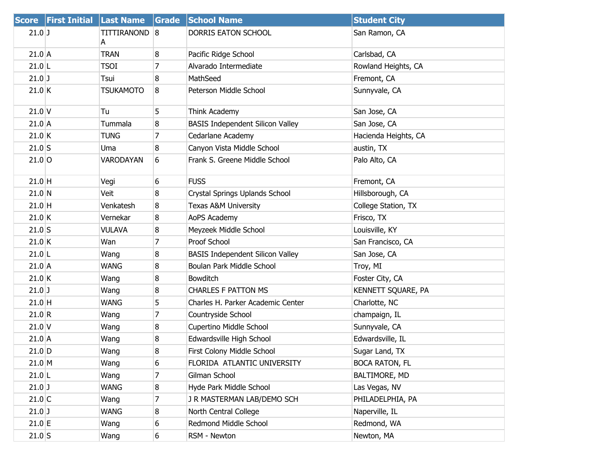|          | Score First Initial Last Name |                    |   | Grade School Name                       | <b>Student City</b>   |
|----------|-------------------------------|--------------------|---|-----------------------------------------|-----------------------|
| $21.0$ J |                               | TITTIRANOND 8<br>A |   | DORRIS EATON SCHOOL                     | San Ramon, CA         |
| $21.0$ A |                               | <b>TRAN</b>        | 8 | Pacific Ridge School                    | Carlsbad, CA          |
| $21.0$ L |                               | <b>TSOI</b>        | 7 | Alvarado Intermediate                   | Rowland Heights, CA   |
| $21.0$ J |                               | Tsui               | 8 | MathSeed                                | Fremont, CA           |
| $21.0$ K |                               | <b>TSUKAMOTO</b>   | 8 | Peterson Middle School                  | Sunnyvale, CA         |
| $21.0$ V |                               | Tu                 | 5 | Think Academy                           | San Jose, CA          |
| $21.0$ A |                               | Tummala            | 8 | <b>BASIS Independent Silicon Valley</b> | San Jose, CA          |
| 21.0 K   |                               | <b>TUNG</b>        | 7 | Cedarlane Academy                       | Hacienda Heights, CA  |
| $21.0$ S |                               | Uma                | 8 | Canyon Vista Middle School              | austin, TX            |
| $21.0$ O |                               | VARODAYAN          | 6 | Frank S. Greene Middle School           | Palo Alto, CA         |
| $21.0$ H |                               | Vegi               | 6 | <b>FUSS</b>                             | Fremont, CA           |
| 21.0 N   |                               | Veit               | 8 | Crystal Springs Uplands School          | Hillsborough, CA      |
| $21.0$ H |                               | Venkatesh          | 8 | <b>Texas A&amp;M University</b>         | College Station, TX   |
| 21.0 K   |                               | Vernekar           | 8 | AoPS Academy                            | Frisco, TX            |
| $21.0$ S |                               | <b>VULAVA</b>      | 8 | Meyzeek Middle School                   | Louisville, KY        |
| $21.0$ K |                               | Wan                | 7 | <b>Proof School</b>                     | San Francisco, CA     |
| $21.0$ L |                               | Wang               | 8 | <b>BASIS Independent Silicon Valley</b> | San Jose, CA          |
| $21.0$ A |                               | <b>WANG</b>        | 8 | Boulan Park Middle School               | Troy, MI              |
| $21.0$ K |                               | Wang               | 8 | Bowditch                                | Foster City, CA       |
| $21.0$ J |                               | Wang               | 8 | <b>CHARLES F PATTON MS</b>              | KENNETT SQUARE, PA    |
| $21.0$ H |                               | <b>WANG</b>        | 5 | Charles H. Parker Academic Center       | Charlotte, NC         |
| 21.0 R   |                               | Wang               | 7 | Countryside School                      | champaign, IL         |
| $21.0$ V |                               | Wang               | 8 | Cupertino Middle School                 | Sunnyvale, CA         |
| $21.0$ A |                               | Wang               | 8 | Edwardsville High School                | Edwardsville, IL      |
| $21.0$ D |                               | Wang               | 8 | First Colony Middle School              | Sugar Land, TX        |
| $21.0$ M |                               | Wang               | 6 | FLORIDA ATLANTIC UNIVERSITY             | <b>BOCA RATON, FL</b> |
| $21.0$ L |                               | Wang               | 7 | Gilman School                           | BALTIMORE, MD         |
| $21.0$ J |                               | <b>WANG</b>        | 8 | Hyde Park Middle School                 | Las Vegas, NV         |
| $21.0$ C |                               | Wang               | 7 | J R MASTERMAN LAB/DEMO SCH              | PHILADELPHIA, PA      |
| $21.0$ J |                               | <b>WANG</b>        | 8 | North Central College                   | Naperville, IL        |
| $21.0$ E |                               | Wang               | 6 | Redmond Middle School                   | Redmond, WA           |
| $21.0$ S |                               | Wang               | 6 | RSM - Newton                            | Newton, MA            |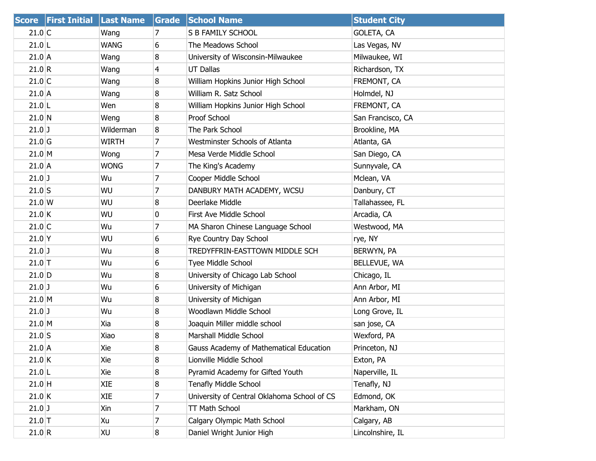|                  | <b>Score First Initial Last Name</b> |             | Grade          | <b>School Name</b>                          | <b>Student City</b> |
|------------------|--------------------------------------|-------------|----------------|---------------------------------------------|---------------------|
| $21.0$ C         |                                      | Wang        | 7              | S B FAMILY SCHOOL                           | GOLETA, CA          |
| $21.0$  L        |                                      | WANG        | 6              | The Meadows School                          | Las Vegas, NV       |
| $21.0$ A         |                                      | Wang        | 8              | University of Wisconsin-Milwaukee           | Milwaukee, WI       |
| 21.0 R           |                                      | Wang        | $\overline{4}$ | <b>UT Dallas</b>                            | Richardson, TX      |
| $21.0$ C         |                                      | Wang        | 8              | William Hopkins Junior High School          | FREMONT, CA         |
| $21.0$ A         |                                      | Wang        | 8              | William R. Satz School                      | Holmdel, NJ         |
| $21.0$ L         |                                      | Wen         | 8              | William Hopkins Junior High School          | FREMONT, CA         |
| 21.0 N           |                                      | Weng        | 8              | Proof School                                | San Francisco, CA   |
| $21.0$ J         |                                      | Wilderman   | 8              | The Park School                             | Brookline, MA       |
| $21.0$ G         |                                      | WIRTH       | 7              | <b>Westminster Schools of Atlanta</b>       | Atlanta, GA         |
| 21.0 M           |                                      | Wong        | 7              | Mesa Verde Middle School                    | San Diego, CA       |
| $21.0$ A         |                                      | <b>WONG</b> | 7              | The King's Academy                          | Sunnyvale, CA       |
| $21.0$ J         |                                      | Wu          | 7              | Cooper Middle School                        | Mclean, VA          |
| $21.0$ S         |                                      | WU          | $\overline{7}$ | DANBURY MATH ACADEMY, WCSU                  | Danbury, CT         |
| $21.0 \text{ W}$ |                                      | WU          | 8              | Deerlake Middle                             | Tallahassee, FL     |
| $21.0$ K         |                                      | WU          | 0              | First Ave Middle School                     | Arcadia, CA         |
| $21.0$ C         |                                      | Wu          | 7              | MA Sharon Chinese Language School           | Westwood, MA        |
| $21.0$ Y         |                                      | WU          | 6              | Rye Country Day School                      | rye, NY             |
| $21.0$ J         |                                      | Wu          | 8              | TREDYFFRIN-EASTTOWN MIDDLE SCH              | BERWYN, PA          |
| $21.0$ T         |                                      | Wu          | 6              | Tyee Middle School                          | BELLEVUE, WA        |
| $21.0$ D         |                                      | Wu          | 8              | University of Chicago Lab School            | Chicago, IL         |
| $21.0$ J         |                                      | Wu          | 6              | University of Michigan                      | Ann Arbor, MI       |
| $21.0$ M         |                                      | Wu          | 8              | University of Michigan                      | Ann Arbor, MI       |
| $21.0$ J         |                                      | Wu          | 8              | Woodlawn Middle School                      | Long Grove, IL      |
| 21.0 M           |                                      | Xia         | 8              | Joaquin Miller middle school                | san jose, CA        |
| $21.0$ S         |                                      | Xiao        | 8              | Marshall Middle School                      | Wexford, PA         |
| $21.0$ A         |                                      | Xie         | 8              | Gauss Academy of Mathematical Education     | Princeton, NJ       |
| $21.0$ K         |                                      | Xie         | 8              | Lionville Middle School                     | Exton, PA           |
| $21.0$  L        |                                      | Xie         | 8              | Pyramid Academy for Gifted Youth            | Naperville, IL      |
| $21.0$ H         |                                      | XIE         | 8              | <b>Tenafly Middle School</b>                | Tenafly, NJ         |
| $21.0$ K         |                                      | XIE         | 7              | University of Central Oklahoma School of CS | Edmond, OK          |
| $21.0$ J         |                                      | Xin         | 7              | TT Math School                              | Markham, ON         |
| $21.0$ T         |                                      | Xu          | 7              | Calgary Olympic Math School                 | Calgary, AB         |
| 21.0 R           |                                      | <b>XU</b>   | $\bf{8}$       | Daniel Wright Junior High                   | Lincolnshire, IL    |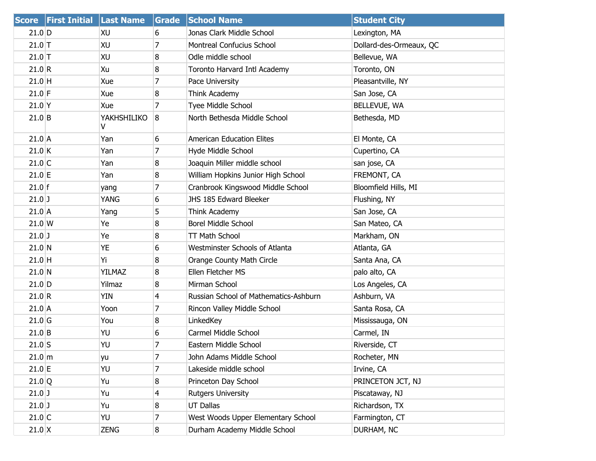|                 | Score First Initial Last Name |                  | <b>Grade</b>   | <b>School Name</b>                    | <b>Student City</b>     |
|-----------------|-------------------------------|------------------|----------------|---------------------------------------|-------------------------|
| $21.0$ D        |                               | XU               | 6              | Jonas Clark Middle School             | Lexington, MA           |
| $21.0$ T        |                               | XU               | 7              | <b>Montreal Confucius School</b>      | Dollard-des-Ormeaux, QC |
| $21.0$ T        |                               | XU               | 8              | Odle middle school                    | Bellevue, WA            |
| 21.0 R          |                               | Xu               | 8              | Toronto Harvard Intl Academy          | Toronto, ON             |
| $21.0$ H        |                               | Xue              | 7              | Pace University                       | Pleasantville, NY       |
| $21.0$ F        |                               | Xue              | 8              | Think Academy                         | San Jose, CA            |
| $21.0$ Y        |                               | Xue              | 7              | Tyee Middle School                    | BELLEVUE, WA            |
| $21.0$ B        |                               | YAKHSHILIKO<br>V | 8              | North Bethesda Middle School          | Bethesda, MD            |
| $21.0$ A        |                               | Yan              | 6              | <b>American Education Elites</b>      | El Monte, CA            |
| $21.0$ K        |                               | Yan              | 7              | Hyde Middle School                    | Cupertino, CA           |
| $21.0$ C        |                               | Yan              | 8              | Joaquin Miller middle school          | san jose, CA            |
| $21.0$ E        |                               | Yan              | 8              | William Hopkins Junior High School    | FREMONT, CA             |
| $21.0$ f        |                               | yang             | 7              | Cranbrook Kingswood Middle School     | Bloomfield Hills, MI    |
| $21.0$ ]        |                               | YANG             | 6              | JHS 185 Edward Bleeker                | Flushing, NY            |
| $21.0$ A        |                               | Yang             | 5              | Think Academy                         | San Jose, CA            |
| $21.0 \text{W}$ |                               | Ye               | 8              | <b>Borel Middle School</b>            | San Mateo, CA           |
| $21.0$ ]        |                               | Ye               | 8              | <b>TT Math School</b>                 | Markham, ON             |
| $21.0$ N        |                               | YE               | 6              | Westminster Schools of Atlanta        | Atlanta, GA             |
| $21.0$ H        |                               | Υi               | 8              | Orange County Math Circle             | Santa Ana, CA           |
| 21.0 N          |                               | YILMAZ           | 8              | Ellen Fletcher MS                     | palo alto, CA           |
| $21.0$ D        |                               | Yilmaz           | 8              | Mirman School                         | Los Angeles, CA         |
| 21.0 R          |                               | YIN              | $\overline{4}$ | Russian School of Mathematics-Ashburn | Ashburn, VA             |
| $21.0$ A        |                               | Yoon             | 7              | Rincon Valley Middle School           | Santa Rosa, CA          |
| $21.0$ G        |                               | You              | 8              | LinkedKey                             | Mississauga, ON         |
| $21.0$ B        |                               | YU               | 6              | Carmel Middle School                  | Carmel, IN              |
| $21.0$ S        |                               | YU               | 7              | Eastern Middle School                 | Riverside, CT           |
| $21.0 \, m$     |                               | yu               | 7              | John Adams Middle School              | Rocheter, MN            |
| $21.0$ E        |                               | YU               | 7              | Lakeside middle school                | Irvine, CA              |
| 21.0 Q          |                               | Yu               | 8              | Princeton Day School                  | PRINCETON JCT, NJ       |
| $21.0$ J        |                               | Yu               | 4              | <b>Rutgers University</b>             | Piscataway, NJ          |
| $21.0$ J        |                               | Yu               | 8              | <b>UT Dallas</b>                      | Richardson, TX          |
| $21.0$ C        |                               | YU               | 7              | West Woods Upper Elementary School    | Farmington, CT          |
| $21.0$ X        |                               | <b>ZENG</b>      | 8              | Durham Academy Middle School          | DURHAM, NC              |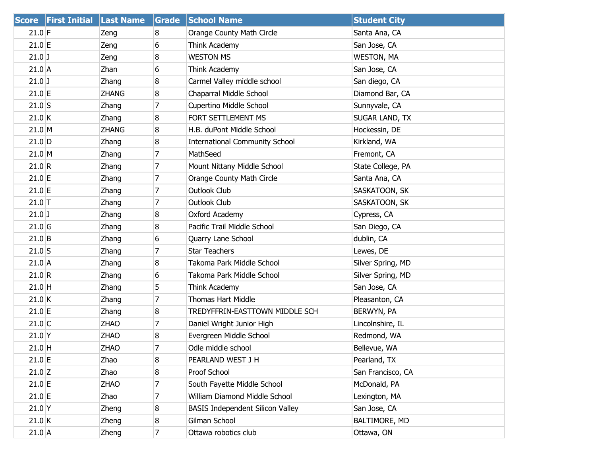| <b>Score</b> | <b>First Initial Last Name</b> |              | Grade          | <b>School Name</b>                      | <b>Student City</b> |
|--------------|--------------------------------|--------------|----------------|-----------------------------------------|---------------------|
| $21.0$ F     |                                | Zeng         | 8              | Orange County Math Circle               | Santa Ana, CA       |
| 21.0 E       |                                | Zeng         | 6              | Think Academy                           | San Jose, CA        |
| $21.0$ J     |                                | Zeng         | 8              | <b>WESTON MS</b>                        | <b>WESTON, MA</b>   |
| $21.0$ A     |                                | Zhan         | 6              | Think Academy                           | San Jose, CA        |
| $21.0$ J     |                                | Zhang        | 8              | Carmel Valley middle school             | San diego, CA       |
| $21.0$ E     |                                | <b>ZHANG</b> | 8              | Chaparral Middle School                 | Diamond Bar, CA     |
| $21.0$ S     |                                | Zhang        | $\overline{7}$ | Cupertino Middle School                 | Sunnyvale, CA       |
| 21.0 K       |                                | Zhang        | 8              | FORT SETTLEMENT MS                      | SUGAR LAND, TX      |
| 21.0 M       |                                | <b>ZHANG</b> | 8              | H.B. duPont Middle School               | Hockessin, DE       |
| $21.0$ D     |                                | Zhang        | 8              | <b>International Community School</b>   | Kirkland, WA        |
| 21.0 M       |                                | Zhang        | $\overline{7}$ | MathSeed                                | Fremont, CA         |
| 21.0 R       |                                | Zhang        | 7              | Mount Nittany Middle School             | State College, PA   |
| $21.0$ E     |                                | Zhang        | 7              | Orange County Math Circle               | Santa Ana, CA       |
| 21.0 E       |                                | Zhang        | $\overline{7}$ | Outlook Club                            | SASKATOON, SK       |
| $21.0$ T     |                                | Zhang        | 7              | Outlook Club                            | SASKATOON, SK       |
| $21.0$ J     |                                | Zhang        | 8              | Oxford Academy                          | Cypress, CA         |
| $21.0$ G     |                                | Zhang        | 8              | Pacific Trail Middle School             | San Diego, CA       |
| 21.0 B       |                                | Zhang        | 6              | Quarry Lane School                      | dublin, CA          |
| $21.0$ S     |                                | Zhang        | 7              | <b>Star Teachers</b>                    | Lewes, DE           |
| $21.0$ A     |                                | Zhang        | 8              | Takoma Park Middle School               | Silver Spring, MD   |
| 21.0 R       |                                | Zhang        | 6              | Takoma Park Middle School               | Silver Spring, MD   |
| $21.0$ H     |                                | Zhang        | 5              | Think Academy                           | San Jose, CA        |
| 21.0 K       |                                | Zhang        | 7              | Thomas Hart Middle                      | Pleasanton, CA      |
| $21.0$ E     |                                | Zhang        | 8              | TREDYFFRIN-EASTTOWN MIDDLE SCH          | BERWYN, PA          |
| $21.0$ C     |                                | <b>ZHAO</b>  | 7              | Daniel Wright Junior High               | Lincolnshire, IL    |
| $21.0$ Y     |                                | <b>ZHAO</b>  | 8              | Evergreen Middle School                 | Redmond, WA         |
| $21.0$ H     |                                | <b>ZHAO</b>  | $\overline{7}$ | Odle middle school                      | Bellevue, WA        |
| $21.0$ E     |                                | Zhao         | 8              | PEARLAND WEST J H                       | Pearland, TX        |
| $21.0$ Z     |                                | Zhao         | 8              | Proof School                            | San Francisco, CA   |
| $21.0$ E     |                                | <b>ZHAO</b>  | 7              | South Fayette Middle School             | McDonald, PA        |
| $21.0$ E     |                                | Zhao         | 7              | William Diamond Middle School           | Lexington, MA       |
| $21.0$ Y     |                                | Zheng        | 8              | <b>BASIS Independent Silicon Valley</b> | San Jose, CA        |
| 21.0 K       |                                | Zheng        | 8              | Gilman School                           | BALTIMORE, MD       |
| $21.0$ A     |                                | Zheng        | 7              | Ottawa robotics club                    | Ottawa, ON          |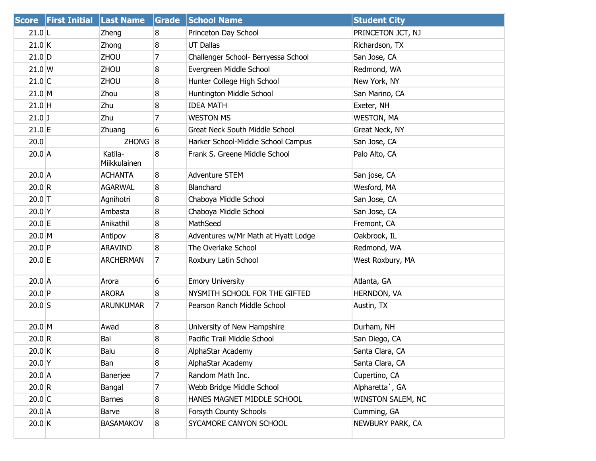|                  | <b>Score First Initial Last Name</b> |                         | Grade | <b>School Name</b>                    | <b>Student City</b> |
|------------------|--------------------------------------|-------------------------|-------|---------------------------------------|---------------------|
| $21.0$ L         |                                      | Zheng                   | 8     | Princeton Day School                  | PRINCETON JCT, NJ   |
| $21.0$ K         |                                      | Zhong                   | 8     | <b>UT Dallas</b>                      | Richardson, TX      |
| $21.0$ D         |                                      | ZHOU                    | 7     | Challenger School- Berryessa School   | San Jose, CA        |
| $21.0 \text{ W}$ |                                      | <b>ZHOU</b>             | 8     | Evergreen Middle School               | Redmond, WA         |
| $21.0$ C         |                                      | ZHOU                    | 8     | Hunter College High School            | New York, NY        |
| $21.0$ M         |                                      | Zhou                    | 8     | Huntington Middle School              | San Marino, CA      |
| $21.0$ H         |                                      | Zhu                     | 8     | <b>IDEA MATH</b>                      | Exeter, NH          |
| $21.0$ J         |                                      | Zhu                     | 7     | <b>WESTON MS</b>                      | <b>WESTON, MA</b>   |
| $21.0$ E         |                                      | Zhuang                  | 6     | <b>Great Neck South Middle School</b> | Great Neck, NY      |
| 20.0             |                                      | ZHONG <sub>8</sub>      |       | Harker School-Middle School Campus    | San Jose, CA        |
| $20.0$ A         |                                      | Katila-<br>Miikkulainen | 8     | Frank S. Greene Middle School         | Palo Alto, CA       |
| $20.0$ A         |                                      | <b>ACHANTA</b>          | 8     | <b>Adventure STEM</b>                 | San jose, CA        |
| 20.0 R           |                                      | <b>AGARWAL</b>          | 8     | Blanchard                             | Wesford, MA         |
| $20.0$ T         |                                      | Agnihotri               | 8     | Chaboya Middle School                 | San Jose, CA        |
| $20.0$ Y         |                                      | Ambasta                 | 8     | Chaboya Middle School                 | San Jose, CA        |
| $20.0$ E         |                                      | Anikathil               | 8     | MathSeed                              | Fremont, CA         |
| $20.0$ M         |                                      | Antipov                 | 8     | Adventures w/Mr Math at Hyatt Lodge   | Oakbrook, IL        |
| 20.0 P           |                                      | <b>ARAVIND</b>          | 8     | The Overlake School                   | Redmond, WA         |
| $20.0$ E         |                                      | <b>ARCHERMAN</b>        | 7     | Roxbury Latin School                  | West Roxbury, MA    |
| $20.0$ A         |                                      | Arora                   | 6     | <b>Emory University</b>               | Atlanta, GA         |
| 20.0 P           |                                      | <b>ARORA</b>            | 8     | NYSMITH SCHOOL FOR THE GIFTED         | <b>HERNDON, VA</b>  |
| $20.0$ S         |                                      | <b>ARUNKUMAR</b>        | 7     | Pearson Ranch Middle School           | Austin, TX          |
| $20.0$ M         |                                      | Awad                    | 8     | University of New Hampshire           | Durham, NH          |
| 20.0 R           |                                      | Bai                     | 8     | Pacific Trail Middle School           | San Diego, CA       |
| 20.0 K           |                                      | Balu                    | 8     | AlphaStar Academy                     | Santa Clara, CA     |
| $20.0$ Y         |                                      | Ban                     | 8     | AlphaStar Academy                     | Santa Clara, CA     |
| $20.0$ A         |                                      | Banerjee                | 7     | Random Math Inc.                      | Cupertino, CA       |
| 20.0 R           |                                      | Bangal                  | 7     | Webb Bridge Middle School             | Alpharetta `, GA    |
| $20.0$ C         |                                      | <b>Barnes</b>           | 8     | HANES MAGNET MIDDLE SCHOOL            | WINSTON SALEM, NC   |
| $20.0$ A         |                                      | Barve                   | 8     | Forsyth County Schools                | Cumming, GA         |
| 20.0 K           |                                      | <b>BASAMAKOV</b>        | 8     | SYCAMORE CANYON SCHOOL                | NEWBURY PARK, CA    |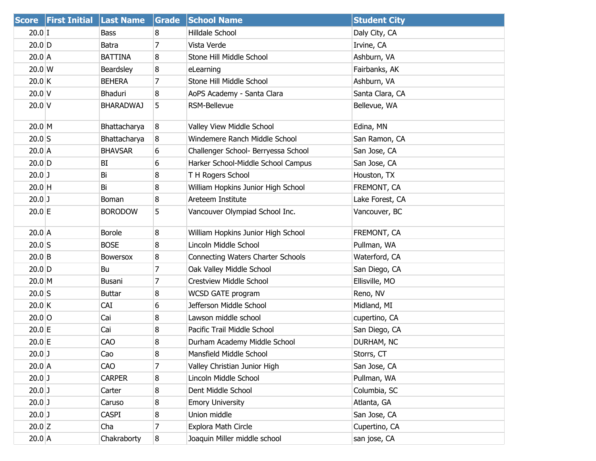|          | Score First Initial Last Name |                  | Grade | <b>School Name</b>                  | <b>Student City</b> |
|----------|-------------------------------|------------------|-------|-------------------------------------|---------------------|
| $20.0$ I |                               | <b>Bass</b>      | 8     | Hilldale School                     | Daly City, CA       |
| $20.0$ D |                               | <b>Batra</b>     | 7     | Vista Verde                         | Irvine, CA          |
| $20.0$ A |                               | <b>BATTINA</b>   | 8     | Stone Hill Middle School            | Ashburn, VA         |
| 20.0 W   |                               | Beardsley        | 8     | eLearning                           | Fairbanks, AK       |
| 20.0 K   |                               | <b>BEHERA</b>    | 7     | Stone Hill Middle School            | Ashburn, VA         |
| 20.0V    |                               | Bhaduri          | 8     | AoPS Academy - Santa Clara          | Santa Clara, CA     |
| $20.0$ V |                               | <b>BHARADWAJ</b> | 5     | <b>RSM-Bellevue</b>                 | Bellevue, WA        |
| $20.0$ M |                               | Bhattacharya     | 8     | Valley View Middle School           | Edina, MN           |
| $20.0$ S |                               | Bhattacharya     | 8     | Windemere Ranch Middle School       | San Ramon, CA       |
| $20.0$ A |                               | <b>BHAVSAR</b>   | 6     | Challenger School- Berryessa School | San Jose, CA        |
| $20.0$ D |                               | BI               | 6     | Harker School-Middle School Campus  | San Jose, CA        |
| $20.0$ J |                               | Bi               | 8     | T H Rogers School                   | Houston, TX         |
| $20.0$ H |                               | Bi               | 8     | William Hopkins Junior High School  | FREMONT, CA         |
| $20.0$ J |                               | Boman            | 8     | Areteem Institute                   | Lake Forest, CA     |
| $20.0$ E |                               | <b>BORODOW</b>   | 5     | Vancouver Olympiad School Inc.      | Vancouver, BC       |
| $20.0$ A |                               | <b>Borole</b>    | 8     | William Hopkins Junior High School  | FREMONT, CA         |
| $20.0$ S |                               | <b>BOSE</b>      | 8     | Lincoln Middle School               | Pullman, WA         |
| $20.0$ B |                               | <b>Bowersox</b>  | 8     | Connecting Waters Charter Schools   | Waterford, CA       |
| $20.0$ D |                               | Bu               | 7     | Oak Valley Middle School            | San Diego, CA       |
| $20.0$ M |                               | Busani           | 7     | Crestview Middle School             | Ellisville, MO      |
| $20.0$ S |                               | <b>Buttar</b>    | 8     | WCSD GATE program                   | Reno, NV            |
| 20.0 K   |                               | <b>CAI</b>       | 6     | Jefferson Middle School             | Midland, MI         |
| $20.0$ O |                               | Cai              | 8     | Lawson middle school                | cupertino, CA       |
| $20.0$ E |                               | Cai              | 8     | Pacific Trail Middle School         | San Diego, CA       |
| 20.0 E   |                               | CAO              | 8     | Durham Academy Middle School        | DURHAM, NC          |
| $20.0$ J |                               | Cao              | 8     | Mansfield Middle School             | Storrs, CT          |
| $20.0$ A |                               | <b>CAO</b>       | 7     | Valley Christian Junior High        | San Jose, CA        |
| $20.0$ J |                               | <b>CARPER</b>    | 8     | Lincoln Middle School               | Pullman, WA         |
| $20.0$ J |                               | Carter           | 8     | Dent Middle School                  | Columbia, SC        |
| $20.0$ J |                               | Caruso           | 8     | <b>Emory University</b>             | Atlanta, GA         |
| $20.0$ J |                               | <b>CASPI</b>     | 8     | Union middle                        | San Jose, CA        |
| $20.0$ Z |                               | Cha              | 7     | Explora Math Circle                 | Cupertino, CA       |
| $20.0$ A |                               | Chakraborty      | 8     | Joaquin Miller middle school        | san jose, CA        |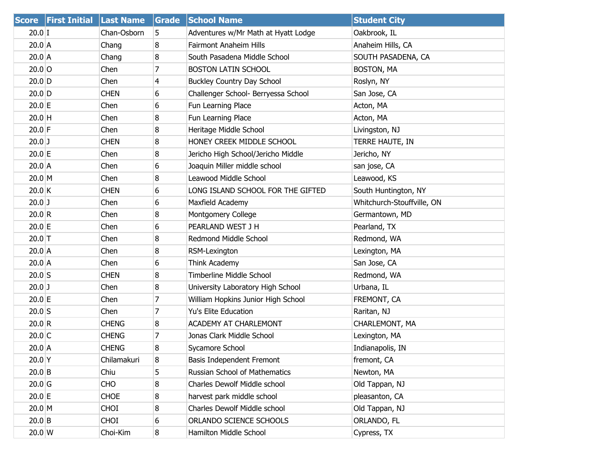|                 | <b>Score First Initial Last Name</b> |              | Grade | <b>School Name</b>                  | <b>Student City</b>        |
|-----------------|--------------------------------------|--------------|-------|-------------------------------------|----------------------------|
| $20.0$ I        |                                      | Chan-Osborn  | 5     | Adventures w/Mr Math at Hyatt Lodge | Oakbrook, IL               |
| $20.0$ A        |                                      | Chang        | 8     | <b>Fairmont Anaheim Hills</b>       | Anaheim Hills, CA          |
| $20.0$ A        |                                      | Chang        | 8     | South Pasadena Middle School        | SOUTH PASADENA, CA         |
| $20.0$ O        |                                      | Chen         | 7     | <b>BOSTON LATIN SCHOOL</b>          | <b>BOSTON, MA</b>          |
| $20.0$ D        |                                      | Chen         | 4     | <b>Buckley Country Day School</b>   | Roslyn, NY                 |
| $20.0$ D        |                                      | <b>CHEN</b>  | 6     | Challenger School- Berryessa School | San Jose, CA               |
| 20.0 E          |                                      | Chen         | 6     | Fun Learning Place                  | Acton, MA                  |
| $20.0$ H        |                                      | Chen         | 8     | Fun Learning Place                  | Acton, MA                  |
| $20.0$ F        |                                      | Chen         | 8     | Heritage Middle School              | Livingston, NJ             |
| $20.0$ J        |                                      | <b>CHEN</b>  | 8     | HONEY CREEK MIDDLE SCHOOL           | TERRE HAUTE, IN            |
| 20.0 E          |                                      | Chen         | 8     | Jericho High School/Jericho Middle  | Jericho, NY                |
| $20.0$ A        |                                      | Chen         | 6     | Joaquin Miller middle school        | san jose, CA               |
| $20.0$ M        |                                      | Chen         | 8     | Leawood Middle School               | Leawood, KS                |
| $20.0$ K        |                                      | <b>CHEN</b>  | 6     | LONG ISLAND SCHOOL FOR THE GIFTED   | South Huntington, NY       |
| $20.0$ J        |                                      | Chen         | 6     | Maxfield Academy                    | Whitchurch-Stouffville, ON |
| 20.0 R          |                                      | Chen         | 8     | Montgomery College                  | Germantown, MD             |
| 20.0 E          |                                      | Chen         | 6     | PEARLAND WEST J H                   | Pearland, TX               |
| $20.0$ T        |                                      | Chen         | 8     | Redmond Middle School               | Redmond, WA                |
| $20.0$ A        |                                      | Chen         | 8     | RSM-Lexington                       | Lexington, MA              |
| $20.0$ A        |                                      | Chen         | 6     | Think Academy                       | San Jose, CA               |
| $20.0$ S        |                                      | <b>CHEN</b>  | 8     | <b>Timberline Middle School</b>     | Redmond, WA                |
| $20.0$ J        |                                      | Chen         | 8     | University Laboratory High School   | Urbana, IL                 |
| 20.0 E          |                                      | Chen         | 7     | William Hopkins Junior High School  | FREMONT, CA                |
| $20.0$ S        |                                      | Chen         | 7     | Yu's Elite Education                | Raritan, NJ                |
| 20.0 R          |                                      | <b>CHENG</b> | 8     | <b>ACADEMY AT CHARLEMONT</b>        | CHARLEMONT, MA             |
| $20.0$ C        |                                      | <b>CHENG</b> | 7     | Jonas Clark Middle School           | Lexington, MA              |
| $20.0$ A        |                                      | <b>CHENG</b> | 8     | Sycamore School                     | Indianapolis, IN           |
| $20.0$ Y        |                                      | Chilamakuri  | 8     | Basis Independent Fremont           | fremont, CA                |
| $20.0$ B        |                                      | Chiu         | 5     | Russian School of Mathematics       | Newton, MA                 |
| $20.0$ G        |                                      | <b>CHO</b>   | 8     | Charles Dewolf Middle school        | Old Tappan, NJ             |
| $20.0$ E        |                                      | <b>CHOE</b>  | 8     | harvest park middle school          | pleasanton, CA             |
| $20.0$ M        |                                      | <b>CHOI</b>  | 8     | Charles Dewolf Middle school        | Old Tappan, NJ             |
| $20.0$ B        |                                      | <b>CHOI</b>  | 6     | ORLANDO SCIENCE SCHOOLS             | ORLANDO, FL                |
| $20.0 \text{W}$ |                                      | Choi-Kim     | 8     | Hamilton Middle School              | Cypress, TX                |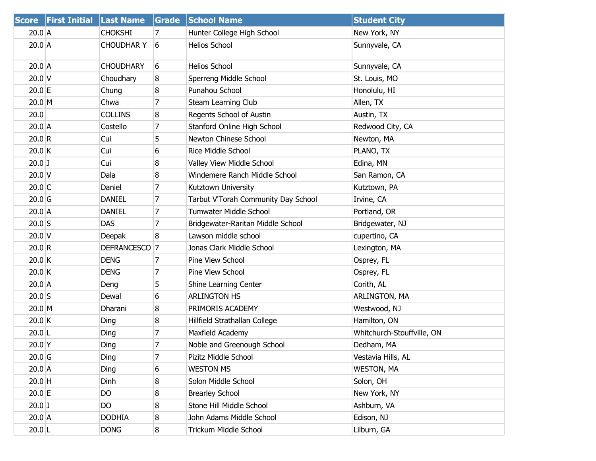| <b>Score</b>      | <b>First Initial</b> | <b>Last Name</b>          | Grade           | <b>School Name</b>                  | <b>Student City</b>        |
|-------------------|----------------------|---------------------------|-----------------|-------------------------------------|----------------------------|
| $20.0$ A          |                      | <b>CHOKSHI</b>            | 7               | Hunter College High School          | New York, NY               |
| $20.0$ A          |                      | <b>CHOUDHAR Y</b>         | $6 \frac{1}{2}$ | <b>Helios School</b>                | Sunnyvale, CA              |
| $20.0$ A          |                      | <b>CHOUDHARY</b>          | 6               | <b>Helios School</b>                | Sunnyvale, CA              |
| $20.0$ V          |                      | Choudhary                 | 8               | Sperreng Middle School              | St. Louis, MO              |
| $20.0$ E          |                      | Chung                     | 8               | Punahou School                      | Honolulu, HI               |
| $20.0$ M          |                      | Chwa                      | 7               | Steam Learning Club                 | Allen, TX                  |
| 20.0              |                      | <b>COLLINS</b>            | 8               | Regents School of Austin            | Austin, TX                 |
| $20.0$ A          |                      | Costello                  | 7               | Stanford Online High School         | Redwood City, CA           |
| 20.0 R            |                      | Cui                       | 5               | Newton Chinese School               | Newton, MA                 |
| 20.0 K            |                      | Cui                       | 6               | <b>Rice Middle School</b>           | PLANO, TX                  |
| $20.0$ J          |                      | Cui                       | 8               | Valley View Middle School           | Edina, MN                  |
| $20.0$ V          |                      | Dala                      | 8               | Windemere Ranch Middle School       | San Ramon, CA              |
| $20.0$ C          |                      | Daniel                    | $\overline{7}$  | Kutztown University                 | Kutztown, PA               |
| 20.0 <sub>G</sub> |                      | <b>DANIEL</b>             | 7               | Tarbut V'Torah Community Day School | Irvine, CA                 |
| $20.0$ A          |                      | <b>DANIEL</b>             | 7               | <b>Tumwater Middle School</b>       | Portland, OR               |
| $20.0$ S          |                      | <b>DAS</b>                | 7               | Bridgewater-Raritan Middle School   | Bridgewater, NJ            |
| $20.0$ V          |                      | Deepak                    | 8               | Lawson middle school                | cupertino, CA              |
| 20.0 R            |                      | DEFRANCESCO <sup>17</sup> |                 | Jonas Clark Middle School           | Lexington, MA              |
| 20.0 K            |                      | <b>DENG</b>               | 7               | Pine View School                    | Osprey, FL                 |
| 20.0 K            |                      | <b>DENG</b>               | 7               | Pine View School                    | Osprey, FL                 |
| $20.0$ A          |                      | Deng                      | 5               | Shine Learning Center               | Corith, AL                 |
| $20.0$ S          |                      | Dewal                     | 6               | <b>ARLINGTON HS</b>                 | ARLINGTON, MA              |
| $20.0$ M          |                      | Dharani                   | 8               | PRIMORIS ACADEMY                    | Westwood, NJ               |
| $20.0$ K          |                      | Ding                      | 8               | Hillfield Strathallan College       | Hamilton, ON               |
| $20.0$ L          |                      | Ding                      | 7               | Maxfield Academy                    | Whitchurch-Stouffville, ON |
| $20.0$ Y          |                      | Ding                      | 7               | Noble and Greenough School          | Dedham, MA                 |
| $20.0$ G          |                      | Ding                      | 7               | Pizitz Middle School                | Vestavia Hills, AL         |
| $20.0$ A          |                      | Ding                      | 6               | <b>WESTON MS</b>                    | <b>WESTON, MA</b>          |
| $20.0$ H          |                      | Dinh                      | 8               | Solon Middle School                 | Solon, OH                  |
| 20.0 E            |                      | <b>DO</b>                 | 8               | <b>Brearley School</b>              | New York, NY               |
| $20.0$ J          |                      | DO                        | 8               | Stone Hill Middle School            | Ashburn, VA                |
| $20.0$ A          |                      | <b>DODHIA</b>             | 8               | John Adams Middle School            | Edison, NJ                 |
| 20.0 L            |                      | <b>DONG</b>               | 8               | Trickum Middle School               | Lilburn, GA                |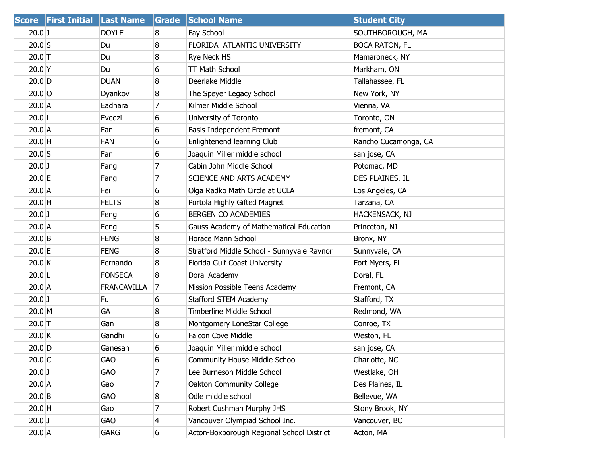|           | Score   First Initial   Last Name |                    | Grade | <b>School Name</b>                         | <b>Student City</b>   |
|-----------|-----------------------------------|--------------------|-------|--------------------------------------------|-----------------------|
| $20.0$ J  |                                   | <b>DOYLE</b>       | 8     | Fay School                                 | SOUTHBOROUGH, MA      |
| $20.0$ S  |                                   | Du                 | 8     | FLORIDA ATLANTIC UNIVERSITY                | <b>BOCA RATON, FL</b> |
| $20.0$ T  |                                   | Du                 | 8     | Rye Neck HS                                | Mamaroneck, NY        |
| $20.0$ Y  |                                   | Du                 | 6     | <b>TT Math School</b>                      | Markham, ON           |
| $20.0$ D  |                                   | <b>DUAN</b>        | 8     | Deerlake Middle                            | Tallahassee, FL       |
| $20.0$ O  |                                   | Dyankov            | 8     | The Speyer Legacy School                   | New York, NY          |
| $20.0$ A  |                                   | Eadhara            | 7     | Kilmer Middle School                       | Vienna, VA            |
| $20.0$  L |                                   | Evedzi             | 6     | University of Toronto                      | Toronto, ON           |
| $20.0$ A  |                                   | Fan                | 6     | Basis Independent Fremont                  | fremont, CA           |
| $20.0$ H  |                                   | <b>FAN</b>         | 6     | Enlightenend learning Club                 | Rancho Cucamonga, CA  |
| $20.0$ S  |                                   | Fan                | 6     | Joaquin Miller middle school               | san jose, CA          |
| $20.0$ J  |                                   | Fang               | 7     | Cabin John Middle School                   | Potomac, MD           |
| $20.0$ E  |                                   | Fang               | 7     | SCIENCE AND ARTS ACADEMY                   | DES PLAINES, IL       |
| $20.0$ A  |                                   | Fei                | 6     | Olga Radko Math Circle at UCLA             | Los Angeles, CA       |
| $20.0$ H  |                                   | <b>FELTS</b>       | 8     | Portola Highly Gifted Magnet               | Tarzana, CA           |
| $20.0$ J  |                                   | Feng               | 6     | BERGEN CO ACADEMIES                        | HACKENSACK, NJ        |
| $20.0$ A  |                                   | Feng               | 5     | Gauss Academy of Mathematical Education    | Princeton, NJ         |
| $20.0$ B  |                                   | <b>FENG</b>        | 8     | Horace Mann School                         | Bronx, NY             |
| $20.0$ E  |                                   | <b>FENG</b>        | 8     | Stratford Middle School - Sunnyvale Raynor | Sunnyvale, CA         |
| 20.0 K    |                                   | Fernando           | 8     | Florida Gulf Coast University              | Fort Myers, FL        |
| 20.0 L    |                                   | <b>FONSECA</b>     | 8     | Doral Academy                              | Doral, FL             |
| $20.0$ A  |                                   | <b>FRANCAVILLA</b> | 7     | Mission Possible Teens Academy             | Fremont, CA           |
| $20.0$ J  |                                   | Fu                 | 6     | Stafford STEM Academy                      | Stafford, TX          |
| $20.0$ M  |                                   | GA                 | 8     | Timberline Middle School                   | Redmond, WA           |
| $20.0$ T  |                                   | Gan                | 8     | Montgomery LoneStar College                | Conroe, TX            |
| $20.0$ K  |                                   | Gandhi             | 6     | <b>Falcon Cove Middle</b>                  | Weston, FL            |
| $20.0$ D  |                                   | Ganesan            | 6     | Joaquin Miller middle school               | san jose, CA          |
| $20.0$ C  |                                   | GAO                | 6     | <b>Community House Middle School</b>       | Charlotte, NC         |
| $20.0$ J  |                                   | <b>GAO</b>         | 7     | Lee Burneson Middle School                 | Westlake, OH          |
| $20.0$ A  |                                   | Gao                | 7     | Oakton Community College                   | Des Plaines, IL       |
| $20.0$ B  |                                   | <b>GAO</b>         | 8     | Odle middle school                         | Bellevue, WA          |
| $20.0$ H  |                                   | Gao                | 7     | Robert Cushman Murphy JHS                  | Stony Brook, NY       |
| $20.0$ J  |                                   | <b>GAO</b>         | 4     | Vancouver Olympiad School Inc.             | Vancouver, BC         |
| 20.0 A    |                                   | <b>GARG</b>        | 6     | Acton-Boxborough Regional School District  | Acton, MA             |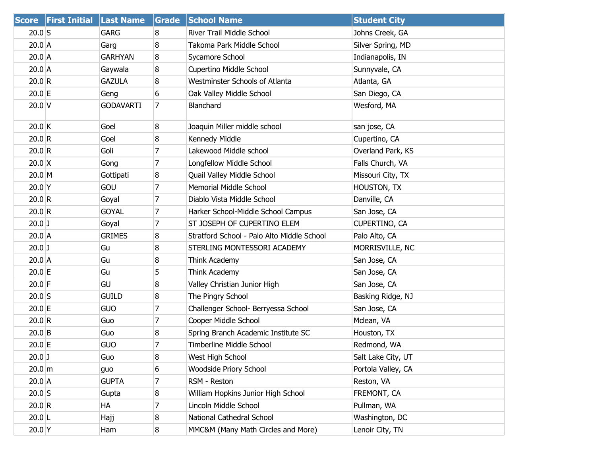| <b>Score</b>       | <b>First Initial</b> | <b>Last Name</b> | Grade            | <b>School Name</b>                         | <b>Student City</b> |
|--------------------|----------------------|------------------|------------------|--------------------------------------------|---------------------|
| $20.0$ S           |                      | <b>GARG</b>      | 8                | River Trail Middle School                  | Johns Creek, GA     |
| $20.0$ A           |                      | Garg             | 8                | Takoma Park Middle School                  | Silver Spring, MD   |
| $20.0$ A           |                      | <b>GARHYAN</b>   | 8                | Sycamore School                            | Indianapolis, IN    |
| $20.0$ A           |                      | Gaywala          | 8                | Cupertino Middle School                    | Sunnyvale, CA       |
| 20.0 R             |                      | <b>GAZULA</b>    | 8                | Westminster Schools of Atlanta             | Atlanta, GA         |
| $20.0$ E           |                      | Geng             | 6                | Oak Valley Middle School                   | San Diego, CA       |
| $20.0$ V           |                      | <b>GODAVARTI</b> | 7                | Blanchard                                  | Wesford, MA         |
| $20.0$ K           |                      | Goel             | 8                | Joaquin Miller middle school               | san jose, CA        |
| 20.0 R             |                      | Goel             | 8                | Kennedy Middle                             | Cupertino, CA       |
| 20.0 R             |                      | Goli             | $\overline{7}$   | Lakewood Middle school                     | Overland Park, KS   |
| $20.0$ X           |                      | Gong             | 7                | Longfellow Middle School                   | Falls Church, VA    |
| $20.0$ M           |                      | Gottipati        | 8                | Quail Valley Middle School                 | Missouri City, TX   |
| $20.0$ Y           |                      | GOU              | 7                | <b>Memorial Middle School</b>              | <b>HOUSTON, TX</b>  |
| 20.0 R             |                      | Goyal            | 7                | Diablo Vista Middle School                 | Danville, CA        |
| 20.0 R             |                      | <b>GOYAL</b>     | 7                | Harker School-Middle School Campus         | San Jose, CA        |
| $20.0$ J           |                      | Goyal            | 7                | ST JOSEPH OF CUPERTINO ELEM                | CUPERTINO, CA       |
| $20.0$ A           |                      | <b>GRIMES</b>    | 8                | Stratford School - Palo Alto Middle School | Palo Alto, CA       |
| $20.0$ J           |                      | Gu               | 8                | STERLING MONTESSORI ACADEMY                | MORRISVILLE, NC     |
| $20.0$ A           |                      | Gu               | 8                | Think Academy                              | San Jose, CA        |
| 20.0 E             |                      | Gu               | 5                | Think Academy                              | San Jose, CA        |
| $20.0$ F           |                      | GU               | 8                | Valley Christian Junior High               | San Jose, CA        |
| $20.0$ S           |                      | <b>GUILD</b>     | 8                | The Pingry School                          | Basking Ridge, NJ   |
| 20.0 E             |                      | GUO              | 7                | Challenger School- Berryessa School        | San Jose, CA        |
| 20.0 R             |                      | Guo              | 7                | Cooper Middle School                       | Mclean, VA          |
| $20.0$ B           |                      | Guo              | 8                | Spring Branch Academic Institute SC        | Houston, TX         |
| 20.0 E             |                      | GUO              | 7                | Timberline Middle School                   | Redmond, WA         |
| $20.0$ J           |                      | Guo              | 8                | West High School                           | Salt Lake City, UT  |
| $20.0 \, \text{m}$ |                      | guo              | 6                | Woodside Priory School                     | Portola Valley, CA  |
| 20.0 A             |                      | <b>GUPTA</b>     | 7                | RSM - Reston                               | Reston, VA          |
| $20.0$ S           |                      | Gupta            | 8                | William Hopkins Junior High School         | FREMONT, CA         |
| 20.0 R             |                      | НA               | 7                | Lincoln Middle School                      | Pullman, WA         |
| $20.0$  L          |                      | Hajj             | 8                | National Cathedral School                  | Washington, DC      |
| $20.0$ Y           |                      | Ham              | $\boldsymbol{8}$ | MMC&M (Many Math Circles and More)         | Lenoir City, TN     |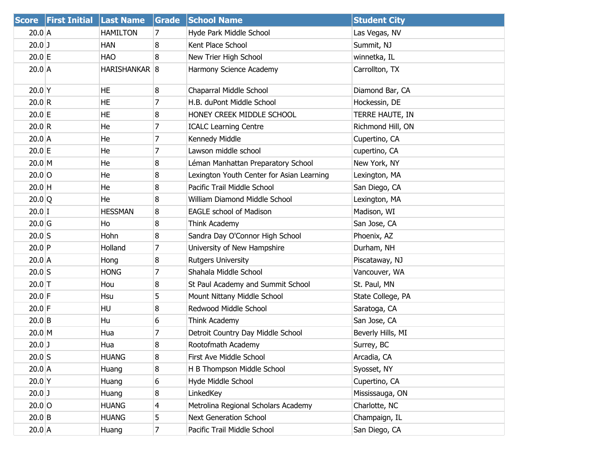| <b>Score</b>        | <b>First Initial Last Name</b> |                 | Grade | <b>School Name</b>                        | <b>Student City</b> |
|---------------------|--------------------------------|-----------------|-------|-------------------------------------------|---------------------|
| $20.0$ A            |                                | <b>HAMILTON</b> | 7     | Hyde Park Middle School                   | Las Vegas, NV       |
| $20.0$ J            |                                | <b>HAN</b>      | 8     | Kent Place School                         | Summit, NJ          |
| 20.0 E              |                                | <b>HAO</b>      | 8     | New Trier High School                     | winnetka, IL        |
| $20.0$ A            |                                | HARISHANKAR 8   |       | Harmony Science Academy                   | Carrollton, TX      |
| $20.0$ Y            |                                | HE              | 8     | Chaparral Middle School                   | Diamond Bar, CA     |
| 20.0 R              |                                | HE              | 7     | H.B. duPont Middle School                 | Hockessin, DE       |
| 20.0 E              |                                | HE              | 8     | HONEY CREEK MIDDLE SCHOOL                 | TERRE HAUTE, IN     |
| 20.0 R              |                                | He              | 7     | <b>ICALC Learning Centre</b>              | Richmond Hill, ON   |
| $20.0$ A            |                                | He              | 7     | Kennedy Middle                            | Cupertino, CA       |
| 20.0 E              |                                | He              | 7     | Lawson middle school                      | cupertino, CA       |
| $20.0 \, M$         |                                | He              | 8     | Léman Manhattan Preparatory School        | New York, NY        |
| $20.0$ O            |                                | He              | 8     | Lexington Youth Center for Asian Learning | Lexington, MA       |
| $20.0$ H            |                                | He              | 8     | Pacific Trail Middle School               | San Diego, CA       |
| $20.0$ <sup>Q</sup> |                                | He              | 8     | <b>William Diamond Middle School</b>      | Lexington, MA       |
| $20.0$ I            |                                | <b>HESSMAN</b>  | 8     | <b>EAGLE school of Madison</b>            | Madison, WI         |
| 20.0 <sub>G</sub>   |                                | Ho              | 8     | Think Academy                             | San Jose, CA        |
| $20.0$ S            |                                | Hohn            | 8     | Sandra Day O'Connor High School           | Phoenix, AZ         |
| $20.0$ P            |                                | Holland         | 7     | University of New Hampshire               | Durham, NH          |
| 20.0 A              |                                | Hong            | 8     | <b>Rutgers University</b>                 | Piscataway, NJ      |
| $20.0$ S            |                                | <b>HONG</b>     | 7     | Shahala Middle School                     | Vancouver, WA       |
| $20.0$ T            |                                | Hou             | 8     | St Paul Academy and Summit School         | St. Paul, MN        |
| $20.0$ F            |                                | Hsu             | 5     | Mount Nittany Middle School               | State College, PA   |
| $20.0$ F            |                                | HU              | 8     | Redwood Middle School                     | Saratoga, CA        |
| $20.0$ B            |                                | Hu              | 6     | Think Academy                             | San Jose, CA        |
| 20.0 M              |                                | Hua             | 7     | Detroit Country Day Middle School         | Beverly Hills, MI   |
| $20.0$ J            |                                | Hua             | 8     | Rootofmath Academy                        | Surrey, BC          |
| $20.0$ S            |                                | <b>HUANG</b>    | 8     | First Ave Middle School                   | Arcadia, CA         |
| $20.0$ A            |                                | Huang           | 8     | H B Thompson Middle School                | Syosset, NY         |
| $20.0$ Y            |                                | Huang           | 6     | Hyde Middle School                        | Cupertino, CA       |
| $20.0$ J            |                                | Huang           | 8     | LinkedKey                                 | Mississauga, ON     |
| $20.0$ O            |                                | <b>HUANG</b>    | 4     | Metrolina Regional Scholars Academy       | Charlotte, NC       |
| $20.0$ B            |                                | <b>HUANG</b>    | 5     | <b>Next Generation School</b>             | Champaign, IL       |
| $20.0$ A            |                                | Huang           | 7     | Pacific Trail Middle School               | San Diego, CA       |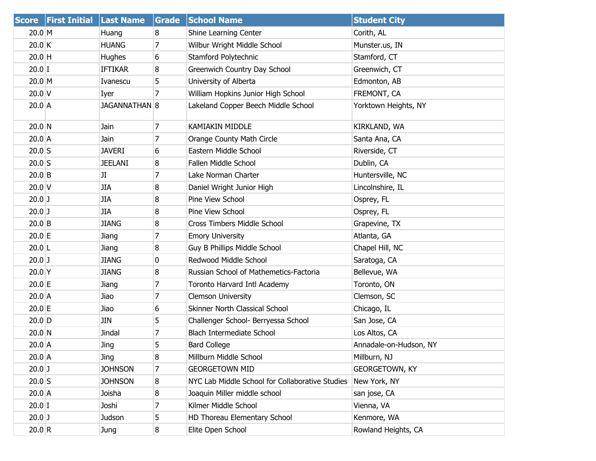| <b>Score</b> | <b>First Initial</b> | <b>Last Name</b> | <b>Grade</b> | <b>School Name</b>                              | <b>Student City</b>    |
|--------------|----------------------|------------------|--------------|-------------------------------------------------|------------------------|
| $20.0$ M     |                      | Huang            | 8            | Shine Learning Center                           | Corith, AL             |
| 20.0 K       |                      | <b>HUANG</b>     | 7            | Wilbur Wright Middle School                     | Munster.us, IN         |
| $20.0$ H     |                      | <b>Hughes</b>    | 6            | Stamford Polytechnic                            | Stamford, CT           |
| $20.0$ I     |                      | <b>IFTIKAR</b>   | 8            | Greenwich Country Day School                    | Greenwich, CT          |
| $20.0$ M     |                      | Ivanescu         | 5            | University of Alberta                           | Edmonton, AB           |
| $20.0$ V     |                      | Iyer             | 7            | William Hopkins Junior High School              | FREMONT, CA            |
| $20.0$ A     |                      | JAGANNATHAN 8    |              | Lakeland Copper Beech Middle School             | Yorktown Heights, NY   |
| 20.0 N       |                      | Jain             | 7            | <b>KAMIAKIN MIDDLE</b>                          | KIRKLAND, WA           |
| $20.0$ A     |                      | Jain             | 7            | Orange County Math Circle                       | Santa Ana, CA          |
| $20.0$ S     |                      | <b>JAVERI</b>    | 6            | Eastern Middle School                           | Riverside, CT          |
| $20.0$ S     |                      | <b>JEELANI</b>   | 8            | Fallen Middle School                            | Dublin, CA             |
| $20.0$ B     |                      | JI               | 7            | Lake Norman Charter                             | Huntersville, NC       |
| $20.0$ V     |                      | <b>JIA</b>       | 8            | Daniel Wright Junior High                       | Lincolnshire, IL       |
| $20.0$ J     |                      | <b>JIA</b>       | 8            | Pine View School                                | Osprey, FL             |
| $20.0$ J     |                      | <b>JIA</b>       | 8            | Pine View School                                | Osprey, FL             |
| $20.0$ B     |                      | <b>JIANG</b>     | 8            | Cross Timbers Middle School                     | Grapevine, TX          |
| 20.0 E       |                      | Jiang            | 7            | <b>Emory University</b>                         | Atlanta, GA            |
| $20.0$ L     |                      | Jiang            | 8            | Guy B Phillips Middle School                    | Chapel Hill, NC        |
| $20.0$ J     |                      | <b>JIANG</b>     | 0            | Redwood Middle School                           | Saratoga, CA           |
| $20.0$ Y     |                      | <b>JIANG</b>     | 8            | Russian School of Mathemetics-Factoria          | Bellevue, WA           |
| $20.0$ E     |                      | Jiang            | 7            | Toronto Harvard Intl Academy                    | Toronto, ON            |
| $20.0$ A     |                      | Jiao             | 7            | <b>Clemson University</b>                       | Clemson, SC            |
| 20.0 E       |                      | Jiao             | 6            | Skinner North Classical School                  | Chicago, IL            |
| $20.0$ D     |                      | JIN              | 5            | Challenger School- Berryessa School             | San Jose, CA           |
| 20.0 N       |                      | Jindal           | 7            | <b>Blach Intermediate School</b>                | Los Altos, CA          |
| $20.0$ A     |                      | Jing             | 5            | <b>Bard College</b>                             | Annadale-on-Hudson, NY |
| $20.0$ A     |                      | Jing             | 8            | Millburn Middle School                          | Millburn, NJ           |
| $20.0$ J     |                      | <b>JOHNSON</b>   | 7            | <b>GEORGETOWN MID</b>                           | <b>GEORGETOWN, KY</b>  |
| $20.0$ S     |                      | <b>JOHNSON</b>   | 8            | NYC Lab Middle School for Collaborative Studies | New York, NY           |
| 20.0 A       |                      | Joisha           | 8            | Joaquin Miller middle school                    | san jose, CA           |
| $20.0$ I     |                      | Joshi            | 7            | Kilmer Middle School                            | Vienna, VA             |
| $20.0$ J     |                      | Judson           | 5            | HD Thoreau Elementary School                    | Kenmore, WA            |
| 20.0 R       |                      | Jung             | 8            | Elite Open School                               | Rowland Heights, CA    |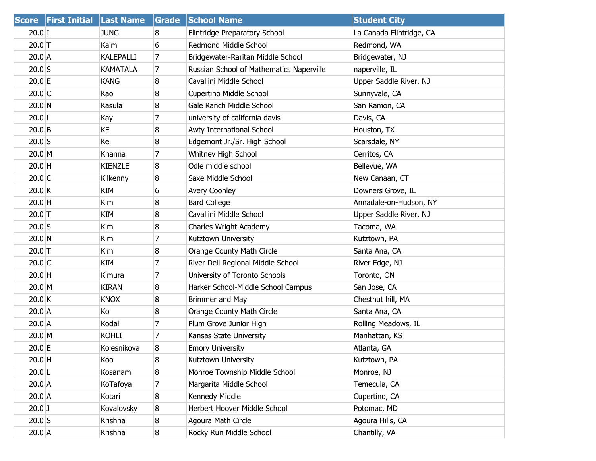|           | <b>Score First Initial Last Name</b> |                 | Grade | <b>School Name</b>                       | <b>Student City</b>      |
|-----------|--------------------------------------|-----------------|-------|------------------------------------------|--------------------------|
| $20.0$ I  |                                      | <b>JUNG</b>     | 8     | Flintridge Preparatory School            | La Canada Flintridge, CA |
| $20.0$ T  |                                      | Kaim            | 6     | Redmond Middle School                    | Redmond, WA              |
| $20.0$ A  |                                      | KALEPALLI       | 7     | Bridgewater-Raritan Middle School        | Bridgewater, NJ          |
| $20.0$ S  |                                      | <b>KAMATALA</b> | 7     | Russian School of Mathematics Naperville | naperville, IL           |
| $20.0$ E  |                                      | <b>KANG</b>     | 8     | Cavallini Middle School                  | Upper Saddle River, NJ   |
| $20.0$ C  |                                      | Kao             | 8     | Cupertino Middle School                  | Sunnyvale, CA            |
| 20.0 N    |                                      | Kasula          | 8     | Gale Ranch Middle School                 | San Ramon, CA            |
| $20.0$  L |                                      | Kay             | 7     | university of california davis           | Davis, CA                |
| $20.0$ B  |                                      | KE              | 8     | Awty International School                | Houston, TX              |
| $20.0$ S  |                                      | Кe              | 8     | Edgemont Jr./Sr. High School             | Scarsdale, NY            |
| $20.0$ M  |                                      | Khanna          | 7     | Whitney High School                      | Cerritos, CA             |
| $20.0$ H  |                                      | <b>KIENZLE</b>  | 8     | Odle middle school                       | Bellevue, WA             |
| $20.0$ C  |                                      | Kilkenny        | 8     | Saxe Middle School                       | New Canaan, CT           |
| $20.0$ K  |                                      | KIM             | 6     | <b>Avery Coonley</b>                     | Downers Grove, IL        |
| $20.0$ H  |                                      | Kim             | 8     | <b>Bard College</b>                      | Annadale-on-Hudson, NY   |
| $20.0$ T  |                                      | KIM             | 8     | Cavallini Middle School                  | Upper Saddle River, NJ   |
| $20.0$ S  |                                      | Kim             | 8     | Charles Wright Academy                   | Tacoma, WA               |
| 20.0 N    |                                      | Kim             | 7     | Kutztown University                      | Kutztown, PA             |
| $20.0$ T  |                                      | Kim             | 8     | Orange County Math Circle                | Santa Ana, CA            |
| $20.0$ C  |                                      | KIM             | 7     | River Dell Regional Middle School        | River Edge, NJ           |
| $20.0$ H  |                                      | Kimura          | 7     | University of Toronto Schools            | Toronto, ON              |
| $20.0$ M  |                                      | <b>KIRAN</b>    | 8     | Harker School-Middle School Campus       | San Jose, CA             |
| 20.0 K    |                                      | <b>KNOX</b>     | 8     | Brimmer and May                          | Chestnut hill, MA        |
| $20.0$ A  |                                      | Ko              | 8     | Orange County Math Circle                | Santa Ana, CA            |
| $20.0$ A  |                                      | Kodali          | 7     | Plum Grove Junior High                   | Rolling Meadows, IL      |
| 20.0 M    |                                      | <b>KOHLI</b>    | 7     | Kansas State University                  | Manhattan, KS            |
| $20.0$ E  |                                      | Kolesnikova     | 8     | <b>Emory University</b>                  | Atlanta, GA              |
| $20.0$ H  |                                      | Koo             | 8     | Kutztown University                      | Kutztown, PA             |
| $20.0$  L |                                      | Kosanam         | 8     | Monroe Township Middle School            | Monroe, NJ               |
| 20.0 A    |                                      | KoTafoya        | 7     | Margarita Middle School                  | Temecula, CA             |
| $20.0$ A  |                                      | Kotari          | 8     | Kennedy Middle                           | Cupertino, CA            |
| $20.0$ J  |                                      | Kovalovsky      | 8     | Herbert Hoover Middle School             | Potomac, MD              |
| $20.0$ S  |                                      | Krishna         | 8     | Agoura Math Circle                       | Agoura Hills, CA         |
| $20.0$ A  |                                      | Krishna         | 8     | Rocky Run Middle School                  | Chantilly, VA            |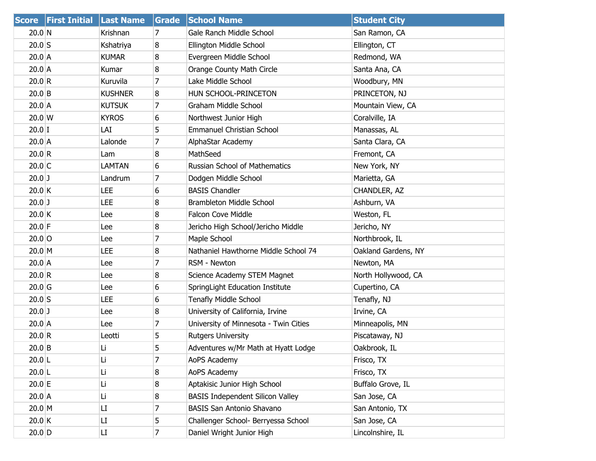| <b>Score</b>     | <b>First Initial</b> | <b>Last Name</b> | Grade          | <b>School Name</b>                      | <b>Student City</b> |
|------------------|----------------------|------------------|----------------|-----------------------------------------|---------------------|
| 20.0 N           |                      | Krishnan         | 7              | Gale Ranch Middle School                | San Ramon, CA       |
| $20.0$ S         |                      | Kshatriya        | 8              | Ellington Middle School                 | Ellington, CT       |
| $20.0$ A         |                      | <b>KUMAR</b>     | 8              | Evergreen Middle School                 | Redmond, WA         |
| $20.0$ A         |                      | Kumar            | 8              | Orange County Math Circle               | Santa Ana, CA       |
| 20.0 R           |                      | Kuruvila         | $\overline{7}$ | Lake Middle School                      | Woodbury, MN        |
| $20.0$ B         |                      | <b>KUSHNER</b>   | 8              | HUN SCHOOL-PRINCETON                    | PRINCETON, NJ       |
| $20.0$ A         |                      | <b>KUTSUK</b>    | 7              | Graham Middle School                    | Mountain View, CA   |
| $20.0 \text{ W}$ |                      | <b>KYROS</b>     | 6              | Northwest Junior High                   | Coralville, IA      |
| $20.0$ I         |                      | LAI              | 5              | <b>Emmanuel Christian School</b>        | Manassas, AL        |
| $20.0$ A         |                      | Lalonde          | 7              | AlphaStar Academy                       | Santa Clara, CA     |
| 20.0 R           |                      | Lam              | 8              | MathSeed                                | Fremont, CA         |
| $20.0$ C         |                      | <b>LAMTAN</b>    | 6              | Russian School of Mathematics           | New York, NY        |
| $20.0$ J         |                      | Landrum          | 7              | Dodgen Middle School                    | Marietta, GA        |
| $20.0$ K         |                      | LEE              | 6              | <b>BASIS Chandler</b>                   | CHANDLER, AZ        |
| $20.0$ J         |                      | LEE              | 8              | Brambleton Middle School                | Ashburn, VA         |
| $20.0$ K         |                      | Lee              | 8              | <b>Falcon Cove Middle</b>               | Weston, FL          |
| $20.0$ F         |                      | Lee              | 8              | Jericho High School/Jericho Middle      | Jericho, NY         |
| $20.0$ O         |                      | Lee              | 7              | Maple School                            | Northbrook, IL      |
| $20.0$ M         |                      | LEE              | 8              | Nathaniel Hawthorne Middle School 74    | Oakland Gardens, NY |
| $20.0$ A         |                      | Lee              | 7              | RSM - Newton                            | Newton, MA          |
| 20.0 R           |                      | Lee              | 8              | Science Academy STEM Magnet             | North Hollywood, CA |
| $20.0$ G         |                      | Lee              | 6              | SpringLight Education Institute         | Cupertino, CA       |
| $20.0$ S         |                      | LEE              | 6              | <b>Tenafly Middle School</b>            | Tenafly, NJ         |
| $20.0$ J         |                      | Lee              | 8              | University of California, Irvine        | Irvine, CA          |
| $20.0$ A         |                      | Lee              | 7              | University of Minnesota - Twin Cities   | Minneapolis, MN     |
| 20.0 R           |                      | Leotti           | 5              | <b>Rutgers University</b>               | Piscataway, NJ      |
| $20.0$ B         |                      | Li               | 5              | Adventures w/Mr Math at Hyatt Lodge     | Oakbrook, IL        |
| 20.0 L           |                      | Li               | $\overline{7}$ | AoPS Academy                            | Frisco, TX          |
| 20.0 L           |                      | Li               | 8              | AoPS Academy                            | Frisco, TX          |
| $20.0$ E         |                      | Li               | 8              | Aptakisic Junior High School            | Buffalo Grove, IL   |
| $20.0$ A         |                      | Li               | 8              | <b>BASIS Independent Silicon Valley</b> | San Jose, CA        |
| $20.0$ M         |                      | LI               | 7              | <b>BASIS San Antonio Shavano</b>        | San Antonio, TX     |
| 20.0 K           |                      | LI               | 5              | Challenger School- Berryessa School     | San Jose, CA        |
| $20.0$ D         |                      | LI               | $\overline{7}$ | Daniel Wright Junior High               | Lincolnshire, IL    |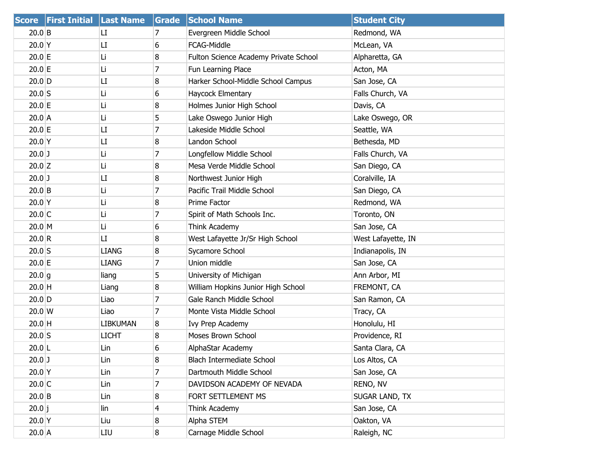|                  | Score First Initial Last Name |                 | <b>Grade</b> | <b>School Name</b>                    | <b>Student City</b> |
|------------------|-------------------------------|-----------------|--------------|---------------------------------------|---------------------|
| $20.0$ B         |                               | LI              | 7            | Evergreen Middle School               | Redmond, WA         |
| $20.0$ Y         |                               | LI              | 6            | FCAG-Middle                           | McLean, VA          |
| $20.0$ E         |                               | Li              | 8            | Fulton Science Academy Private School | Alpharetta, GA      |
| 20.0 E           |                               | Li              | 7            | Fun Learning Place                    | Acton, MA           |
| $20.0$ D         |                               | LI              | 8            | Harker School-Middle School Campus    | San Jose, CA        |
| $20.0$ S         |                               | Li              | 6            | Haycock Elmentary                     | Falls Church, VA    |
| 20.0 E           |                               | Li              | 8            | Holmes Junior High School             | Davis, CA           |
| 20.0 A           |                               | Li              | 5            | Lake Oswego Junior High               | Lake Oswego, OR     |
| 20.0 E           |                               | LI              | 7            | Lakeside Middle School                | Seattle, WA         |
| $20.0$ Y         |                               | LI              | 8            | Landon School                         | Bethesda, MD        |
| $20.0$ J         |                               | Li              | 7            | Longfellow Middle School              | Falls Church, VA    |
| $20.0$ Z         |                               | Li              | 8            | Mesa Verde Middle School              | San Diego, CA       |
| $20.0$ J         |                               | LI              | 8            | Northwest Junior High                 | Coralville, IA      |
| $20.0$ B         |                               | Li              | 7            | Pacific Trail Middle School           | San Diego, CA       |
| $20.0$ Y         |                               | Li              | 8            | Prime Factor                          | Redmond, WA         |
| $20.0$ C         |                               | Li              | 7            | Spirit of Math Schools Inc.           | Toronto, ON         |
| $20.0 \, M$      |                               | Li              | 6            | Think Academy                         | San Jose, CA        |
| 20.0 R           |                               | LI              | 8            | West Lafayette Jr/Sr High School      | West Lafayette, IN  |
| $20.0$ S         |                               | <b>LIANG</b>    | 8            | Sycamore School                       | Indianapolis, IN    |
| 20.0 E           |                               | <b>LIANG</b>    | 7            | Union middle                          | San Jose, CA        |
| 20.0 g           |                               | liang           | 5            | University of Michigan                | Ann Arbor, MI       |
| $20.0$ H         |                               | Liang           | 8            | William Hopkins Junior High School    | FREMONT, CA         |
| $20.0$ D         |                               | Liao            | 7            | Gale Ranch Middle School              | San Ramon, CA       |
| $20.0 \text{ W}$ |                               | Liao            | 7            | Monte Vista Middle School             | Tracy, CA           |
| $20.0$ H         |                               | <b>LIBKUMAN</b> | 8            | Ivy Prep Academy                      | Honolulu, HI        |
| $20.0$ S         |                               | <b>LICHT</b>    | 8            | Moses Brown School                    | Providence, RI      |
| $20.0$ L         |                               | Lin             | 6            | AlphaStar Academy                     | Santa Clara, CA     |
| $20.0$ J         |                               | Lin             | 8            | Blach Intermediate School             | Los Altos, CA       |
| 20.0 Y           |                               | Lin             | 7            | Dartmouth Middle School               | San Jose, CA        |
| $20.0$ C         |                               | Lin             | 7            | DAVIDSON ACADEMY OF NEVADA            | RENO, NV            |
| $20.0$ B         |                               | Lin             | 8            | FORT SETTLEMENT MS                    | SUGAR LAND, TX      |
| 20.0 j           |                               | lin             | 4            | Think Academy                         | San Jose, CA        |
| $20.0$ Y         |                               | Liu             | 8            | Alpha STEM                            | Oakton, VA          |
| $20.0$ A         |                               | LIU             | 8            | Carnage Middle School                 | Raleigh, NC         |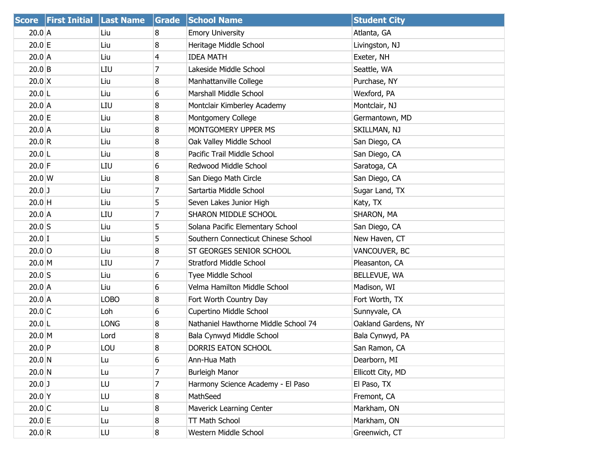|                  | Score First Initial Last Name |             | Grade | <b>School Name</b>                   | <b>Student City</b> |
|------------------|-------------------------------|-------------|-------|--------------------------------------|---------------------|
| $20.0$ A         |                               | Liu         | 8     | <b>Emory University</b>              | Atlanta, GA         |
| 20.0 E           |                               | Liu         | 8     | Heritage Middle School               | Livingston, NJ      |
| 20.0 A           |                               | Liu         | 4     | <b>IDEA MATH</b>                     | Exeter, NH          |
| $20.0$ B         |                               | LIU         | 7     | Lakeside Middle School               | Seattle, WA         |
| $20.0 \times$    |                               | Liu         | 8     | Manhattanville College               | Purchase, NY        |
| $20.0$  L        |                               | Liu         | 6     | Marshall Middle School               | Wexford, PA         |
| $20.0$ A         |                               | LIU         | 8     | Montclair Kimberley Academy          | Montclair, NJ       |
| $20.0$ E         |                               | Liu         | 8     | Montgomery College                   | Germantown, MD      |
| $20.0$ A         |                               | Liu         | 8     | MONTGOMERY UPPER MS                  | SKILLMAN, NJ        |
| 20.0 R           |                               | Liu         | 8     | Oak Valley Middle School             | San Diego, CA       |
| $20.0$ L         |                               | Liu         | 8     | Pacific Trail Middle School          | San Diego, CA       |
| $20.0$ F         |                               | LIU         | 6     | Redwood Middle School                | Saratoga, CA        |
| $20.0 \text{ W}$ |                               | Liu         | 8     | San Diego Math Circle                | San Diego, CA       |
| $20.0$ J         |                               | Liu         | 7     | Sartartia Middle School              | Sugar Land, TX      |
| $20.0$ H         |                               | Liu         | 5     | Seven Lakes Junior High              | Katy, TX            |
| $20.0$ A         |                               | LIU         | 7     | SHARON MIDDLE SCHOOL                 | SHARON, MA          |
| $20.0$ S         |                               | Liu         | 5     | Solana Pacific Elementary School     | San Diego, CA       |
| $20.0$ I         |                               | Liu         | 5     | Southern Connecticut Chinese School  | New Haven, CT       |
| $20.0$ O         |                               | Liu         | 8     | ST GEORGES SENIOR SCHOOL             | VANCOUVER, BC       |
| $20.0 \, M$      |                               | LIU         | 7     | <b>Stratford Middle School</b>       | Pleasanton, CA      |
| $20.0$ S         |                               | Liu         | 6     | Tyee Middle School                   | BELLEVUE, WA        |
| $20.0$ A         |                               | Liu         | 6     | Velma Hamilton Middle School         | Madison, WI         |
| 20.0 A           |                               | LOBO        | 8     | Fort Worth Country Day               | Fort Worth, TX      |
| $20.0$ C         |                               | Loh         | 6     | Cupertino Middle School              | Sunnyvale, CA       |
| 20.0 L           |                               | <b>LONG</b> | 8     | Nathaniel Hawthorne Middle School 74 | Oakland Gardens, NY |
| $20.0$ M         |                               | Lord        | 8     | Bala Cynwyd Middle School            | Bala Cynwyd, PA     |
| $20.0$ P         |                               | LOU         | 8     | DORRIS EATON SCHOOL                  | San Ramon, CA       |
| $20.0$ N         |                               | Lu          | 6     | Ann-Hua Math                         | Dearborn, MI        |
| 20.0 N           |                               | Lu          | 7     | <b>Burleigh Manor</b>                | Ellicott City, MD   |
| $20.0$ J         |                               | LU          | 7     | Harmony Science Academy - El Paso    | El Paso, TX         |
| $20.0$ Y         |                               | LU          | 8     | MathSeed                             | Fremont, CA         |
| $20.0$ C         |                               | Lu          | 8     | Maverick Learning Center             | Markham, ON         |
| 20.0 E           |                               | Lu          | 8     | TT Math School                       | Markham, ON         |
| 20.0 R           |                               | LU          | 8     | Western Middle School                | Greenwich, CT       |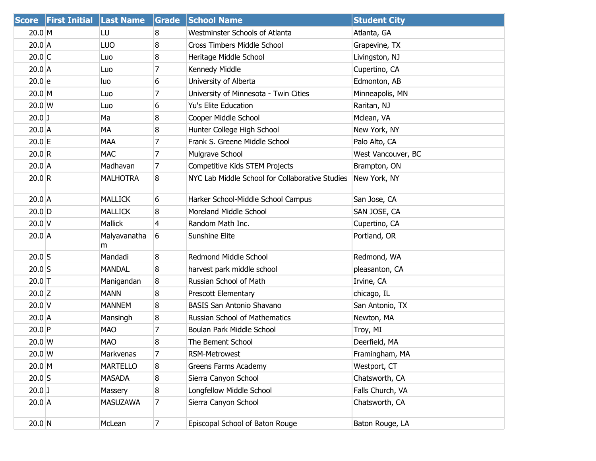| <b>Score</b>     | <b>First Initial</b> | <b>Last Name</b>  | Grade          | <b>School Name</b>                              | <b>Student City</b> |
|------------------|----------------------|-------------------|----------------|-------------------------------------------------|---------------------|
| $20.0$ M         |                      | LU                | 8              | <b>Westminster Schools of Atlanta</b>           | Atlanta, GA         |
| $20.0$ A         |                      | <b>LUO</b>        | 8              | Cross Timbers Middle School                     | Grapevine, TX       |
| $20.0$ C         |                      | Luo               | 8              | Heritage Middle School                          | Livingston, NJ      |
| $20.0$ A         |                      | Luo               | 7              | Kennedy Middle                                  | Cupertino, CA       |
| 20.0 e           |                      | luo               | 6              | University of Alberta                           | Edmonton, AB        |
| $20.0$ M         |                      | Luo               | 7              | University of Minnesota - Twin Cities           | Minneapolis, MN     |
| 20.0 W           |                      | Luo               | 6              | <b>Yu's Elite Education</b>                     | Raritan, NJ         |
| $20.0$ J         |                      | Ma                | 8              | Cooper Middle School                            | Mclean, VA          |
| $20.0$ A         |                      | MA                | 8              | Hunter College High School                      | New York, NY        |
| 20.0 E           |                      | <b>MAA</b>        | 7              | Frank S. Greene Middle School                   | Palo Alto, CA       |
| 20.0 R           |                      | <b>MAC</b>        | $\overline{7}$ | Mulgrave School                                 | West Vancouver, BC  |
| $20.0$ A         |                      | Madhavan          | 7              | Competitive Kids STEM Projects                  | Brampton, ON        |
| 20.0 R           |                      | <b>MALHOTRA</b>   | 8              | NYC Lab Middle School for Collaborative Studies | New York, NY        |
| $20.0$ A         |                      | <b>MALLICK</b>    | 6              | Harker School-Middle School Campus              | San Jose, CA        |
| $20.0$ D         |                      | <b>MALLICK</b>    | 8              | Moreland Middle School                          | SAN JOSE, CA        |
| $20.0$ V         |                      | <b>Mallick</b>    | 4              | Random Math Inc.                                | Cupertino, CA       |
| $20.0$ A         |                      | Malyavanatha<br>m | 6              | Sunshine Elite                                  | Portland, OR        |
| $20.0$ S         |                      | Mandadi           | 8              | Redmond Middle School                           | Redmond, WA         |
| $20.0$ S         |                      | <b>MANDAL</b>     | 8              | harvest park middle school                      | pleasanton, CA      |
| $20.0$ T         |                      | Manigandan        | 8              | Russian School of Math                          | Irvine, CA          |
| $20.0$ Z         |                      | <b>MANN</b>       | 8              | Prescott Elementary                             | chicago, IL         |
| $20.0$ V         |                      | <b>MANNEM</b>     | 8              | <b>BASIS San Antonio Shavano</b>                | San Antonio, TX     |
| $20.0$ A         |                      | Mansingh          | 8              | Russian School of Mathematics                   | Newton, MA          |
| 20.0 P           |                      | <b>MAO</b>        | $\overline{7}$ | Boulan Park Middle School                       | Troy, MI            |
| $20.0 \text{ W}$ |                      | <b>MAO</b>        | 8              | The Bement School                               | Deerfield, MA       |
| 20.0 W           |                      | Markvenas         | 7              | RSM-Metrowest                                   | Framingham, MA      |
| $20.0$ M         |                      | <b>MARTELLO</b>   | 8              | Greens Farms Academy                            | Westport, CT        |
| $20.0$ S         |                      | <b>MASADA</b>     | 8              | Sierra Canyon School                            | Chatsworth, CA      |
| $20.0$ J         |                      | Massery           | 8              | Longfellow Middle School                        | Falls Church, VA    |
| 20.0 A           |                      | MASUZAWA          | $\overline{7}$ | Sierra Canyon School                            | Chatsworth, CA      |
| $20.0$ N         |                      | McLean            | $\overline{7}$ | Episcopal School of Baton Rouge                 | Baton Rouge, LA     |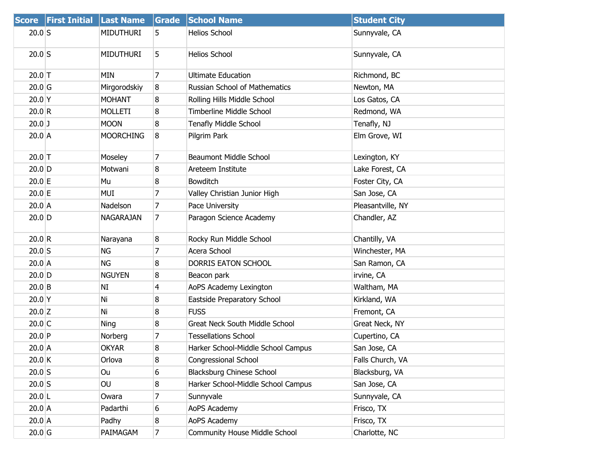|                   | Score First Initial Last Name |                  | Grade          | <b>School Name</b>                    | <b>Student City</b> |
|-------------------|-------------------------------|------------------|----------------|---------------------------------------|---------------------|
| $20.0$ S          |                               | <b>MIDUTHURI</b> | 5.             | <b>Helios School</b>                  | Sunnyvale, CA       |
| $20.0$ S          |                               | <b>MIDUTHURI</b> | 5              | <b>Helios School</b>                  | Sunnyvale, CA       |
| $20.0$ T          |                               | <b>MIN</b>       | $\overline{7}$ | <b>Ultimate Education</b>             | Richmond, BC        |
| 20.0 <sub>G</sub> |                               | Mirgorodskiy     | 8              | <b>Russian School of Mathematics</b>  | Newton, MA          |
| $20.0$ Y          |                               | <b>MOHANT</b>    | 8              | Rolling Hills Middle School           | Los Gatos, CA       |
| 20.0 R            |                               | <b>MOLLETI</b>   | 8              | <b>Timberline Middle School</b>       | Redmond, WA         |
| $20.0$ J          |                               | <b>MOON</b>      | 8              | Tenafly Middle School                 | Tenafly, NJ         |
| $20.0$ A          |                               | <b>MOORCHING</b> | 8              | Pilgrim Park                          | Elm Grove, WI       |
| $20.0$ T          |                               | Moseley          | 7              | <b>Beaumont Middle School</b>         | Lexington, KY       |
| $20.0$ D          |                               | Motwani          | 8              | Areteem Institute                     | Lake Forest, CA     |
| $20.0$ E          |                               | Mu               | 8              | Bowditch                              | Foster City, CA     |
| $20.0$ E          |                               | MUI              | 7              | Valley Christian Junior High          | San Jose, CA        |
| $20.0$ A          |                               | Nadelson         | 7              | Pace University                       | Pleasantville, NY   |
| $20.0$ D          |                               | <b>NAGARAJAN</b> | 7              | Paragon Science Academy               | Chandler, AZ        |
| 20.0 R            |                               | Narayana         | 8              | Rocky Run Middle School               | Chantilly, VA       |
| $20.0$ S          |                               | NG               | 7              | Acera School                          | Winchester, MA      |
| $20.0$ A          |                               | ΝG               | 8              | DORRIS EATON SCHOOL                   | San Ramon, CA       |
| $20.0$ D          |                               | <b>NGUYEN</b>    | 8              | Beacon park                           | irvine, CA          |
| $20.0$ B          |                               | NI               | 4              | AoPS Academy Lexington                | Waltham, MA         |
| $20.0$ Y          |                               | Ni               | 8              | Eastside Preparatory School           | Kirkland, WA        |
| $20.0$ Z          |                               | Ni               | 8              | <b>FUSS</b>                           | Fremont, CA         |
| $20.0$ C          |                               | <b>Ning</b>      | 8              | <b>Great Neck South Middle School</b> | Great Neck, NY      |
| $20.0$ P          |                               | Norberg          | 7              | <b>Tessellations School</b>           | Cupertino, CA       |
| $20.0$ A          |                               | <b>OKYAR</b>     | 8              | Harker School-Middle School Campus    | San Jose, CA        |
| $20.0$ K          |                               | Orlova           | 8              | <b>Congressional School</b>           | Falls Church, VA    |
| $20.0$ S          |                               | Ou               | 6              | <b>Blacksburg Chinese School</b>      | Blacksburg, VA      |
| $20.0$ S          |                               | OU               | 8              | Harker School-Middle School Campus    | San Jose, CA        |
| $20.0$ L          |                               | Owara            | 7              | Sunnyvale                             | Sunnyvale, CA       |
| $20.0$ A          |                               | Padarthi         | 6              | AoPS Academy                          | Frisco, TX          |
| $20.0$ A          |                               | Padhy            | 8              | AoPS Academy                          | Frisco, TX          |
| $20.0$ G          |                               | PAIMAGAM         | 7              | <b>Community House Middle School</b>  | Charlotte, NC       |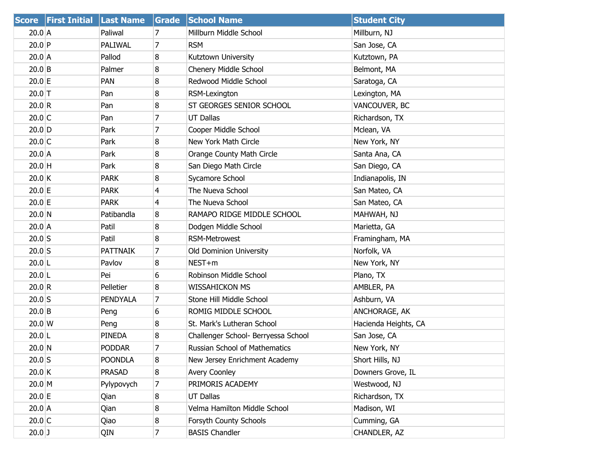|             | Score First Initial Last Name |                 | Grade          | <b>School Name</b>                  | <b>Student City</b>  |
|-------------|-------------------------------|-----------------|----------------|-------------------------------------|----------------------|
| 20.0 A      |                               | Paliwal         | 7              | Millburn Middle School              | Millburn, NJ         |
| $20.0$ P    |                               | PALIWAL         | $\overline{7}$ | <b>RSM</b>                          | San Jose, CA         |
| $20.0$ A    |                               | Pallod          | 8              | Kutztown University                 | Kutztown, PA         |
| $20.0$ B    |                               | Palmer          | 8              | Chenery Middle School               | Belmont, MA          |
| $20.0$ E    |                               | PAN             | 8              | Redwood Middle School               | Saratoga, CA         |
| $20.0$ T    |                               | Pan             | 8              | RSM-Lexington                       | Lexington, MA        |
| 20.0 R      |                               | Pan             | 8              | ST GEORGES SENIOR SCHOOL            | VANCOUVER, BC        |
| $20.0$ C    |                               | Pan             | 7              | <b>UT Dallas</b>                    | Richardson, TX       |
| $20.0$ D    |                               | Park            | 7              | Cooper Middle School                | Mclean, VA           |
| $20.0$ C    |                               | Park            | 8              | New York Math Circle                | New York, NY         |
| $20.0$ A    |                               | Park            | 8              | Orange County Math Circle           | Santa Ana, CA        |
| $20.0$ H    |                               | Park            | 8              | San Diego Math Circle               | San Diego, CA        |
| $20.0$ K    |                               | <b>PARK</b>     | 8              | Sycamore School                     | Indianapolis, IN     |
| $20.0$ E    |                               | <b>PARK</b>     | 4              | The Nueva School                    | San Mateo, CA        |
| $20.0$ E    |                               | <b>PARK</b>     | $\overline{4}$ | The Nueva School                    | San Mateo, CA        |
| 20.0 N      |                               | Patibandla      | 8              | RAMAPO RIDGE MIDDLE SCHOOL          | MAHWAH, NJ           |
| $20.0$ A    |                               | Patil           | 8              | Dodgen Middle School                | Marietta, GA         |
| $20.0$ S    |                               | Patil           | 8              | RSM-Metrowest                       | Framingham, MA       |
| $20.0$ S    |                               | <b>PATTNAIK</b> | 7              | <b>Old Dominion University</b>      | Norfolk, VA          |
| $20.0$  L   |                               | Pavlov          | 8              | NEST+m                              | New York, NY         |
| $20.0$  L   |                               | Pei             | 6              | Robinson Middle School              | Plano, TX            |
| 20.0 R      |                               | Pelletier       | 8              | <b>WISSAHICKON MS</b>               | AMBLER, PA           |
| $20.0$ S    |                               | PENDYALA        | 7              | Stone Hill Middle School            | Ashburn, VA          |
| $20.0$ B    |                               | Peng            | 6              | ROMIG MIDDLE SCHOOL                 | ANCHORAGE, AK        |
| $20.0 \, W$ |                               | Peng            | 8              | St. Mark's Lutheran School          | Hacienda Heights, CA |
| $20.0$  L   |                               | <b>PINEDA</b>   | 8              | Challenger School- Berryessa School | San Jose, CA         |
| $20.0$ N    |                               | <b>PODDAR</b>   | $\overline{7}$ | Russian School of Mathematics       | New York, NY         |
| $20.0$ S    |                               | <b>POONDLA</b>  | 8              | New Jersey Enrichment Academy       | Short Hills, NJ      |
| $20.0$ K    |                               | <b>PRASAD</b>   | 8              | <b>Avery Coonley</b>                | Downers Grove, IL    |
| $20.0 \, M$ |                               | Pylypovych      | 7              | PRIMORIS ACADEMY                    | Westwood, NJ         |
| $20.0$ E    |                               | Qian            | 8              | <b>UT Dallas</b>                    | Richardson, TX       |
| $20.0$ A    |                               | Qian            | 8              | Velma Hamilton Middle School        | Madison, WI          |
| $20.0$ C    |                               | Qiao            | 8              | Forsyth County Schools              | Cumming, GA          |
| $20.0$ J    |                               | QIN             | $\overline{7}$ | <b>BASIS Chandler</b>               | CHANDLER, AZ         |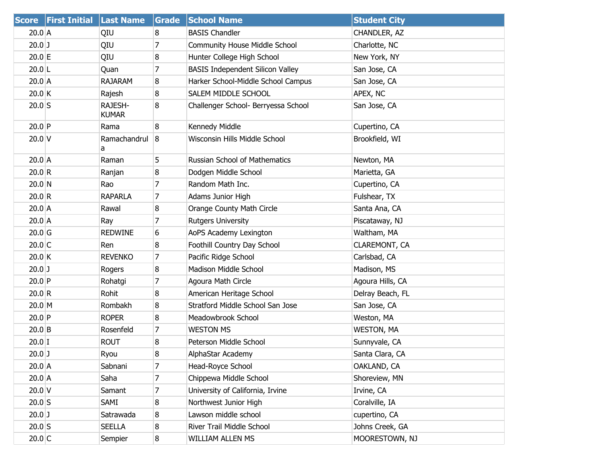|                   | Score First Initial Last Name |                         | Grade | <b>School Name</b>                      | <b>Student City</b> |
|-------------------|-------------------------------|-------------------------|-------|-----------------------------------------|---------------------|
| $20.0$ A          |                               | QIU                     | 8     | <b>BASIS Chandler</b>                   | CHANDLER, AZ        |
| $20.0$ J          |                               | QIU                     | 7     | <b>Community House Middle School</b>    | Charlotte, NC       |
| $20.0$ E          |                               | QIU                     | 8     | Hunter College High School              | New York, NY        |
| $20.0$ L          |                               | Quan                    | 7     | <b>BASIS Independent Silicon Valley</b> | San Jose, CA        |
| $20.0$ A          |                               | <b>RAJARAM</b>          | 8     | Harker School-Middle School Campus      | San Jose, CA        |
| 20.0 K            |                               | Rajesh                  | 8     | SALEM MIDDLE SCHOOL                     | APEX, NC            |
| $20.0$ S          |                               | RAJESH-<br><b>KUMAR</b> | 8     | Challenger School- Berryessa School     | San Jose, CA        |
| 20.0 P            |                               | Rama                    | 8     | Kennedy Middle                          | Cupertino, CA       |
| $20.0$ V          |                               | Ramachandrul<br>a       | 8     | Wisconsin Hills Middle School           | Brookfield, WI      |
| $20.0$ A          |                               | Raman                   | 5     | <b>Russian School of Mathematics</b>    | Newton, MA          |
| 20.0 R            |                               | Ranjan                  | 8     | Dodgen Middle School                    | Marietta, GA        |
| $20.0$ N          |                               | Rao                     | 7     | Random Math Inc.                        | Cupertino, CA       |
| 20.0 R            |                               | <b>RAPARLA</b>          | 7     | Adams Junior High                       | Fulshear, TX        |
| 20.0 A            |                               | Rawal                   | 8     | Orange County Math Circle               | Santa Ana, CA       |
| $20.0$ A          |                               | Ray                     | 7     | <b>Rutgers University</b>               | Piscataway, NJ      |
| 20.0 <sub>G</sub> |                               | <b>REDWINE</b>          | 6     | AoPS Academy Lexington                  | Waltham, MA         |
| $20.0$ C          |                               | Ren                     | 8     | Foothill Country Day School             | CLAREMONT, CA       |
| 20.0 K            |                               | <b>REVENKO</b>          | 7     | Pacific Ridge School                    | Carlsbad, CA        |
| $20.0$ J          |                               | Rogers                  | 8     | Madison Middle School                   | Madison, MS         |
| $20.0$ P          |                               | Rohatgi                 | 7     | Agoura Math Circle                      | Agoura Hills, CA    |
| 20.0 R            |                               | Rohit                   | 8     | American Heritage School                | Delray Beach, FL    |
| $20.0$ M          |                               | Rombakh                 | 8     | Stratford Middle School San Jose        | San Jose, CA        |
| 20.0 P            |                               | <b>ROPER</b>            | 8     | Meadowbrook School                      | Weston, MA          |
| $20.0$ B          |                               | Rosenfeld               | 7     | <b>WESTON MS</b>                        | <b>WESTON, MA</b>   |
| $20.0$ I          |                               | <b>ROUT</b>             | 8     | Peterson Middle School                  | Sunnyvale, CA       |
| $20.0$ J          |                               | Ryou                    | 8     | AlphaStar Academy                       | Santa Clara, CA     |
| 20.0 A            |                               | Sabnani                 | 7     | Head-Royce School                       | OAKLAND, CA         |
| $20.0$ A          |                               | Saha                    | 7     | Chippewa Middle School                  | Shoreview, MN       |
| $20.0$ V          |                               | Samant                  | 7     | University of California, Irvine        | Irvine, CA          |
| $20.0$ S          |                               | SAMI                    | 8     | Northwest Junior High                   | Coralville, IA      |
| $20.0$ J          |                               | Satrawada               | 8     | Lawson middle school                    | cupertino, CA       |
| $20.0$ S          |                               | <b>SEELLA</b>           | 8     | River Trail Middle School               | Johns Creek, GA     |
| $20.0$ C          |                               | Sempier                 | 8     | WILLIAM ALLEN MS                        | MOORESTOWN, NJ      |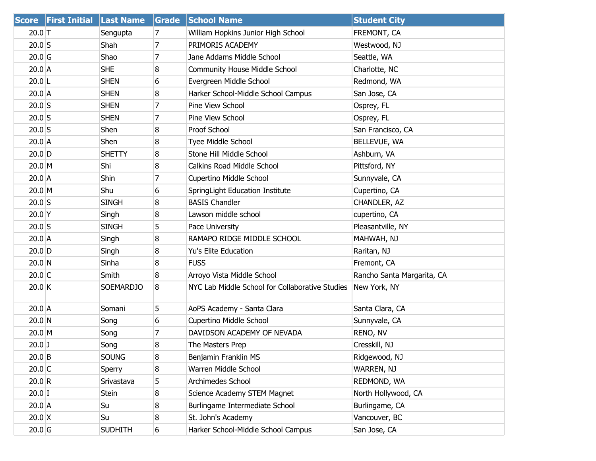| <b>Score</b> | <b>First Initial</b> | <b>Last Name</b> | <b>Grade</b>   | <b>School Name</b>                              | <b>Student City</b>        |
|--------------|----------------------|------------------|----------------|-------------------------------------------------|----------------------------|
| $20.0$ T     |                      | Sengupta         | 7              | William Hopkins Junior High School              | FREMONT, CA                |
| $20.0$ S     |                      | Shah             | $\overline{7}$ | PRIMORIS ACADEMY                                | Westwood, NJ               |
| $20.0$ G     |                      | Shao             | 7              | Jane Addams Middle School                       | Seattle, WA                |
| $20.0$ A     |                      | <b>SHE</b>       | 8              | <b>Community House Middle School</b>            | Charlotte, NC              |
| $20.0$  L    |                      | <b>SHEN</b>      | 6              | Evergreen Middle School                         | Redmond, WA                |
| $20.0$ A     |                      | <b>SHEN</b>      | 8              | Harker School-Middle School Campus              | San Jose, CA               |
| $20.0$ S     |                      | <b>SHEN</b>      | 7              | Pine View School                                | Osprey, FL                 |
| $20.0$ S     |                      | <b>SHEN</b>      | 7              | Pine View School                                | Osprey, FL                 |
| $20.0$ S     |                      | Shen             | 8              | Proof School                                    | San Francisco, CA          |
| $20.0$ A     |                      | Shen             | 8              | <b>Tyee Middle School</b>                       | BELLEVUE, WA               |
| $20.0$ D     |                      | <b>SHETTY</b>    | 8              | Stone Hill Middle School                        | Ashburn, VA                |
| 20.0 M       |                      | Shi              | 8              | Calkins Road Middle School                      | Pittsford, NY              |
| $20.0$ A     |                      | Shin             | 7              | Cupertino Middle School                         | Sunnyvale, CA              |
| 20.0 M       |                      | Shu              | 6              | SpringLight Education Institute                 | Cupertino, CA              |
| $20.0$ S     |                      | <b>SINGH</b>     | 8              | <b>BASIS Chandler</b>                           | CHANDLER, AZ               |
| $20.0$ Y     |                      | Singh            | 8              | Lawson middle school                            | cupertino, CA              |
| $20.0$ S     |                      | <b>SINGH</b>     | 5              | Pace University                                 | Pleasantville, NY          |
| $20.0$ A     |                      | Singh            | 8              | RAMAPO RIDGE MIDDLE SCHOOL                      | MAHWAH, NJ                 |
| $20.0$ D     |                      | Singh            | 8              | Yu's Elite Education                            | Raritan, NJ                |
| 20.0 N       |                      | Sinha            | 8              | <b>FUSS</b>                                     | Fremont, CA                |
| $20.0$ C     |                      | Smith            | 8              | Arroyo Vista Middle School                      | Rancho Santa Margarita, CA |
| 20.0 K       |                      | <b>SOEMARDJO</b> | 8              | NYC Lab Middle School for Collaborative Studies | New York, NY               |
| $20.0$ A     |                      | Somani           | 5              | AoPS Academy - Santa Clara                      | Santa Clara, CA            |
| 20.0 N       |                      | Song             | 6              | Cupertino Middle School                         | Sunnyvale, CA              |
| $20.0$ M     |                      | Song             | 7              | DAVIDSON ACADEMY OF NEVADA                      | RENO, NV                   |
| $20.0$ J     |                      | Song             | 8              | The Masters Prep                                | Cresskill, NJ              |
| $20.0$ B     |                      | <b>SOUNG</b>     | 8              | Benjamin Franklin MS                            | Ridgewood, NJ              |
| $20.0$ C     |                      | Sperry           | 8              | Warren Middle School                            | WARREN, NJ                 |
| 20.0 R       |                      | Srivastava       | 5              | Archimedes School                               | REDMOND, WA                |
| $20.0$ I     |                      | Stein            | 8              | Science Academy STEM Magnet                     | North Hollywood, CA        |
| 20.0 A       |                      | Su               | 8              | Burlingame Intermediate School                  | Burlingame, CA             |
| $20.0 \, X$  |                      | Su               | 8              | St. John's Academy                              | Vancouver, BC              |
| $20.0$ G     |                      | <b>SUDHITH</b>   | 6              | Harker School-Middle School Campus              | San Jose, CA               |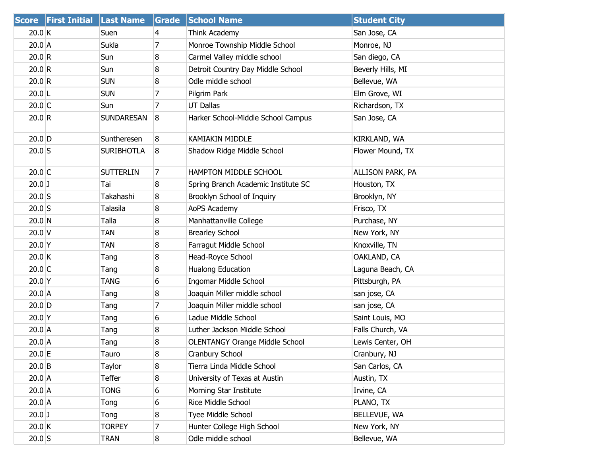|          | Score First Initial Last Name |                   | Grade          | <b>School Name</b>                    | <b>Student City</b> |
|----------|-------------------------------|-------------------|----------------|---------------------------------------|---------------------|
| 20.0 K   |                               | Suen              | 4              | Think Academy                         | San Jose, CA        |
| 20.0 A   |                               | Sukla             | 7              | Monroe Township Middle School         | Monroe, NJ          |
| 20.0 R   |                               | Sun               | 8              | Carmel Valley middle school           | San diego, CA       |
| 20.0 R   |                               | Sun               | 8              | Detroit Country Day Middle School     | Beverly Hills, MI   |
| 20.0 R   |                               | <b>SUN</b>        | 8              | Odle middle school                    | Bellevue, WA        |
| $20.0$ L |                               | <b>SUN</b>        | 7              | Pilgrim Park                          | Elm Grove, WI       |
| $20.0$ C |                               | Sun               | 7              | <b>UT Dallas</b>                      | Richardson, TX      |
| 20.0 R   |                               | <b>SUNDARESAN</b> | 8              | Harker School-Middle School Campus    | San Jose, CA        |
| $20.0$ D |                               | Suntheresen       | 8              | <b>KAMIAKIN MIDDLE</b>                | KIRKLAND, WA        |
| $20.0$ S |                               | <b>SURIBHOTLA</b> | 8              | Shadow Ridge Middle School            | Flower Mound, TX    |
| $20.0$ C |                               | <b>SUTTERLIN</b>  | $\overline{7}$ | HAMPTON MIDDLE SCHOOL                 | ALLISON PARK, PA    |
| $20.0$ J |                               | Tai               | 8              | Spring Branch Academic Institute SC   | Houston, TX         |
| $20.0$ S |                               | Takahashi         | 8              | Brooklyn School of Inquiry            | Brooklyn, NY        |
| $20.0$ S |                               | Talasila          | 8              | AoPS Academy                          | Frisco, TX          |
| $20.0$ N |                               | Talla             | 8              | Manhattanville College                | Purchase, NY        |
| $20.0$ V |                               | TAN               | 8              | <b>Brearley School</b>                | New York, NY        |
| 20.0 Y   |                               | <b>TAN</b>        | 8              | Farragut Middle School                | Knoxville, TN       |
| 20.0 K   |                               | Tang              | 8              | Head-Royce School                     | OAKLAND, CA         |
| $20.0$ C |                               | Tang              | 8              | Hualong Education                     | Laguna Beach, CA    |
| $20.0$ Y |                               | TANG              | 6              | Ingomar Middle School                 | Pittsburgh, PA      |
| $20.0$ A |                               | Tang              | 8              | Joaquin Miller middle school          | san jose, CA        |
| $20.0$ D |                               | Tang              | 7              | Joaquin Miller middle school          | san jose, CA        |
| $20.0$ Y |                               | Tang              | 6              | Ladue Middle School                   | Saint Louis, MO     |
| $20.0$ A |                               | Tang              | 8              | Luther Jackson Middle School          | Falls Church, VA    |
| $20.0$ A |                               | Tang              | 8              | <b>OLENTANGY Orange Middle School</b> | Lewis Center, OH    |
| 20.0 E   |                               | Tauro             | 8              | Cranbury School                       | Cranbury, NJ        |
| $20.0$ B |                               | Taylor            | 8              | Tierra Linda Middle School            | San Carlos, CA      |
| $20.0$ A |                               | Teffer            | 8              | University of Texas at Austin         | Austin, TX          |
| $20.0$ A |                               | <b>TONG</b>       | 6              | Morning Star Institute                | Irvine, CA          |
| 20.0 A   |                               | Tong              | 6              | Rice Middle School                    | PLANO, TX           |
| $20.0$ J |                               | Tong              | 8              | Tyee Middle School                    | BELLEVUE, WA        |
| 20.0 K   |                               | <b>TORPEY</b>     | 7              | Hunter College High School            | New York, NY        |
| $20.0$ S |                               | <b>TRAN</b>       | 8              | Odle middle school                    | Bellevue, WA        |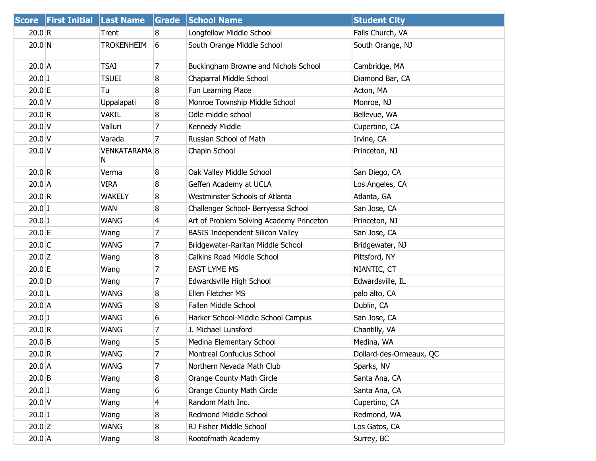| <b>Score</b> | <b>First Initial</b> | <b>Last Name</b>   | Grade          | <b>School Name</b>                       | <b>Student City</b>     |
|--------------|----------------------|--------------------|----------------|------------------------------------------|-------------------------|
| 20.0 R       |                      | Trent              | 8              | Longfellow Middle School                 | Falls Church, VA        |
| $20.0$ N     |                      | <b>TROKENHEIM</b>  | 6              | South Orange Middle School               | South Orange, NJ        |
| $20.0$ A     |                      | <b>TSAI</b>        | $\overline{7}$ | Buckingham Browne and Nichols School     | Cambridge, MA           |
| $20.0$ J     |                      | <b>TSUEI</b>       | 8              | Chaparral Middle School                  | Diamond Bar, CA         |
| $20.0$ E     |                      | Tu                 | 8              | Fun Learning Place                       | Acton, MA               |
| $20.0$ V     |                      | Uppalapati         | 8              | Monroe Township Middle School            | Monroe, NJ              |
| 20.0 R       |                      | <b>VAKIL</b>       | 8              | Odle middle school                       | Bellevue, WA            |
| $20.0$ V     |                      | Valluri            | 7              | Kennedy Middle                           | Cupertino, CA           |
| $20.0$ V     |                      | Varada             | 7              | Russian School of Math                   | Irvine, CA              |
| $20.0$ V     |                      | VENKATARAMA 8<br>N |                | Chapin School                            | Princeton, NJ           |
| 20.0 R       |                      | Verma              | 8              | Oak Valley Middle School                 | San Diego, CA           |
| $20.0$ A     |                      | <b>VIRA</b>        | 8              | Geffen Academy at UCLA                   | Los Angeles, CA         |
| 20.0 R       |                      | <b>WAKELY</b>      | 8              | Westminster Schools of Atlanta           | Atlanta, GA             |
| $20.0$ J     |                      | <b>WAN</b>         | 8              | Challenger School- Berryessa School      | San Jose, CA            |
| $20.0$ J     |                      | <b>WANG</b>        | 4              | Art of Problem Solving Academy Princeton | Princeton, NJ           |
| $20.0$ E     |                      | Wang               | 7              | <b>BASIS Independent Silicon Valley</b>  | San Jose, CA            |
| $20.0$ C     |                      | <b>WANG</b>        | 7              | Bridgewater-Raritan Middle School        | Bridgewater, NJ         |
| $20.0$ Z     |                      | Wang               | 8              | Calkins Road Middle School               | Pittsford, NY           |
| $20.0$ E     |                      | Wang               | 7              | <b>EAST LYME MS</b>                      | NIANTIC, CT             |
| $20.0$ D     |                      | Wang               | 7              | Edwardsville High School                 | Edwardsville, IL        |
| $20.0$ L     |                      | <b>WANG</b>        | 8              | Ellen Fletcher MS                        | palo alto, CA           |
| $20.0$ A     |                      | <b>WANG</b>        | 8              | Fallen Middle School                     | Dublin, CA              |
| $20.0$ J     |                      | <b>WANG</b>        | 6              | Harker School-Middle School Campus       | San Jose, CA            |
| 20.0 R       |                      | <b>WANG</b>        | 7              | J. Michael Lunsford                      | Chantilly, VA           |
| $20.0$ B     |                      | Wang               | 5              | Medina Elementary School                 | Medina, WA              |
| 20.0 R       |                      | WANG               | 7              | Montreal Confucius School                | Dollard-des-Ormeaux, QC |
| $20.0$ A     |                      | <b>WANG</b>        | 7              | Northern Nevada Math Club                | Sparks, NV              |
| $20.0$ B     |                      | Wang               | 8              | Orange County Math Circle                | Santa Ana, CA           |
| $20.0$ J     |                      | Wang               | 6              | Orange County Math Circle                | Santa Ana, CA           |
| $20.0$ V     |                      | Wang               | 4              | Random Math Inc.                         | Cupertino, CA           |
| $20.0$ J     |                      | Wang               | 8              | Redmond Middle School                    | Redmond, WA             |
| $20.0$ Z     |                      | WANG               | 8              | RJ Fisher Middle School                  | Los Gatos, CA           |
| $20.0$ A     |                      | Wang               | 8              | Rootofmath Academy                       | Surrey, BC              |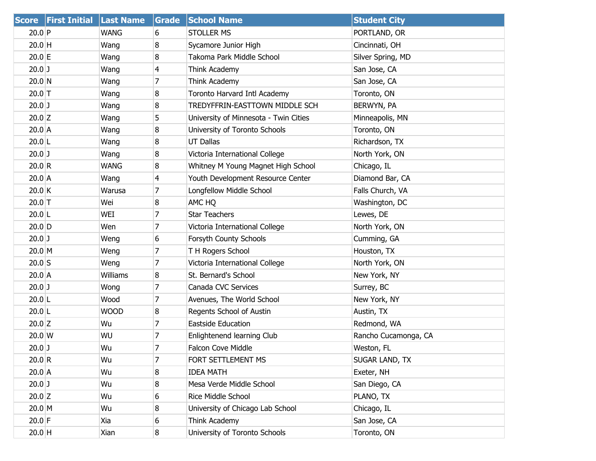| <b>Score</b>     | <b>First Initial Last Name</b> |             | Grade          | <b>School Name</b>                    | <b>Student City</b>   |
|------------------|--------------------------------|-------------|----------------|---------------------------------------|-----------------------|
| 20.0 P           |                                | <b>WANG</b> | 6              | <b>STOLLER MS</b>                     | PORTLAND, OR          |
| $20.0$ H         |                                | Wang        | 8              | Sycamore Junior High                  | Cincinnati, OH        |
| $20.0$ E         |                                | Wang        | 8              | Takoma Park Middle School             | Silver Spring, MD     |
| $20.0$ J         |                                | Wang        | 4              | Think Academy                         | San Jose, CA          |
| $20.0$ N         |                                | Wang        | 7              | Think Academy                         | San Jose, CA          |
| $20.0$ T         |                                | Wang        | 8              | Toronto Harvard Intl Academy          | Toronto, ON           |
| $20.0$ J         |                                | Wang        | 8              | TREDYFFRIN-EASTTOWN MIDDLE SCH        | BERWYN, PA            |
| $20.0$ Z         |                                | Wang        | 5              | University of Minnesota - Twin Cities | Minneapolis, MN       |
| $20.0$ A         |                                | Wang        | 8              | University of Toronto Schools         | Toronto, ON           |
| $20.0$ L         |                                | Wang        | 8              | <b>UT Dallas</b>                      | Richardson, TX        |
| $20.0$ J         |                                | Wang        | 8              | Victoria International College        | North York, ON        |
| 20.0 R           |                                | <b>WANG</b> | 8              | Whitney M Young Magnet High School    | Chicago, IL           |
| $20.0$ A         |                                | Wang        | 4              | Youth Development Resource Center     | Diamond Bar, CA       |
| $20.0$ K         |                                | Warusa      | 7              | Longfellow Middle School              | Falls Church, VA      |
| $20.0$ T         |                                | Wei         | 8              | AMC HQ                                | Washington, DC        |
| $20.0$ L         |                                | WEI         | 7              | <b>Star Teachers</b>                  | Lewes, DE             |
| $20.0$ D         |                                | Wen         | 7              | Victoria International College        | North York, ON        |
| $20.0$ J         |                                | Weng        | 6              | Forsyth County Schools                | Cumming, GA           |
| $20.0$ M         |                                | Weng        | 7              | T H Rogers School                     | Houston, TX           |
| $20.0$ S         |                                | Weng        | 7              | Victoria International College        | North York, ON        |
| $20.0$ A         |                                | Williams    | 8              | St. Bernard's School                  | New York, NY          |
| $20.0$ J         |                                | Wong        | $\overline{7}$ | Canada CVC Services                   | Surrey, BC            |
| $20.0$ L         |                                | Wood        | 7              | Avenues, The World School             | New York, NY          |
| $20.0$ L         |                                | <b>WOOD</b> | 8              | Regents School of Austin              | Austin, TX            |
| $20.0$ Z         |                                | Wu          | $\overline{7}$ | Eastside Education                    | Redmond, WA           |
| $20.0 \text{ W}$ |                                | WU          | 7              | Enlightenend learning Club            | Rancho Cucamonga, CA  |
| $20.0$ J         |                                | Wu          | $\overline{7}$ | <b>Falcon Cove Middle</b>             | Weston, FL            |
| 20.0 R           |                                | Wu          | $\overline{7}$ | FORT SETTLEMENT MS                    | <b>SUGAR LAND, TX</b> |
| $20.0$ A         |                                | Wu          | 8              | <b>IDEA MATH</b>                      | Exeter, NH            |
| $20.0$ J         |                                | Wu          | 8              | Mesa Verde Middle School              | San Diego, CA         |
| $20.0$ Z         |                                | Wu          | 6              | Rice Middle School                    | PLANO, TX             |
| $20.0$ M         |                                | Wu          | 8              | University of Chicago Lab School      | Chicago, IL           |
| $20.0$ F         |                                | Xia         | 6              | Think Academy                         | San Jose, CA          |
| $20.0$ H         |                                | Xian        | 8              | University of Toronto Schools         | Toronto, ON           |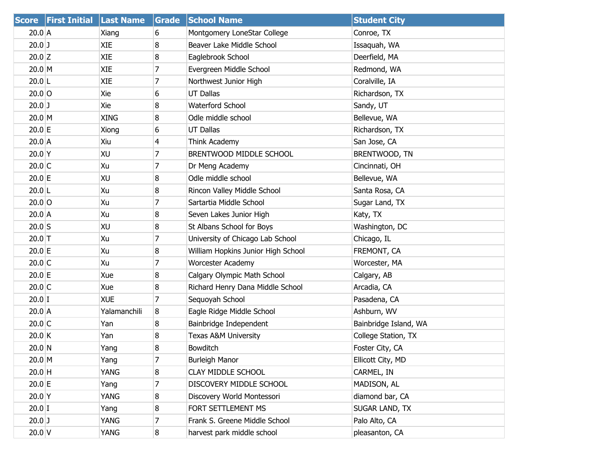|           | Score First Initial Last Name |              | Grade          | <b>School Name</b>                 | <b>Student City</b>   |
|-----------|-------------------------------|--------------|----------------|------------------------------------|-----------------------|
| 20.0 A    |                               | Xiang        | 6              | Montgomery LoneStar College        | Conroe, TX            |
| $20.0$ J  |                               | <b>XIE</b>   | 8              | Beaver Lake Middle School          | Issaquah, WA          |
| $20.0$ Z  |                               | XIE          | 8              | Eaglebrook School                  | Deerfield, MA         |
| 20.0 M    |                               | <b>XIE</b>   | 7              | Evergreen Middle School            | Redmond, WA           |
| $20.0$  L |                               | <b>XIE</b>   | 7              | Northwest Junior High              | Coralville, IA        |
| $20.0$ O  |                               | Xie          | 6              | <b>UT Dallas</b>                   | Richardson, TX        |
| $20.0$ J  |                               | Xie          | 8              | <b>Waterford School</b>            | Sandy, UT             |
| 20.0 M    |                               | <b>XING</b>  | 8              | Odle middle school                 | Bellevue, WA          |
| $20.0$ E  |                               | Xiong        | 6              | <b>UT Dallas</b>                   | Richardson, TX        |
| 20.0 A    |                               | Xiu          | 4              | Think Academy                      | San Jose, CA          |
| $20.0$ Y  |                               | XU           | 7              | BRENTWOOD MIDDLE SCHOOL            | BRENTWOOD, TN         |
| $20.0$ C  |                               | Xu           | 7              | Dr Meng Academy                    | Cincinnati, OH        |
| 20.0 E    |                               | XU           | 8              | Odle middle school                 | Bellevue, WA          |
| $20.0$ L  |                               | Xu           | 8              | Rincon Valley Middle School        | Santa Rosa, CA        |
| $20.0$ O  |                               | Xu           | 7              | Sartartia Middle School            | Sugar Land, TX        |
| $20.0$ A  |                               | Xu           | 8              | Seven Lakes Junior High            | Katy, TX              |
| $20.0$ S  |                               | XU           | 8              | St Albans School for Boys          | Washington, DC        |
| $20.0$ T  |                               | Xu           | 7              | University of Chicago Lab School   | Chicago, IL           |
| 20.0 E    |                               | Xu           | 8              | William Hopkins Junior High School | FREMONT, CA           |
| $20.0$ C  |                               | Xu           | 7              | Worcester Academy                  | Worcester, MA         |
| $20.0$ E  |                               | Xue          | 8              | Calgary Olympic Math School        | Calgary, AB           |
| $20.0$ C  |                               | Xue          | 8              | Richard Henry Dana Middle School   | Arcadia, CA           |
| $20.0$ I  |                               | <b>XUE</b>   | 7              | Sequoyah School                    | Pasadena, CA          |
| $20.0$ A  |                               | Yalamanchili | 8              | Eagle Ridge Middle School          | Ashburn, WV           |
| $20.0$ C  |                               | Yan          | 8              | Bainbridge Independent             | Bainbridge Island, WA |
| 20.0 K    |                               | Yan          | 8              | Texas A&M University               | College Station, TX   |
| $20.0$ N  |                               | Yang         | 8              | <b>Bowditch</b>                    | Foster City, CA       |
| $20.0$ M  |                               | Yang         | $\overline{7}$ | <b>Burleigh Manor</b>              | Ellicott City, MD     |
| $20.0$ H  |                               | YANG         | 8              | <b>CLAY MIDDLE SCHOOL</b>          | CARMEL, IN            |
| 20.0 E    |                               | Yang         | 7              | DISCOVERY MIDDLE SCHOOL            | MADISON, AL           |
| $20.0$ Y  |                               | YANG         | 8              | Discovery World Montessori         | diamond bar, CA       |
| $20.0$ I  |                               | Yang         | 8              | FORT SETTLEMENT MS                 | SUGAR LAND, TX        |
| $20.0$ J  |                               | YANG         | 7              | Frank S. Greene Middle School      | Palo Alto, CA         |
| $20.0$ V  |                               | YANG         | 8              | harvest park middle school         | pleasanton, CA        |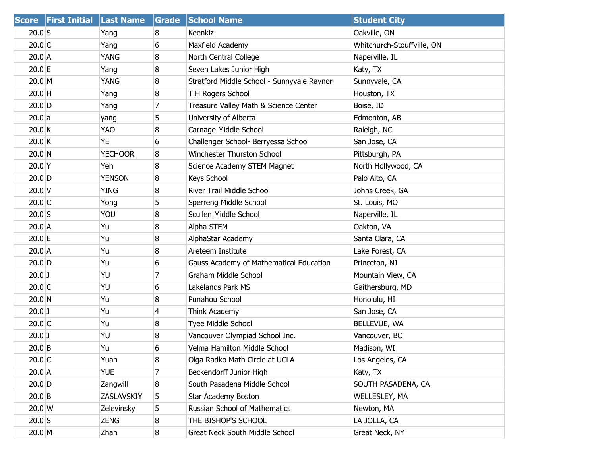|                  | Score First Initial Last Name |                | Grade | <b>School Name</b>                         | <b>Student City</b>        |
|------------------|-------------------------------|----------------|-------|--------------------------------------------|----------------------------|
| $20.0$ S         |                               | Yang           | 8     | Keenkiz                                    | Oakville, ON               |
| $20.0$ C         |                               | Yang           | 6     | Maxfield Academy                           | Whitchurch-Stouffville, ON |
| $20.0$ A         |                               | <b>YANG</b>    | 8     | North Central College                      | Naperville, IL             |
| 20.0 E           |                               | Yang           | 8     | Seven Lakes Junior High                    | Katy, TX                   |
| 20.0 M           |                               | YANG           | 8     | Stratford Middle School - Sunnyvale Raynor | Sunnyvale, CA              |
| $20.0$ H         |                               | Yang           | 8     | T H Rogers School                          | Houston, TX                |
| $20.0$ D         |                               | Yang           | 7     | Treasure Valley Math & Science Center      | Boise, ID                  |
| 20.0 a           |                               | yang           | 5     | University of Alberta                      | Edmonton, AB               |
| $20.0$ K         |                               | <b>YAO</b>     | 8     | Carnage Middle School                      | Raleigh, NC                |
| $20.0$ K         |                               | YE             | 6     | Challenger School- Berryessa School        | San Jose, CA               |
| 20.0 N           |                               | <b>YECHOOR</b> | 8     | Winchester Thurston School                 | Pittsburgh, PA             |
| $20.0$ Y         |                               | Yeh            | 8     | Science Academy STEM Magnet                | North Hollywood, CA        |
| $20.0$ D         |                               | <b>YENSON</b>  | 8     | Keys School                                | Palo Alto, CA              |
| $20.0$ V         |                               | <b>YING</b>    | 8     | <b>River Trail Middle School</b>           | Johns Creek, GA            |
| $20.0$ C         |                               | Yong           | 5     | Sperreng Middle School                     | St. Louis, MO              |
| $20.0$ S         |                               | YOU            | 8     | Scullen Middle School                      | Naperville, IL             |
| $20.0$ A         |                               | Yu             | 8     | Alpha STEM                                 | Oakton, VA                 |
| $20.0$ E         |                               | Yu             | 8     | AlphaStar Academy                          | Santa Clara, CA            |
| $20.0$ A         |                               | Yu             | 8     | Areteem Institute                          | Lake Forest, CA            |
| $20.0$ D         |                               | Yu             | 6     | Gauss Academy of Mathematical Education    | Princeton, NJ              |
| $20.0$ J         |                               | YU             | 7     | <b>Graham Middle School</b>                | Mountain View, CA          |
| $20.0$ C         |                               | YU             | 6     | Lakelands Park MS                          | Gaithersburg, MD           |
| 20.0 N           |                               | Yu             | 8     | Punahou School                             | Honolulu, HI               |
| $20.0$ J         |                               | Yu             | 4     | Think Academy                              | San Jose, CA               |
| $20.0$ C         |                               | Yu             | 8     | Tyee Middle School                         | BELLEVUE, WA               |
| $20.0$ J         |                               | YU             | 8     | Vancouver Olympiad School Inc.             | Vancouver, BC              |
| $20.0$ B         |                               | Yu             | 6     | Velma Hamilton Middle School               | Madison, WI                |
| $20.0$ C         |                               | Yuan           | 8     | Olga Radko Math Circle at UCLA             | Los Angeles, CA            |
| $20.0$ A         |                               | <b>YUE</b>     | 7     | Beckendorff Junior High                    | Katy, TX                   |
| $20.0$ D         |                               | Zangwill       | 8     | South Pasadena Middle School               | SOUTH PASADENA, CA         |
| $20.0$ B         |                               | ZASLAVSKIY     | 5     | Star Academy Boston                        | <b>WELLESLEY, MA</b>       |
| $20.0 \text{ W}$ |                               | Zelevinsky     | 5     | Russian School of Mathematics              | Newton, MA                 |
| $20.0$ S         |                               | ZENG           | 8     | THE BISHOP'S SCHOOL                        | LA JOLLA, CA               |
| 20.0 M           |                               | Zhan           | 8     | Great Neck South Middle School             | Great Neck, NY             |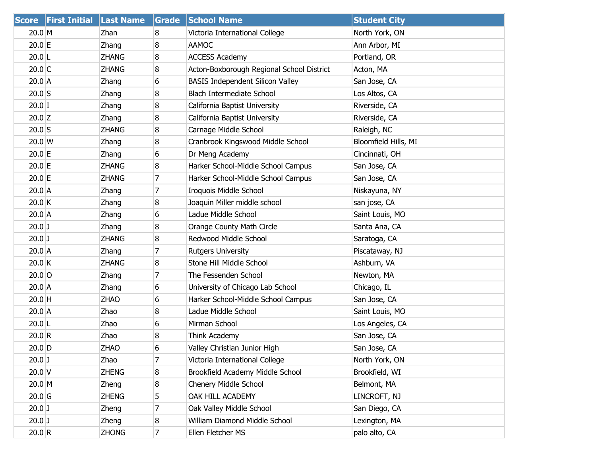| <b>Score</b> | <b>First Initial</b> | <b>Last Name</b> | Grade          | <b>School Name</b>                        | <b>Student City</b>  |
|--------------|----------------------|------------------|----------------|-------------------------------------------|----------------------|
| 20.0 M       |                      | Zhan             | 8              | Victoria International College            | North York, ON       |
| 20.0 E       |                      | Zhang            | 8              | <b>AAMOC</b>                              | Ann Arbor, MI        |
| $20.0$  L    |                      | <b>ZHANG</b>     | 8              | <b>ACCESS Academy</b>                     | Portland, OR         |
| $20.0$ C     |                      | <b>ZHANG</b>     | 8              | Acton-Boxborough Regional School District | Acton, MA            |
| $20.0$ A     |                      | Zhang            | 6              | <b>BASIS Independent Silicon Valley</b>   | San Jose, CA         |
| $20.0$ S     |                      | Zhang            | 8              | <b>Blach Intermediate School</b>          | Los Altos, CA        |
| $20.0$ I     |                      | Zhang            | 8              | California Baptist University             | Riverside, CA        |
| $20.0$ Z     |                      | Zhang            | 8              | California Baptist University             | Riverside, CA        |
| $20.0$ S     |                      | <b>ZHANG</b>     | 8              | Carnage Middle School                     | Raleigh, NC          |
| 20.0 W       |                      | Zhang            | 8              | Cranbrook Kingswood Middle School         | Bloomfield Hills, MI |
| $20.0$ E     |                      | Zhang            | 6              | Dr Meng Academy                           | Cincinnati, OH       |
| $20.0$ E     |                      | <b>ZHANG</b>     | 8              | Harker School-Middle School Campus        | San Jose, CA         |
| 20.0 E       |                      | <b>ZHANG</b>     | 7              | Harker School-Middle School Campus        | San Jose, CA         |
| $20.0$ A     |                      | Zhang            | 7              | Iroquois Middle School                    | Niskayuna, NY        |
| $20.0$ K     |                      | Zhang            | 8              | Joaquin Miller middle school              | san jose, CA         |
| $20.0$ A     |                      | Zhang            | 6              | Ladue Middle School                       | Saint Louis, MO      |
| $20.0$ J     |                      | Zhang            | 8              | Orange County Math Circle                 | Santa Ana, CA        |
| $20.0$ J     |                      | <b>ZHANG</b>     | 8              | Redwood Middle School                     | Saratoga, CA         |
| $20.0$ A     |                      | Zhang            | 7              | Rutgers University                        | Piscataway, NJ       |
| $20.0$ K     |                      | <b>ZHANG</b>     | 8              | Stone Hill Middle School                  | Ashburn, VA          |
| $20.0$ O     |                      | Zhang            | 7              | The Fessenden School                      | Newton, MA           |
| $20.0$ A     |                      | Zhang            | 6              | University of Chicago Lab School          | Chicago, IL          |
| $20.0$ H     |                      | <b>ZHAO</b>      | 6              | Harker School-Middle School Campus        | San Jose, CA         |
| $20.0$ A     |                      | Zhao             | 8              | Ladue Middle School                       | Saint Louis, MO      |
| $20.0$  L    |                      | Zhao             | 6              | Mirman School                             | Los Angeles, CA      |
| 20.0 R       |                      | Zhao             | 8              | Think Academy                             | San Jose, CA         |
| $20.0$ D     |                      | <b>ZHAO</b>      | 6              | Valley Christian Junior High              | San Jose, CA         |
| $20.0$ J     |                      | Zhao             | $\overline{7}$ | Victoria International College            | North York, ON       |
| $20.0$ V     |                      | <b>ZHENG</b>     | 8              | Brookfield Academy Middle School          | Brookfield, WI       |
| $20.0$ M     |                      | Zheng            | 8              | Chenery Middle School                     | Belmont, MA          |
| $20.0$ G     |                      | <b>ZHENG</b>     | 5              | OAK HILL ACADEMY                          | LINCROFT, NJ         |
| $20.0$ J     |                      | Zheng            | 7              | Oak Valley Middle School                  | San Diego, CA        |
| $20.0$ J     |                      | Zheng            | 8              | William Diamond Middle School             | Lexington, MA        |
| 20.0 R       |                      | <b>ZHONG</b>     | $\overline{7}$ | Ellen Fletcher MS                         | palo alto, CA        |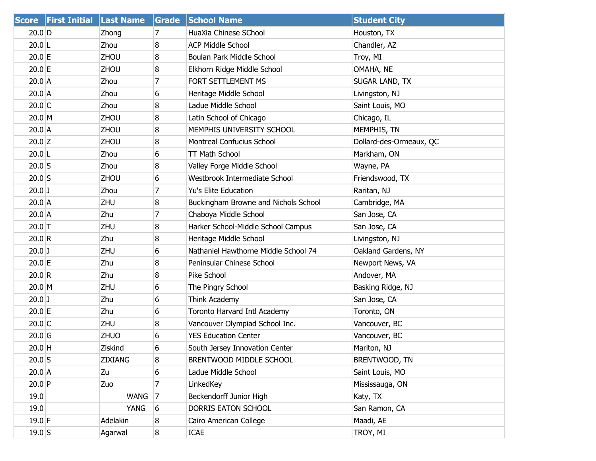|           | Score First Initial Last Name |             | Grade          | <b>School Name</b>                   | <b>Student City</b>     |
|-----------|-------------------------------|-------------|----------------|--------------------------------------|-------------------------|
| $20.0$ D  |                               | Zhong       | 7              | HuaXia Chinese SChool                | Houston, TX             |
| $20.0$  L |                               | Zhou        | 8              | <b>ACP Middle School</b>             | Chandler, AZ            |
| $20.0$ E  |                               | ZHOU        | 8              | Boulan Park Middle School            | Troy, MI                |
| 20.0 E    |                               | ZHOU        | 8              | Elkhorn Ridge Middle School          | OMAHA, NE               |
| $20.0$ A  |                               | Zhou        | 7              | FORT SETTLEMENT MS                   | SUGAR LAND, TX          |
| $20.0$ A  |                               | Zhou        | 6              | Heritage Middle School               | Livingston, NJ          |
| $20.0$ C  |                               | Zhou        | 8              | Ladue Middle School                  | Saint Louis, MO         |
| $20.0$ M  |                               | ZHOU        | 8              | Latin School of Chicago              | Chicago, IL             |
| $20.0$ A  |                               | ZHOU        | 8              | MEMPHIS UNIVERSITY SCHOOL            | MEMPHIS, TN             |
| $20.0$ Z  |                               | ZHOU        | 8              | Montreal Confucius School            | Dollard-des-Ormeaux, QC |
| $20.0$  L |                               | Zhou        | 6              | <b>TT Math School</b>                | Markham, ON             |
| $20.0$ S  |                               | Zhou        | 8              | Valley Forge Middle School           | Wayne, PA               |
| $20.0$ S  |                               | ZHOU        | 6              | Westbrook Intermediate School        | Friendswood, TX         |
| $20.0$ J  |                               | Zhou        | $\overline{7}$ | <b>Yu's Elite Education</b>          | Raritan, NJ             |
| $20.0$ A  |                               | ZHU         | 8              | Buckingham Browne and Nichols School | Cambridge, MA           |
| $20.0$ A  |                               | Zhu         | $\overline{7}$ | Chaboya Middle School                | San Jose, CA            |
| $20.0$ T  |                               | ZHU         | 8              | Harker School-Middle School Campus   | San Jose, CA            |
| 20.0 R    |                               | Zhu         | 8              | Heritage Middle School               | Livingston, NJ          |
| $20.0$ J  |                               | ZHU         | 6              | Nathaniel Hawthorne Middle School 74 | Oakland Gardens, NY     |
| 20.0 E    |                               | Zhu         | 8              | Peninsular Chinese School            | Newport News, VA        |
| 20.0 R    |                               | Zhu         | 8              | Pike School                          | Andover, MA             |
| $20.0$ M  |                               | ZHU         | 6              | The Pingry School                    | Basking Ridge, NJ       |
| $20.0$ J  |                               | Zhu         | 6              | Think Academy                        | San Jose, CA            |
| $20.0$ E  |                               | Zhu         | 6              | Toronto Harvard Intl Academy         | Toronto, ON             |
| $20.0$ C  |                               | ZHU         | 8              | Vancouver Olympiad School Inc.       | Vancouver, BC           |
| $20.0$ G  |                               | <b>ZHUO</b> | 6              | <b>YES Education Center</b>          | Vancouver, BC           |
| $20.0$ H  |                               | Ziskind     | 6              | South Jersey Innovation Center       | Marlton, NJ             |
| $20.0$ S  |                               | ZIXIANG     | 8              | BRENTWOOD MIDDLE SCHOOL              | BRENTWOOD, TN           |
| $20.0$ A  |                               | Zu          | 6              | Ladue Middle School                  | Saint Louis, MO         |
| $20.0$ P  |                               | Zuo         | 7              | LinkedKey                            | Mississauga, ON         |
| 19.0      |                               | <b>WANG</b> | 7              | Beckendorff Junior High              | Katy, TX                |
| 19.0      |                               | <b>YANG</b> | 6              | DORRIS EATON SCHOOL                  | San Ramon, CA           |
| $19.0$ F  |                               | Adelakin    | 8              | Cairo American College               | Maadi, AE               |
| $19.0$ S  |                               | Agarwal     | $\bf{8}$       | <b>ICAE</b>                          | TROY, MI                |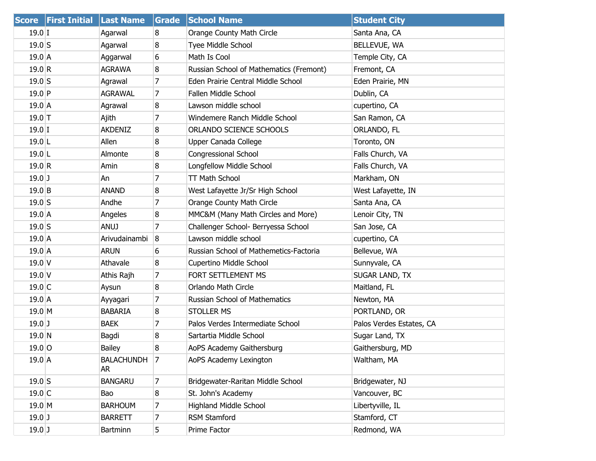|          | <b>Score First Initial</b> | <b>Last Name</b> | Grade | <b>School Name</b>                      | <b>Student City</b>      |
|----------|----------------------------|------------------|-------|-----------------------------------------|--------------------------|
| $19.0$ I |                            | Agarwal          | 8     | Orange County Math Circle               | Santa Ana, CA            |
| $19.0$ S |                            | Agarwal          | 8     | Tyee Middle School                      | BELLEVUE, WA             |
| $19.0$ A |                            | Aggarwal         | 6     | Math Is Cool                            | Temple City, CA          |
| 19.0 R   |                            | <b>AGRAWA</b>    | 8     | Russian School of Mathematics (Fremont) | Fremont, CA              |
| $19.0$ S |                            | Agrawal          | 7     | Eden Prairie Central Middle School      | Eden Prairie, MN         |
| $19.0$ P |                            | <b>AGRAWAL</b>   | 7     | Fallen Middle School                    | Dublin, CA               |
| $19.0$ A |                            | Agrawal          | 8     | Lawson middle school                    | cupertino, CA            |
| $19.0$ T |                            | Ajith            | 7     | Windemere Ranch Middle School           | San Ramon, CA            |
| $19.0$ I |                            | <b>AKDENIZ</b>   | 8     | ORLANDO SCIENCE SCHOOLS                 | ORLANDO, FL              |
| $19.0$ L |                            | Allen            | 8     | Upper Canada College                    | Toronto, ON              |
| $19.0$ L |                            | Almonte          | 8     | Congressional School                    | Falls Church, VA         |
| 19.0 R   |                            | Amin             | 8     | Longfellow Middle School                | Falls Church, VA         |
| $19.0$ ] |                            | An               | 7     | <b>TT Math School</b>                   | Markham, ON              |
| $19.0$ B |                            | ANAND            | 8     | West Lafayette Jr/Sr High School        | West Lafayette, IN       |
| $19.0$ S |                            | Andhe            | 7     | Orange County Math Circle               | Santa Ana, CA            |
| $19.0$ A |                            | Angeles          | 8     | MMC&M (Many Math Circles and More)      | Lenoir City, TN          |
| $19.0$ S |                            | <b>ANUJ</b>      | 7     | Challenger School- Berryessa School     | San Jose, CA             |
| $19.0$ A |                            | Arivudainambi    | 8     | Lawson middle school                    | cupertino, CA            |
| $19.0$ A |                            | <b>ARUN</b>      | 6     | Russian School of Mathemetics-Factoria  | Bellevue, WA             |
| $19.0$ V |                            | Athavale         | 8     | Cupertino Middle School                 | Sunnyvale, CA            |
| $19.0$ V |                            | Athis Rajh       | 7     | FORT SETTLEMENT MS                      | SUGAR LAND, TX           |
| $19.0$ C |                            | Aysun            | 8     | Orlando Math Circle                     | Maitland, FL             |
| $19.0$ A |                            | Ayyagari         | 7     | Russian School of Mathematics           | Newton, MA               |
| 19.0 M   |                            | <b>BABARIA</b>   | 8     | <b>STOLLER MS</b>                       | PORTLAND, OR             |
| $19.0$ ] |                            | <b>BAEK</b>      | 7     | Palos Verdes Intermediate School        | Palos Verdes Estates, CA |
| 19.0 N   |                            | Bagdi            | 8     | Sartartia Middle School                 | Sugar Land, TX           |
| $19.0$ O |                            | <b>Bailey</b>    | 8     | AoPS Academy Gaithersburg               | Gaithersburg, MD         |
| $19.0$ A |                            | BALACHUNDH<br>AR | 7     | AoPS Academy Lexington                  | Waltham, MA              |
| $19.0$ S |                            | <b>BANGARU</b>   | 7     | Bridgewater-Raritan Middle School       | Bridgewater, NJ          |
| $19.0$ C |                            | Bao              | 8     | St. John's Academy                      | Vancouver, BC            |
| $19.0$ M |                            | <b>BARHOUM</b>   | 7     | <b>Highland Middle School</b>           | Libertyville, IL         |
| $19.0$ J |                            | <b>BARRETT</b>   | 7     | <b>RSM Stamford</b>                     | Stamford, CT             |
| $19.0$ J |                            | Bartminn         | 5     | Prime Factor                            | Redmond, WA              |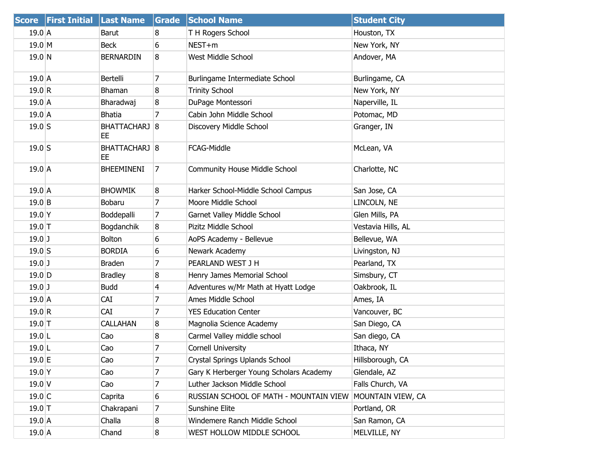|                   | Score First Initial Last Name |                                | Grade            | <b>School Name</b>                      | <b>Student City</b> |
|-------------------|-------------------------------|--------------------------------|------------------|-----------------------------------------|---------------------|
| $19.0$ A          |                               | <b>Barut</b>                   | 8                | T H Rogers School                       | Houston, TX         |
| $19.0$ M          |                               | <b>Beck</b>                    | 6                | NEST+m                                  | New York, NY        |
| $19.0$ N          |                               | <b>BERNARDIN</b>               | 8                | West Middle School                      | Andover, MA         |
| $19.0$ A          |                               | Bertelli                       | 7                | Burlingame Intermediate School          | Burlingame, CA      |
| 19.0 R            |                               | Bhaman                         | 8                | <b>Trinity School</b>                   | New York, NY        |
| $19.0$ A          |                               | Bharadwaj                      | 8                | DuPage Montessori                       | Naperville, IL      |
| $19.0$ A          |                               | Bhatia                         | 7                | Cabin John Middle School                | Potomac, MD         |
| $19.0$ S          |                               | BHATTACHARJ 8<br>EE            |                  | Discovery Middle School                 | Granger, IN         |
| $19.0$ S          |                               | BHATTACHARJ <sup>8</sup><br>EE |                  | FCAG-Middle                             | McLean, VA          |
| $19.0$ A          |                               | <b>BHEEMINENI</b>              | 7                | <b>Community House Middle School</b>    | Charlotte, NC       |
| $19.0\,A$         |                               | <b>BHOWMIK</b>                 | 8                | Harker School-Middle School Campus      | San Jose, CA        |
| $19.0$ B          |                               | Bobaru                         | 7                | Moore Middle School                     | LINCOLN, NE         |
| 19.0 <sup>Y</sup> |                               | Boddepalli                     | 7                | Garnet Valley Middle School             | Glen Mills, PA      |
| $19.0$ T          |                               | Bogdanchik                     | 8                | Pizitz Middle School                    | Vestavia Hills, AL  |
| $19.0$ J          |                               | <b>Bolton</b>                  | 6                | AoPS Academy - Bellevue                 | Bellevue, WA        |
| $19.0$ S          |                               | <b>BORDIA</b>                  | 6                | Newark Academy                          | Livingston, NJ      |
| $19.0$ J          |                               | <b>Braden</b>                  | 7                | PEARLAND WEST J H                       | Pearland, TX        |
| $19.0$ D          |                               | <b>Bradley</b>                 | 8                | Henry James Memorial School             | Simsbury, CT        |
| $19.0$ J          |                               | <b>Budd</b>                    | 4                | Adventures w/Mr Math at Hyatt Lodge     | Oakbrook, IL        |
| $19.0$ A          |                               | <b>CAI</b>                     | 7                | Ames Middle School                      | Ames, IA            |
| 19.0 R            |                               | <b>CAI</b>                     | 7                | <b>YES Education Center</b>             | Vancouver, BC       |
| $19.0$ T          |                               | <b>CALLAHAN</b>                | 8                | Magnolia Science Academy                | San Diego, CA       |
| $19.0$ L          |                               | Cao                            | 8                | Carmel Valley middle school             | San diego, CA       |
| $19.0$  L         |                               | Cao                            | 7                | <b>Cornell University</b>               | Ithaca, NY          |
| $19.0$ E          |                               | Cao                            | 7                | Crystal Springs Uplands School          | Hillsborough, CA    |
| 19.0 <sup>Y</sup> |                               | Cao                            | 7                | Gary K Herberger Young Scholars Academy | Glendale, AZ        |
| $19.0$ V          |                               | Cao                            | 7                | Luther Jackson Middle School            | Falls Church, VA    |
| 19.0 C            |                               | Caprita                        | 6                | RUSSIAN SCHOOL OF MATH - MOUNTAIN VIEW  | MOUNTAIN VIEW, CA   |
| $19.0$ T          |                               | Chakrapani                     | 7                | <b>Sunshine Elite</b>                   | Portland, OR        |
| $19.0$ A          |                               | Challa                         | 8                | Windemere Ranch Middle School           | San Ramon, CA       |
| $19.0$ A          |                               | Chand                          | $\boldsymbol{8}$ | WEST HOLLOW MIDDLE SCHOOL               | MELVILLE, NY        |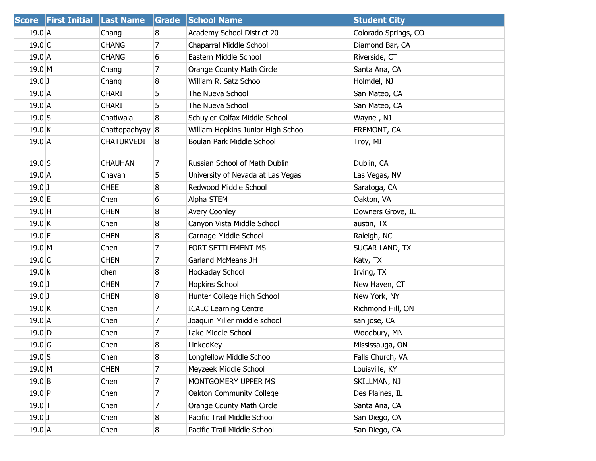| <b>Score</b>      | <b>First Initial Last Name</b> |                   | Grade          | <b>School Name</b>                 | <b>Student City</b>   |
|-------------------|--------------------------------|-------------------|----------------|------------------------------------|-----------------------|
| $19.0$ A          |                                | Chang             | 8              | Academy School District 20         | Colorado Springs, CO  |
| 19.0 C            |                                | <b>CHANG</b>      | 7              | Chaparral Middle School            | Diamond Bar, CA       |
| 19.0A             |                                | <b>CHANG</b>      | 6              | Eastern Middle School              | Riverside, CT         |
| $19.0$ M          |                                | Chang             | 7              | Orange County Math Circle          | Santa Ana, CA         |
| $19.0$ J          |                                | Chang             | 8              | William R. Satz School             | Holmdel, NJ           |
| 19.0A             |                                | <b>CHARI</b>      | 5              | The Nueva School                   | San Mateo, CA         |
| $19.0$ A          |                                | <b>CHARI</b>      | 5              | The Nueva School                   | San Mateo, CA         |
| $19.0$ S          |                                | Chatiwala         | 8              | Schuyler-Colfax Middle School      | Wayne, NJ             |
| 19.0 K            |                                | Chattopadhyay 8   |                | William Hopkins Junior High School | FREMONT, CA           |
| $19.0$ A          |                                | <b>CHATURVEDI</b> | 8              | Boulan Park Middle School          | Troy, MI              |
| $19.0$ S          |                                | <b>CHAUHAN</b>    | $\overline{7}$ | Russian School of Math Dublin      | Dublin, CA            |
| 19.0A             |                                | Chavan            | 5              | University of Nevada at Las Vegas  | Las Vegas, NV         |
| $19.0$ J          |                                | <b>CHEE</b>       | 8              | Redwood Middle School              | Saratoga, CA          |
| $19.0 \text{ }E$  |                                | Chen              | 6              | Alpha STEM                         | Oakton, VA            |
| $19.0$ H          |                                | <b>CHEN</b>       | 8              | <b>Avery Coonley</b>               | Downers Grove, IL     |
| 19.0 K            |                                | Chen              | 8              | Canyon Vista Middle School         | austin, TX            |
| $19.0 \text{ }E$  |                                | <b>CHEN</b>       | 8              | Carnage Middle School              | Raleigh, NC           |
| $19.0$ M          |                                | Chen              | 7              | FORT SETTLEMENT MS                 | <b>SUGAR LAND, TX</b> |
| 19.0 C            |                                | <b>CHEN</b>       | 7              | Garland McMeans JH                 | Katy, TX              |
| 19.0 k            |                                | chen              | 8              | Hockaday School                    | Irving, TX            |
| $19.0$ J          |                                | <b>CHEN</b>       | 7              | Hopkins School                     | New Haven, CT         |
| $19.0$ J          |                                | <b>CHEN</b>       | 8              | Hunter College High School         | New York, NY          |
| 19.0 K            |                                | Chen              | 7              | <b>ICALC Learning Centre</b>       | Richmond Hill, ON     |
| $19.0$ A          |                                | Chen              | 7              | Joaquin Miller middle school       | san jose, CA          |
| $19.0$ D          |                                | Chen              | 7              | Lake Middle School                 | Woodbury, MN          |
| 19.0 <sub>G</sub> |                                | Chen              | 8              | LinkedKey                          | Mississauga, ON       |
| $19.0$ S          |                                | Chen              | 8              | Longfellow Middle School           | Falls Church, VA      |
| $19.0$ M          |                                | <b>CHEN</b>       | 7              | Meyzeek Middle School              | Louisville, KY        |
| $19.0$ B          |                                | Chen              | $\overline{7}$ | MONTGOMERY UPPER MS                | SKILLMAN, NJ          |
| $19.0$ P          |                                | Chen              | 7              | Oakton Community College           | Des Plaines, IL       |
| $19.0$ T          |                                | Chen              | 7              | Orange County Math Circle          | Santa Ana, CA         |
| $19.0$ J          |                                | Chen              | 8              | Pacific Trail Middle School        | San Diego, CA         |
| 19.0 A            |                                | Chen              | 8              | Pacific Trail Middle School        | San Diego, CA         |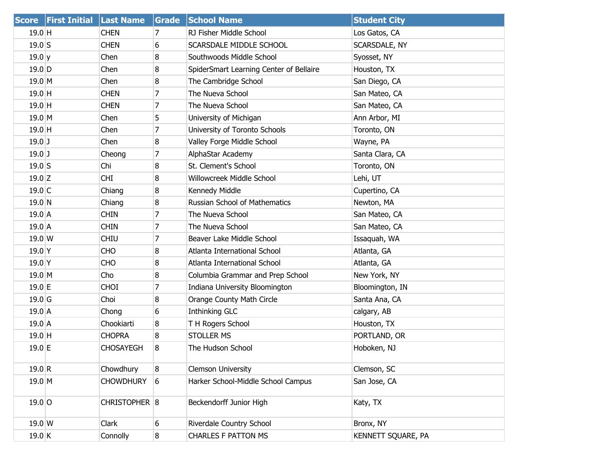|                   | Score First Initial Last Name |                  | Grade            | <b>School Name</b>                      | <b>Student City</b> |
|-------------------|-------------------------------|------------------|------------------|-----------------------------------------|---------------------|
| $19.0$ H          |                               | <b>CHEN</b>      | 7                | RJ Fisher Middle School                 | Los Gatos, CA       |
| $19.0$ S          |                               | <b>CHEN</b>      | 6                | SCARSDALE MIDDLE SCHOOL                 | SCARSDALE, NY       |
| 19.0 y            |                               | Chen             | 8                | Southwoods Middle School                | Syosset, NY         |
| $19.0$ D          |                               | Chen             | 8                | SpiderSmart Learning Center of Bellaire | Houston, TX         |
| $19.0$ M          |                               | Chen             | 8                | The Cambridge School                    | San Diego, CA       |
| $19.0$ H          |                               | <b>CHEN</b>      | 7                | The Nueva School                        | San Mateo, CA       |
| $19.0$ H          |                               | <b>CHEN</b>      | 7                | The Nueva School                        | San Mateo, CA       |
| $19.0$ M          |                               | Chen             | 5                | University of Michigan                  | Ann Arbor, MI       |
| 19.0 H            |                               | Chen             | 7                | University of Toronto Schools           | Toronto, ON         |
| $19.0$ J          |                               | Chen             | 8                | Valley Forge Middle School              | Wayne, PA           |
| $19.0$ J          |                               | Cheong           | 7                | AlphaStar Academy                       | Santa Clara, CA     |
| $19.0$ S          |                               | Chi              | 8                | St. Clement's School                    | Toronto, ON         |
| $19.0$ Z          |                               | <b>CHI</b>       | 8                | Willowcreek Middle School               | Lehi, UT            |
| $19.0$ C          |                               | Chiang           | 8                | Kennedy Middle                          | Cupertino, CA       |
| 19.0 N            |                               | Chiang           | 8                | Russian School of Mathematics           | Newton, MA          |
| $19.0$ A          |                               | <b>CHIN</b>      | 7                | The Nueva School                        | San Mateo, CA       |
| $19.0$ A          |                               | <b>CHIN</b>      | 7                | The Nueva School                        | San Mateo, CA       |
| $19.0 \text{W}$   |                               | <b>CHIU</b>      | 7                | Beaver Lake Middle School               | Issaquah, WA        |
| 19.0 <sup>Y</sup> |                               | <b>CHO</b>       | 8                | Atlanta International School            | Atlanta, GA         |
| 19.0 <sup>Y</sup> |                               | <b>CHO</b>       | 8                | Atlanta International School            | Atlanta, GA         |
| $19.0$ M          |                               | Cho              | 8                | Columbia Grammar and Prep School        | New York, NY        |
| 19.0 E            |                               | <b>CHOI</b>      | 7                | Indiana University Bloomington          | Bloomington, IN     |
| $19.0$ G          |                               | Choi             | 8                | Orange County Math Circle               | Santa Ana, CA       |
| $19.0$ A          |                               | Chong            | 6                | Inthinking GLC                          | calgary, AB         |
| $19.0$ A          |                               | Chookiarti       | 8                | T H Rogers School                       | Houston, TX         |
| $19.0$ H          |                               | <b>CHOPRA</b>    | 8                | <b>STOLLER MS</b>                       | PORTLAND, OR        |
| $19.0$ E          |                               | <b>CHOSAYEGH</b> | 8                | The Hudson School                       | Hoboken, NJ         |
| 19.0 R            |                               | Chowdhury        | 8                | <b>Clemson University</b>               | Clemson, SC         |
| $19.0$ M          |                               | <b>CHOWDHURY</b> | 6                | Harker School-Middle School Campus      | San Jose, CA        |
| $19.0$ O          |                               | CHRISTOPHER 8    |                  | Beckendorff Junior High                 | Katy, TX            |
| $19.0 \text{W}$   |                               | Clark            | 6                | Riverdale Country School                | Bronx, NY           |
| $19.0$ K          |                               | Connolly         | $\boldsymbol{8}$ | <b>CHARLES F PATTON MS</b>              | KENNETT SQUARE, PA  |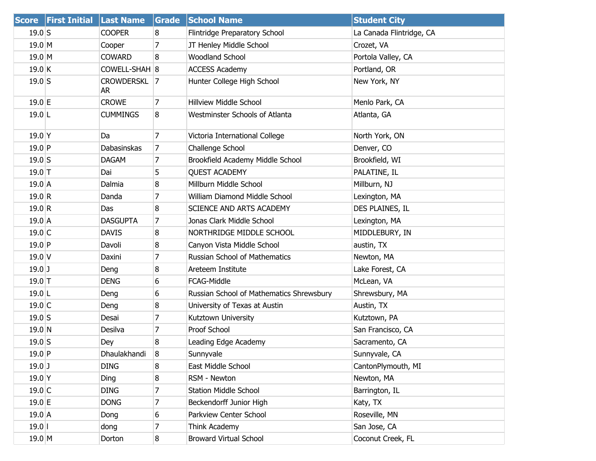| <b>Score</b>      | <b>First Initial Last Name</b> |                    | Grade          | <b>School Name</b>                       | <b>Student City</b>      |
|-------------------|--------------------------------|--------------------|----------------|------------------------------------------|--------------------------|
| $19.0$ S          |                                | <b>COOPER</b>      | 8              | Flintridge Preparatory School            | La Canada Flintridge, CA |
| $19.0$ M          |                                | Cooper             | $\overline{7}$ | JT Henley Middle School                  | Crozet, VA               |
| $19.0$ M          |                                | <b>COWARD</b>      | 8              | <b>Woodland School</b>                   | Portola Valley, CA       |
| 19.0 K            |                                | COWELL-SHAH 8      |                | <b>ACCESS Academy</b>                    | Portland, OR             |
| $19.0$ S          |                                | CROWDERSKL 7<br>AR |                | Hunter College High School               | New York, NY             |
| 19.0 E            |                                | <b>CROWE</b>       | 7              | <b>Hillview Middle School</b>            | Menlo Park, CA           |
| $19.0$ L          |                                | <b>CUMMINGS</b>    | 8              | Westminster Schools of Atlanta           | Atlanta, GA              |
| $19.0$ Y          |                                | Da                 | 7              | Victoria International College           | North York, ON           |
| $19.0$ P          |                                | Dabasinskas        | 7              | Challenge School                         | Denver, CO               |
| $19.0$ S          |                                | <b>DAGAM</b>       | 7              | Brookfield Academy Middle School         | Brookfield, WI           |
| $19.0$ T          |                                | Dai                | 5              | <b>QUEST ACADEMY</b>                     | PALATINE, IL             |
| $19.0$ A          |                                | Dalmia             | 8              | Millburn Middle School                   | Millburn, NJ             |
| 19.0 R            |                                | Danda              | 7              | William Diamond Middle School            | Lexington, MA            |
| 19.0 R            |                                | Das                | 8              | <b>SCIENCE AND ARTS ACADEMY</b>          | DES PLAINES, IL          |
| 19.0 A            |                                | <b>DASGUPTA</b>    | 7              | Jonas Clark Middle School                | Lexington, MA            |
| 19.0 C            |                                | <b>DAVIS</b>       | 8              | NORTHRIDGE MIDDLE SCHOOL                 | MIDDLEBURY, IN           |
| $19.0$ P          |                                | Davoli             | 8              | Canyon Vista Middle School               | austin, TX               |
| 19.0 V            |                                | Daxini             | $\overline{7}$ | Russian School of Mathematics            | Newton, MA               |
| $19.0$ J          |                                | Deng               | 8              | Areteem Institute                        | Lake Forest, CA          |
| $19.0$ T          |                                | <b>DENG</b>        | 6              | FCAG-Middle                              | McLean, VA               |
| $19.0$ L          |                                | Deng               | 6              | Russian School of Mathematics Shrewsbury | Shrewsbury, MA           |
| $19.0$ C          |                                | Deng               | 8              | University of Texas at Austin            | Austin, TX               |
| $19.0$ S          |                                | Desai              | 7              | Kutztown University                      | Kutztown, PA             |
| $19.0$ N          |                                | Desilva            | 7              | Proof School                             | San Francisco, CA        |
| $19.0$ S          |                                | Dey                | 8              | Leading Edge Academy                     | Sacramento, CA           |
| 19.0P             |                                | Dhaulakhandi       | 8              | Sunnyvale                                | Sunnyvale, CA            |
| $19.0$ J          |                                | <b>DING</b>        | 8              | East Middle School                       | CantonPlymouth, MI       |
| 19.0 <sup>Y</sup> |                                | Ding               | 8              | RSM - Newton                             | Newton, MA               |
| 19.0 C            |                                | <b>DING</b>        | $\overline{7}$ | <b>Station Middle School</b>             | Barrington, IL           |
| $19.0$ E          |                                | <b>DONG</b>        | 7              | Beckendorff Junior High                  | Katy, TX                 |
| $19.0$ A          |                                | Dong               | 6              | Parkview Center School                   | Roseville, MN            |
| $19.0$            |                                | dong               | 7              | Think Academy                            | San Jose, CA             |
| 19.0 M            |                                | Dorton             | 8              | <b>Broward Virtual School</b>            | Coconut Creek, FL        |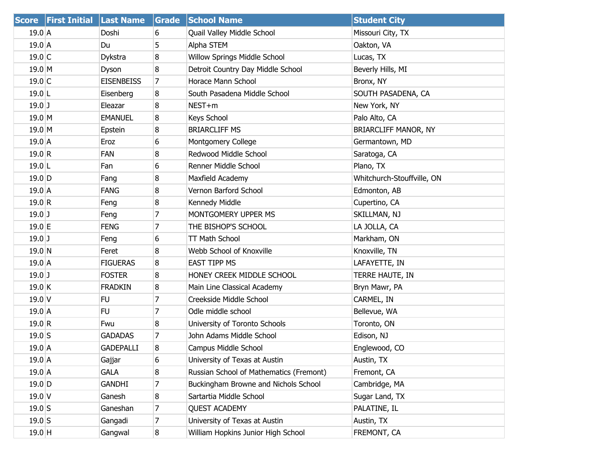|           | Score First Initial Last Name |                   | Grade          | <b>School Name</b>                      | <b>Student City</b>        |
|-----------|-------------------------------|-------------------|----------------|-----------------------------------------|----------------------------|
| $19.0$ A  |                               | Doshi             | 6              | Quail Valley Middle School              | Missouri City, TX          |
| $19.0$ A  |                               | Du                | 5              | Alpha STEM                              | Oakton, VA                 |
| $19.0$ C  |                               | Dykstra           | 8              | Willow Springs Middle School            | Lucas, TX                  |
| $19.0$ M  |                               | Dyson             | 8              | Detroit Country Day Middle School       | Beverly Hills, MI          |
| $19.0$ C  |                               | <b>EISENBEISS</b> | 7              | Horace Mann School                      | Bronx, NY                  |
| $19.0$ L  |                               | Eisenberg         | 8              | South Pasadena Middle School            | SOUTH PASADENA, CA         |
| $19.0$ J  |                               | Eleazar           | 8              | NEST+m                                  | New York, NY               |
| $19.0$ M  |                               | <b>EMANUEL</b>    | 8              | Keys School                             | Palo Alto, CA              |
| $19.0$ M  |                               | Epstein           | 8              | <b>BRIARCLIFF MS</b>                    | BRIARCLIFF MANOR, NY       |
| $19.0$ A  |                               | Eroz              | 6              | Montgomery College                      | Germantown, MD             |
| 19.0 R    |                               | FAN               | 8              | Redwood Middle School                   | Saratoga, CA               |
| $19.0$  L |                               | Fan               | 6              | Renner Middle School                    | Plano, TX                  |
| $19.0$ D  |                               | Fang              | 8              | Maxfield Academy                        | Whitchurch-Stouffville, ON |
| $19.0$ A  |                               | <b>FANG</b>       | 8              | Vernon Barford School                   | Edmonton, AB               |
| 19.0 R    |                               | Feng              | 8              | Kennedy Middle                          | Cupertino, CA              |
| $19.0$ J  |                               | Feng              | $\overline{7}$ | MONTGOMERY UPPER MS                     | SKILLMAN, NJ               |
| $19.0$ E  |                               | <b>FENG</b>       | 7              | THE BISHOP'S SCHOOL                     | LA JOLLA, CA               |
| $19.0$ J  |                               | Feng              | 6              | <b>TT Math School</b>                   | Markham, ON                |
| $19.0$ N  |                               | Feret             | 8              | Webb School of Knoxville                | Knoxville, TN              |
| $19.0\,A$ |                               | <b>FIGUERAS</b>   | 8              | <b>EAST TIPP MS</b>                     | LAFAYETTE, IN              |
| $19.0$ J  |                               | <b>FOSTER</b>     | 8              | HONEY CREEK MIDDLE SCHOOL               | TERRE HAUTE, IN            |
| $19.0$ K  |                               | <b>FRADKIN</b>    | 8              | Main Line Classical Academy             | Bryn Mawr, PA              |
| $19.0$ V  |                               | FU.               | 7              | Creekside Middle School                 | CARMEL, IN                 |
| $19.0$ A  |                               | <b>FU</b>         | $\overline{7}$ | Odle middle school                      | Bellevue, WA               |
| 19.0 R    |                               | Fwu               | 8              | University of Toronto Schools           | Toronto, ON                |
| $19.0$ S  |                               | <b>GADADAS</b>    | 7              | John Adams Middle School                | Edison, NJ                 |
| $19.0$ A  |                               | <b>GADEPALLI</b>  | 8              | Campus Middle School                    | Englewood, CO              |
| $19.0$ A  |                               | Gajjar            | 6              | University of Texas at Austin           | Austin, TX                 |
| $19.0$ A  |                               | GALA              | 8              | Russian School of Mathematics (Fremont) | Fremont, CA                |
| $19.0$ D  |                               | GANDHI            | 7              | Buckingham Browne and Nichols School    | Cambridge, MA              |
| $19.0$ V  |                               | Ganesh            | 8              | Sartartia Middle School                 | Sugar Land, TX             |
| $19.0$ S  |                               | Ganeshan          | 7              | <b>QUEST ACADEMY</b>                    | PALATINE, IL               |
| $19.0$ S  |                               | Gangadi           | 7              | University of Texas at Austin           | Austin, TX                 |
| $19.0$ H  |                               | Gangwal           | 8              | William Hopkins Junior High School      | FREMONT, CA                |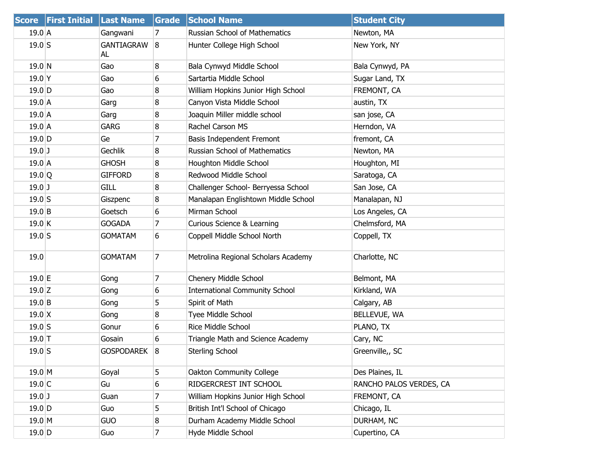| <b>Score</b>        | <b>First Initial</b> | <b>Last Name</b>        | <b>Grade</b>   | <b>School Name</b>                    | <b>Student City</b>     |
|---------------------|----------------------|-------------------------|----------------|---------------------------------------|-------------------------|
| $19.0$ A            |                      | Gangwani                | 7              | <b>Russian School of Mathematics</b>  | Newton, MA              |
| $19.0$ S            |                      | <b>GANTIAGRAW</b><br>AL | 8              | Hunter College High School            | New York, NY            |
| 19.0 N              |                      | Gao                     | 8              | Bala Cynwyd Middle School             | Bala Cynwyd, PA         |
| $19.0$ Y            |                      | Gao                     | 6              | Sartartia Middle School               | Sugar Land, TX          |
| 19.0 D              |                      | Gao                     | 8              | William Hopkins Junior High School    | FREMONT, CA             |
| 19.0A               |                      | Garg                    | 8              | Canyon Vista Middle School            | austin, TX              |
| $19.0$ A            |                      | Garg                    | 8              | Joaquin Miller middle school          | san jose, CA            |
| $19.0$ A            |                      | <b>GARG</b>             | 8              | Rachel Carson MS                      | Herndon, VA             |
| $19.0$ D            |                      | Ge                      | 7              | Basis Independent Fremont             | fremont, CA             |
| $19.0$ J            |                      | Gechlik                 | 8              | <b>Russian School of Mathematics</b>  | Newton, MA              |
| 19.0 A              |                      | <b>GHOSH</b>            | 8              | Houghton Middle School                | Houghton, MI            |
| $19.0$ <sup>Q</sup> |                      | <b>GIFFORD</b>          | 8              | Redwood Middle School                 | Saratoga, CA            |
| $19.0$ J            |                      | <b>GILL</b>             | 8              | Challenger School- Berryessa School   | San Jose, CA            |
| $19.0$ S            |                      | Giszpenc                | 8              | Manalapan Englishtown Middle School   | Manalapan, NJ           |
| 19.0 B              |                      | Goetsch                 | 6              | Mirman School                         | Los Angeles, CA         |
| 19.0 K              |                      | <b>GOGADA</b>           | 7              | Curious Science & Learning            | Chelmsford, MA          |
| $19.0$ S            |                      | <b>GOMATAM</b>          | 6              | Coppell Middle School North           | Coppell, TX             |
| 19.0                |                      | <b>GOMATAM</b>          | 7              | Metrolina Regional Scholars Academy   | Charlotte, NC           |
| 19.0 E              |                      | Gong                    | 7              | Chenery Middle School                 | Belmont, MA             |
| $19.0$ Z            |                      | Gong                    | 6              | <b>International Community School</b> | Kirkland, WA            |
| $19.0$ B            |                      | Gong                    | 5              | Spirit of Math                        | Calgary, AB             |
| $19.0 \text{ X}$    |                      | Gong                    | 8              | Tyee Middle School                    | BELLEVUE, WA            |
| $19.0$ S            |                      | Gonur                   | 6              | Rice Middle School                    | PLANO, TX               |
| $19.0$ T            |                      | Gosain                  | 6              | Triangle Math and Science Academy     | Cary, NC                |
| $19.0$ S            |                      | GOSPODAREK 8            |                | Sterling School                       | Greenville,, SC         |
| $19.0$ M            |                      | Goyal                   | 5              | Oakton Community College              | Des Plaines, IL         |
| 19.0 C              |                      | Gu                      | 6              | RIDGERCREST INT SCHOOL                | RANCHO PALOS VERDES, CA |
| $19.0$ J            |                      | Guan                    | $\overline{7}$ | William Hopkins Junior High School    | FREMONT, CA             |
| $19.0$ D            |                      | Guo                     | 5              | British Int'l School of Chicago       | Chicago, IL             |
| $19.0$ M            |                      | <b>GUO</b>              | 8              | Durham Academy Middle School          | DURHAM, NC              |
| $19.0$ D            |                      | Guo                     | $\overline{7}$ | Hyde Middle School                    | Cupertino, CA           |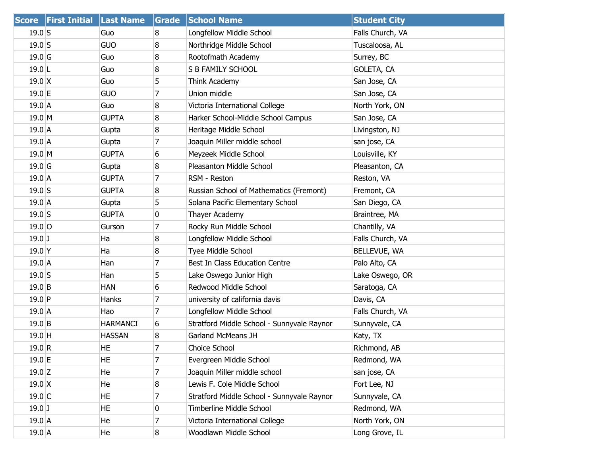|                  | Score First Initial Last Name |                 | Grade          | <b>School Name</b>                         | <b>Student City</b> |
|------------------|-------------------------------|-----------------|----------------|--------------------------------------------|---------------------|
| $19.0$ S         |                               | Guo             | 8              | Longfellow Middle School                   | Falls Church, VA    |
| $19.0$ S         |                               | <b>GUO</b>      | 8              | Northridge Middle School                   | Tuscaloosa, AL      |
| $19.0$ G         |                               | Guo             | 8              | Rootofmath Academy                         | Surrey, BC          |
| $19.0$ L         |                               | Guo             | 8              | S B FAMILY SCHOOL                          | GOLETA, CA          |
| $19.0 \text{ X}$ |                               | Guo             | 5              | Think Academy                              | San Jose, CA        |
| $19.0$ E         |                               | GUO             | 7              | Union middle                               | San Jose, CA        |
| $19.0$ A         |                               | Guo             | 8              | Victoria International College             | North York, ON      |
| $19.0$ M         |                               | <b>GUPTA</b>    | 8              | Harker School-Middle School Campus         | San Jose, CA        |
| $19.0$ A         |                               | Gupta           | 8              | Heritage Middle School                     | Livingston, NJ      |
| $19.0$ A         |                               | Gupta           | 7              | Joaquin Miller middle school               | san jose, CA        |
| $19.0$ M         |                               | <b>GUPTA</b>    | 6              | Meyzeek Middle School                      | Louisville, KY      |
| $19.0$ G         |                               | Gupta           | 8              | Pleasanton Middle School                   | Pleasanton, CA      |
| $19.0$ A         |                               | <b>GUPTA</b>    | 7              | RSM - Reston                               | Reston, VA          |
| $19.0$ S         |                               | <b>GUPTA</b>    | 8              | Russian School of Mathematics (Fremont)    | Fremont, CA         |
| 19.0 A           |                               | Gupta           | 5              | Solana Pacific Elementary School           | San Diego, CA       |
| $19.0$ S         |                               | <b>GUPTA</b>    | 0              | Thayer Academy                             | Braintree, MA       |
| $19.0$ O         |                               | Gurson          | 7              | Rocky Run Middle School                    | Chantilly, VA       |
| $19.0$ J         |                               | Ha              | 8              | Longfellow Middle School                   | Falls Church, VA    |
| $19.0$ Y         |                               | Ha              | 8              | Tyee Middle School                         | BELLEVUE, WA        |
| $19.0$ A         |                               | Han             | 7              | Best In Class Education Centre             | Palo Alto, CA       |
| $19.0$ S         |                               | Han             | 5              | Lake Oswego Junior High                    | Lake Oswego, OR     |
| $19.0$ B         |                               | <b>HAN</b>      | 6              | Redwood Middle School                      | Saratoga, CA        |
| $19.0$ P         |                               | Hanks           | 7              | university of california davis             | Davis, CA           |
| 19.0A            |                               | Hao             | 7              | Longfellow Middle School                   | Falls Church, VA    |
| $19.0$ B         |                               | <b>HARMANCI</b> | 6              | Stratford Middle School - Sunnyvale Raynor | Sunnyvale, CA       |
| $19.0$ H         |                               | <b>HASSAN</b>   | 8              | Garland McMeans JH                         | Katy, TX            |
| 19.0 R           |                               | HE.             | $\overline{7}$ | Choice School                              | Richmond, AB        |
| $19.0$ E         |                               | HE              | 7              | Evergreen Middle School                    | Redmond, WA         |
| $19.0$ Z         |                               | He              | 7              | Joaquin Miller middle school               | san jose, CA        |
| $19.0 \text{ X}$ |                               | He              | 8              | Lewis F. Cole Middle School                | Fort Lee, NJ        |
| $19.0$ C         |                               | HE              | 7              | Stratford Middle School - Sunnyvale Raynor | Sunnyvale, CA       |
| $19.0$ J         |                               | HE.             | 0              | Timberline Middle School                   | Redmond, WA         |
| $19.0$ A         |                               | He              | 7              | Victoria International College             | North York, ON      |
| $19.0$ A         |                               | He              | 8              | Woodlawn Middle School                     | Long Grove, IL      |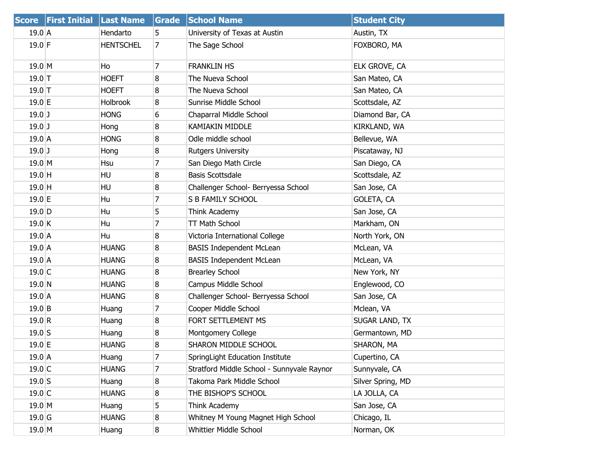| <b>Score</b>     | <b>First Initial Last Name</b> |                  | Grade | <b>School Name</b>                         | <b>Student City</b> |
|------------------|--------------------------------|------------------|-------|--------------------------------------------|---------------------|
| $19.0$ A         |                                | Hendarto         | 5.    | University of Texas at Austin              | Austin, TX          |
| $19.0$ F         |                                | <b>HENTSCHEL</b> | 7     | The Sage School                            | FOXBORO, MA         |
| $19.0$ M         |                                | Ho               | 7     | <b>FRANKLIN HS</b>                         | ELK GROVE, CA       |
| $19.0$ T         |                                | <b>HOEFT</b>     | 8     | The Nueva School                           | San Mateo, CA       |
| $19.0$ T         |                                | <b>HOEFT</b>     | 8     | The Nueva School                           | San Mateo, CA       |
| 19.0 E           |                                | <b>Holbrook</b>  | 8     | Sunrise Middle School                      | Scottsdale, AZ      |
| $19.0$ J         |                                | <b>HONG</b>      | 6     | Chaparral Middle School                    | Diamond Bar, CA     |
| $19.0$ J         |                                | Hong             | 8     | <b>KAMIAKIN MIDDLE</b>                     | KIRKLAND, WA        |
| 19.0A            |                                | <b>HONG</b>      | 8     | Odle middle school                         | Bellevue, WA        |
| $19.0$ J         |                                | Hong             | 8     | <b>Rutgers University</b>                  | Piscataway, NJ      |
| $19.0$ M         |                                | Hsu              | 7     | San Diego Math Circle                      | San Diego, CA       |
| $19.0$ H         |                                | HU               | 8     | <b>Basis Scottsdale</b>                    | Scottsdale, AZ      |
| $19.0$ H         |                                | HU               | 8     | Challenger School- Berryessa School        | San Jose, CA        |
| $19.0 \text{ E}$ |                                | Hu               | 7     | S B FAMILY SCHOOL                          | GOLETA, CA          |
| $19.0$ D         |                                | Hu               | 5     | Think Academy                              | San Jose, CA        |
| 19.0 K           |                                | Hu               | 7     | TT Math School                             | Markham, ON         |
| $19.0$ A         |                                | Hu               | 8     | Victoria International College             | North York, ON      |
| 19.0A            |                                | <b>HUANG</b>     | 8     | <b>BASIS Independent McLean</b>            | McLean, VA          |
| 19.0A            |                                | <b>HUANG</b>     | 8     | <b>BASIS Independent McLean</b>            | McLean, VA          |
| $19.0$ C         |                                | <b>HUANG</b>     | 8     | <b>Brearley School</b>                     | New York, NY        |
| $19.0$ N         |                                | <b>HUANG</b>     | 8     | Campus Middle School                       | Englewood, CO       |
| 19.0A            |                                | <b>HUANG</b>     | 8     | Challenger School- Berryessa School        | San Jose, CA        |
| $19.0$ B         |                                | Huang            | 7     | Cooper Middle School                       | Mclean, VA          |
| 19.0 R           |                                | Huang            | 8     | FORT SETTLEMENT MS                         | SUGAR LAND, TX      |
| $19.0$ S         |                                | Huang            | 8     | Montgomery College                         | Germantown, MD      |
| 19.0 E           |                                | <b>HUANG</b>     | 8     | SHARON MIDDLE SCHOOL                       | SHARON, MA          |
| $19.0$ A         |                                | Huang            | 7     | SpringLight Education Institute            | Cupertino, CA       |
| $19.0$ C         |                                | <b>HUANG</b>     | 7     | Stratford Middle School - Sunnyvale Raynor | Sunnyvale, CA       |
| $19.0$ S         |                                | Huang            | 8     | Takoma Park Middle School                  | Silver Spring, MD   |
| 19.0 C           |                                | <b>HUANG</b>     | 8     | THE BISHOP'S SCHOOL                        | LA JOLLA, CA        |
| $19.0$ M         |                                | Huang            | 5     | Think Academy                              | San Jose, CA        |
| $19.0$ G         |                                | <b>HUANG</b>     | 8     | Whitney M Young Magnet High School         | Chicago, IL         |
| 19.0 M           |                                | Huang            | 8     | Whittier Middle School                     | Norman, OK          |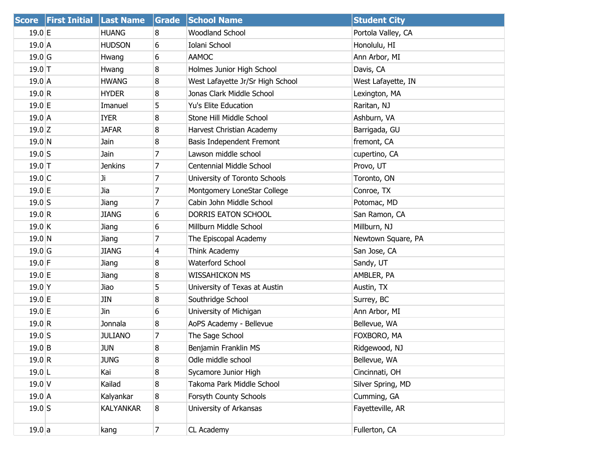|           | <b>Score First Initial Last Name</b> |                | Grade          | <b>School Name</b>               | <b>Student City</b> |
|-----------|--------------------------------------|----------------|----------------|----------------------------------|---------------------|
| $19.0$ E  |                                      | <b>HUANG</b>   | 8              | <b>Woodland School</b>           | Portola Valley, CA  |
| $19.0$ A  |                                      | <b>HUDSON</b>  | 6              | Iolani School                    | Honolulu, HI        |
| $19.0$ G  |                                      | Hwang          | 6              | <b>AAMOC</b>                     | Ann Arbor, MI       |
| $19.0$ T  |                                      | Hwang          | 8              | Holmes Junior High School        | Davis, CA           |
| $19.0$ A  |                                      | <b>HWANG</b>   | 8              | West Lafayette Jr/Sr High School | West Lafayette, IN  |
| 19.0 R    |                                      | <b>HYDER</b>   | 8              | Jonas Clark Middle School        | Lexington, MA       |
| 19.0 E    |                                      | Imanuel        | 5              | Yu's Elite Education             | Raritan, NJ         |
| $19.0$ A  |                                      | <b>IYER</b>    | 8              | Stone Hill Middle School         | Ashburn, VA         |
| $19.0$ Z  |                                      | <b>JAFAR</b>   | 8              | Harvest Christian Academy        | Barrigada, GU       |
| 19.0 N    |                                      | Jain           | 8              | Basis Independent Fremont        | fremont, CA         |
| $19.0$ S  |                                      | Jain           | 7              | Lawson middle school             | cupertino, CA       |
| $19.0$ T  |                                      | <b>Jenkins</b> | 7              | Centennial Middle School         | Provo, UT           |
| $19.0$ C  |                                      | Ji             | 7              | University of Toronto Schools    | Toronto, ON         |
| 19.0 E    |                                      | Jia            | $\overline{7}$ | Montgomery LoneStar College      | Conroe, TX          |
| $19.0$ S  |                                      | Jiang          | 7              | Cabin John Middle School         | Potomac, MD         |
| 19.0 R    |                                      | <b>JIANG</b>   | 6              | DORRIS EATON SCHOOL              | San Ramon, CA       |
| $19.0$ K  |                                      | Jiang          | 6              | Millburn Middle School           | Millburn, NJ        |
| 19.0 N    |                                      | Jiang          | 7              | The Episcopal Academy            | Newtown Square, PA  |
| $19.0$ G  |                                      | <b>JIANG</b>   | 4              | Think Academy                    | San Jose, CA        |
| $19.0$ F  |                                      | Jiang          | 8              | Waterford School                 | Sandy, UT           |
| $19.0$ E  |                                      | Jiang          | 8              | <b>WISSAHICKON MS</b>            | AMBLER, PA          |
| $19.0$ Y  |                                      | Jiao           | 5              | University of Texas at Austin    | Austin, TX          |
| 19.0 E    |                                      | JIN            | 8              | Southridge School                | Surrey, BC          |
| $19.0$ E  |                                      | Jin            | 6              | University of Michigan           | Ann Arbor, MI       |
| 19.0 R    |                                      | Jonnala        | 8              | AoPS Academy - Bellevue          | Bellevue, WA        |
| $19.0$ S  |                                      | <b>JULIANO</b> | 7              | The Sage School                  | FOXBORO, MA         |
| $19.0$ B  |                                      | <b>JUN</b>     | 8              | Benjamin Franklin MS             | Ridgewood, NJ       |
| 19.0 R    |                                      | <b>JUNG</b>    | 8              | Odle middle school               | Bellevue, WA        |
| $19.0$  L |                                      | Kai            | 8              | Sycamore Junior High             | Cincinnati, OH      |
| $19.0$ V  |                                      | Kailad         | 8              | Takoma Park Middle School        | Silver Spring, MD   |
| $19.0$ A  |                                      | Kalyankar      | $\bf{8}$       | Forsyth County Schools           | Cumming, GA         |
| $19.0$ S  |                                      | KALYANKAR      | 8              | University of Arkansas           | Fayetteville, AR    |
| 19.0 a    |                                      | kang           | $\overline{7}$ | CL Academy                       | Fullerton, CA       |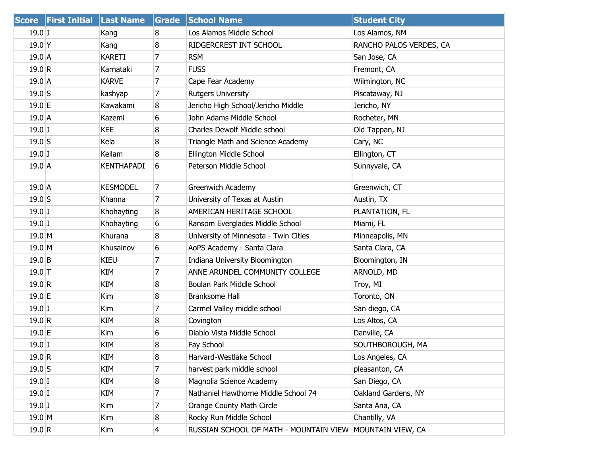| <b>Score</b> | <b>First Initial</b> | <b>Last Name</b>  | <b>Grade</b>   | <b>School Name</b>                                       | <b>Student City</b>     |
|--------------|----------------------|-------------------|----------------|----------------------------------------------------------|-------------------------|
| $19.0$ J     |                      | Kang              | 8              | Los Alamos Middle School                                 | Los Alamos, NM          |
| $19.0$ Y     |                      | Kang              | 8              | RIDGERCREST INT SCHOOL                                   | RANCHO PALOS VERDES, CA |
| $19.0$ A     |                      | KARETI            | 7              | <b>RSM</b>                                               | San Jose, CA            |
| 19.0 R       |                      | Karnataki         | 7              | <b>FUSS</b>                                              | Fremont, CA             |
| $19.0$ A     |                      | <b>KARVE</b>      | 7              | Cape Fear Academy                                        | Wilmington, NC          |
| $19.0$ S     |                      | kashyap           | 7              | <b>Rutgers University</b>                                | Piscataway, NJ          |
| 19.0 E       |                      | Kawakami          | 8              | Jericho High School/Jericho Middle                       | Jericho, NY             |
| $19.0$ A     |                      | Kazemi            | 6              | John Adams Middle School                                 | Rocheter, MN            |
| $19.0$ J     |                      | <b>KEE</b>        | 8              | Charles Dewolf Middle school                             | Old Tappan, NJ          |
| $19.0$ S     |                      | Kela              | 8              | Triangle Math and Science Academy                        | Cary, NC                |
| $19.0$ J     |                      | Kellam            | 8              | Ellington Middle School                                  | Ellington, CT           |
| $19.0$ A     |                      | <b>KENTHAPADI</b> | 6              | Peterson Middle School                                   | Sunnyvale, CA           |
| $19.0$ A     |                      | <b>KESMODEL</b>   | $\overline{7}$ | Greenwich Academy                                        | Greenwich, CT           |
| $19.0$ S     |                      | Khanna            | $\overline{7}$ | University of Texas at Austin                            | Austin, TX              |
| $19.0$ J     |                      | Khohayting        | 8              | AMERICAN HERITAGE SCHOOL                                 | PLANTATION, FL          |
| $19.0$ J     |                      | Khohayting        | 6              | Ransom Everglades Middle School                          | Miami, FL               |
| $19.0$ M     |                      | Khurana           | 8              | University of Minnesota - Twin Cities                    | Minneapolis, MN         |
| $19.0$ M     |                      | Khusainov         | 6              | AoPS Academy - Santa Clara                               | Santa Clara, CA         |
| $19.0$ B     |                      | <b>KIEU</b>       | 7              | Indiana University Bloomington                           | Bloomington, IN         |
| $19.0$ T     |                      | KIM               | $\overline{7}$ | ANNE ARUNDEL COMMUNITY COLLEGE                           | ARNOLD, MD              |
| 19.0 R       |                      | KIM               | 8              | Boulan Park Middle School                                | Troy, MI                |
| 19.0 E       |                      | Kim               | 8              | <b>Branksome Hall</b>                                    | Toronto, ON             |
| $19.0$ J     |                      | Kim               | 7              | Carmel Valley middle school                              | San diego, CA           |
| 19.0 R       |                      | KIM               | 8              | Covington                                                | Los Altos, CA           |
| $19.0$ E     |                      | Kim               | 6              | Diablo Vista Middle School                               | Danville, CA            |
| $19.0$ J     |                      | KIM               | 8              | Fay School                                               | SOUTHBOROUGH, MA        |
| 19.0 R       |                      | KIM               | 8              | Harvard-Westlake School                                  | Los Angeles, CA         |
| $19.0$ S     |                      | KIM               | 7              | harvest park middle school                               | pleasanton, CA          |
| $19.0$ I     |                      | KIM               | 8              | Magnolia Science Academy                                 | San Diego, CA           |
| $19.0$ I     |                      | KIM               | 7              | Nathaniel Hawthorne Middle School 74                     | Oakland Gardens, NY     |
| $19.0$ J     |                      | Kim               | 7              | Orange County Math Circle                                | Santa Ana, CA           |
| $19.0$ M     |                      | Kim               | 8              | Rocky Run Middle School                                  | Chantilly, VA           |
| 19.0 R       |                      | Kim               | 4              | RUSSIAN SCHOOL OF MATH - MOUNTAIN VIEW MOUNTAIN VIEW, CA |                         |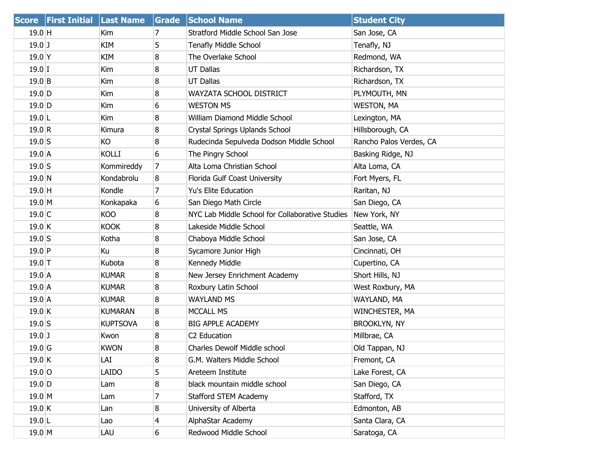|          | Score First Initial Last Name |                 |                | <b>Grade School Name</b>                        | <b>Student City</b>     |
|----------|-------------------------------|-----------------|----------------|-------------------------------------------------|-------------------------|
| $19.0$ H |                               | Kim             | 7              | Stratford Middle School San Jose                | San Jose, CA            |
| $19.0$ J |                               | KIM             | 5              | <b>Tenafly Middle School</b>                    | Tenafly, NJ             |
| $19.0$ Y |                               | KIM             | 8              | The Overlake School                             | Redmond, WA             |
| $19.0$ I |                               | Kim             | 8              | <b>UT Dallas</b>                                | Richardson, TX          |
| $19.0$ B |                               | Kim             | 8              | <b>UT Dallas</b>                                | Richardson, TX          |
| $19.0$ D |                               | Kim             | 8              | WAYZATA SCHOOL DISTRICT                         | PLYMOUTH, MN            |
| $19.0$ D |                               | Kim             | 6              | <b>WESTON MS</b>                                | <b>WESTON, MA</b>       |
| $19.0$ L |                               | Kim             | 8              | William Diamond Middle School                   | Lexington, MA           |
| 19.0 R   |                               | Kimura          | 8              | Crystal Springs Uplands School                  | Hillsborough, CA        |
| $19.0$ S |                               | KO              | 8              | Rudecinda Sepulveda Dodson Middle School        | Rancho Palos Verdes, CA |
| $19.0$ A |                               | KOLLI           | 6              | The Pingry School                               | Basking Ridge, NJ       |
| $19.0$ S |                               | Kommireddy      | $\overline{7}$ | Alta Loma Christian School                      | Alta Loma, CA           |
| $19.0$ N |                               | Kondabrolu      | 8              | Florida Gulf Coast University                   | Fort Myers, FL          |
| $19.0$ H |                               | Kondle          | 7              | Yu's Elite Education                            | Raritan, NJ             |
| $19.0$ M |                               | Konkapaka       | 6              | San Diego Math Circle                           | San Diego, CA           |
| $19.0$ C |                               | KOO             | 8              | NYC Lab Middle School for Collaborative Studies | New York, NY            |
| $19.0$ K |                               | <b>KOOK</b>     | 8              | Lakeside Middle School                          | Seattle, WA             |
| $19.0$ S |                               | Kotha           | 8              | Chaboya Middle School                           | San Jose, CA            |
| $19.0$ P |                               | Κu              | 8              | Sycamore Junior High                            | Cincinnati, OH          |
| $19.0$ T |                               | Kubota          | 8              | Kennedy Middle                                  | Cupertino, CA           |
| $19.0$ A |                               | <b>KUMAR</b>    | 8              | New Jersey Enrichment Academy                   | Short Hills, NJ         |
| $19.0$ A |                               | KUMAR           | 8              | Roxbury Latin School                            | West Roxbury, MA        |
| $19.0$ A |                               | KUMAR           | 8              | <b>WAYLAND MS</b>                               | WAYLAND, MA             |
| $19.0$ K |                               | <b>KUMARAN</b>  | 8              | MCCALL MS                                       | WINCHESTER, MA          |
| $19.0$ S |                               | <b>KUPTSOVA</b> | 8              | <b>BIG APPLE ACADEMY</b>                        | <b>BROOKLYN, NY</b>     |
| $19.0$ J |                               | Kwon            | 8              | C2 Education                                    | Millbrae, CA            |
| $19.0$ G |                               | <b>KWON</b>     | 8              | Charles Dewolf Middle school                    | Old Tappan, NJ          |
| 19.0 K   |                               | LAI             | 8              | G.M. Walters Middle School                      | Fremont, CA             |
| $19.0$ O |                               | LAIDO           | 5              | Areteem Institute                               | Lake Forest, CA         |
| $19.0$ D |                               | Lam             | 8              | black mountain middle school                    | San Diego, CA           |
| $19.0$ M |                               | Lam             | 7              | <b>Stafford STEM Academy</b>                    | Stafford, TX            |
| $19.0$ K |                               | Lan             | 8              | University of Alberta                           | Edmonton, AB            |
| $19.0$ L |                               | Lao             | 4              | AlphaStar Academy                               | Santa Clara, CA         |
| $19.0$ M |                               | LAU             | 6              | Redwood Middle School                           | Saratoga, CA            |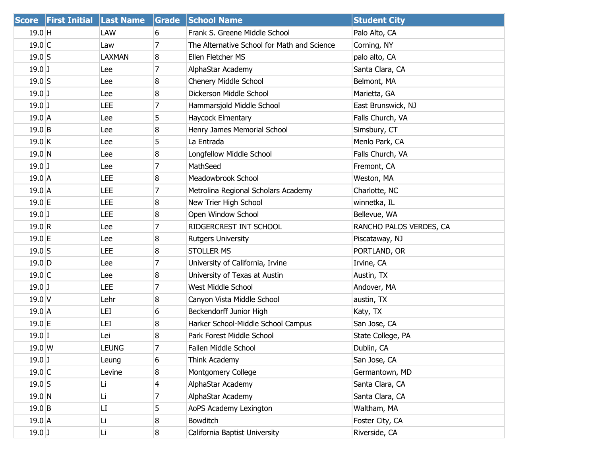|                  | <b>Score First Initial Last Name</b> |               | Grade          | <b>School Name</b>                          | <b>Student City</b>     |
|------------------|--------------------------------------|---------------|----------------|---------------------------------------------|-------------------------|
| $19.0$ H         |                                      | LAW           | 6              | Frank S. Greene Middle School               | Palo Alto, CA           |
| $19.0$ C         |                                      | Law           | 7              | The Alternative School for Math and Science | Corning, NY             |
| $19.0$ S         |                                      | <b>LAXMAN</b> | 8              | Ellen Fletcher MS                           | palo alto, CA           |
| $19.0$ J         |                                      | Lee           | 7              | AlphaStar Academy                           | Santa Clara, CA         |
| $19.0$ S         |                                      | Lee           | 8              | Chenery Middle School                       | Belmont, MA             |
| $19.0$ J         |                                      | Lee           | 8              | Dickerson Middle School                     | Marietta, GA            |
| $19.0$ J         |                                      | LEE           | 7              | Hammarsjold Middle School                   | East Brunswick, NJ      |
| $19.0$ A         |                                      | Lee           | 5              | Haycock Elmentary                           | Falls Church, VA        |
| $19.0$ B         |                                      | Lee           | 8              | Henry James Memorial School                 | Simsbury, CT            |
| $19.0$ K         |                                      | Lee           | 5              | La Entrada                                  | Menlo Park, CA          |
| 19.0 N           |                                      | Lee           | 8              | Longfellow Middle School                    | Falls Church, VA        |
| $19.0$ J         |                                      | Lee           | 7              | MathSeed                                    | Fremont, CA             |
| $19.0$ A         |                                      | LEE           | 8              | Meadowbrook School                          | Weston, MA              |
| $19.0\,A$        |                                      | LEE           | 7              | Metrolina Regional Scholars Academy         | Charlotte, NC           |
| 19.0 E           |                                      | LEE           | 8              | New Trier High School                       | winnetka, IL            |
| $19.0$ J         |                                      | LEE           | 8              | Open Window School                          | Bellevue, WA            |
| 19.0 R           |                                      | Lee           | 7              | RIDGERCREST INT SCHOOL                      | RANCHO PALOS VERDES, CA |
| 19.0 E           |                                      | Lee           | 8              | <b>Rutgers University</b>                   | Piscataway, NJ          |
| $19.0$ S         |                                      | LEE           | 8              | <b>STOLLER MS</b>                           | PORTLAND, OR            |
| $19.0$ D         |                                      | Lee           | 7              | University of California, Irvine            | Irvine, CA              |
| $19.0$ C         |                                      | Lee           | 8              | University of Texas at Austin               | Austin, TX              |
| $19.0$ J         |                                      | LEE           | 7              | West Middle School                          | Andover, MA             |
| $19.0$ V         |                                      | Lehr          | 8              | Canyon Vista Middle School                  | austin, TX              |
| $19.0$ A         |                                      | LEI           | 6              | Beckendorff Junior High                     | Katy, TX                |
| $19.0 \text{ }E$ |                                      | LEI           | 8              | Harker School-Middle School Campus          | San Jose, CA            |
| $19.0$ I         |                                      | Lei           | 8              | Park Forest Middle School                   | State College, PA       |
| $19.0 \text{W}$  |                                      | <b>LEUNG</b>  | 7              | Fallen Middle School                        | Dublin, CA              |
| $19.0$ J         |                                      | Leung         | 6              | Think Academy                               | San Jose, CA            |
| $19.0$ C         |                                      | Levine        | 8              | Montgomery College                          | Germantown, MD          |
| $19.0$ S         |                                      | Li            | 4              | AlphaStar Academy                           | Santa Clara, CA         |
| 19.0 N           |                                      | Li            | 7              | AlphaStar Academy                           | Santa Clara, CA         |
| $19.0$ B         |                                      | LI            | 5              | AoPS Academy Lexington                      | Waltham, MA             |
| $19.0$ A         |                                      | Li            | 8              | Bowditch                                    | Foster City, CA         |
| $19.0$ J         |                                      | Li.           | 8 <sup>°</sup> | California Baptist University               | Riverside, CA           |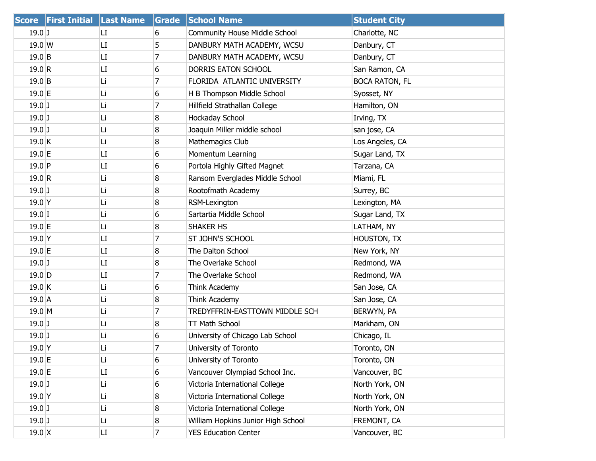| <b>Score</b>     | <b>First Initial</b> | <b>Last Name</b> | <b>Grade</b> | <b>School Name</b>                   | <b>Student City</b>   |
|------------------|----------------------|------------------|--------------|--------------------------------------|-----------------------|
| $19.0$ J         |                      | LI.              | 6            | <b>Community House Middle School</b> | Charlotte, NC         |
| $19.0 \text{ W}$ |                      | LI               | 5            | DANBURY MATH ACADEMY, WCSU           | Danbury, CT           |
| $19.0$ B         |                      | LI               | 7            | DANBURY MATH ACADEMY, WCSU           | Danbury, CT           |
| 19.0 R           |                      | LI               | 6            | DORRIS EATON SCHOOL                  | San Ramon, CA         |
| $19.0$ B         |                      | Li               | 7            | FLORIDA ATLANTIC UNIVERSITY          | <b>BOCA RATON, FL</b> |
| $19.0$ E         |                      | Li               | 6            | H B Thompson Middle School           | Syosset, NY           |
| $19.0$ J         |                      | Li               | 7            | Hillfield Strathallan College        | Hamilton, ON          |
| $19.0$ ]         |                      | Li               | 8            | Hockaday School                      | Irving, TX            |
| $19.0$ J         |                      | Li               | 8            | Joaquin Miller middle school         | san jose, CA          |
| $19.0$ K         |                      | Li               | 8            | Mathemagics Club                     | Los Angeles, CA       |
| $19.0$ E         |                      | LI               | 6            | Momentum Learning                    | Sugar Land, TX        |
| $19.0$ P         |                      | LI               | 6            | Portola Highly Gifted Magnet         | Tarzana, CA           |
| 19.0 R           |                      | Li               | 8            | Ransom Everglades Middle School      | Miami, FL             |
| $19.0$ J         |                      | Li               | 8            | Rootofmath Academy                   | Surrey, BC            |
| $19.0$ Y         |                      | Li               | 8            | RSM-Lexington                        | Lexington, MA         |
| $19.0$ I         |                      | Li               | 6            | Sartartia Middle School              | Sugar Land, TX        |
| $19.0 \text{ }E$ |                      | Li               | 8            | SHAKER HS                            | LATHAM, NY            |
| $19.0$ Y         |                      | LI.              | 7            | ST JOHN'S SCHOOL                     | HOUSTON, TX           |
| $19.0$ E         |                      | LI               | 8            | The Dalton School                    | New York, NY          |
| $19.0$ J         |                      | LI               | 8            | The Overlake School                  | Redmond, WA           |
| $19.0$ D         |                      | LI.              | 7            | The Overlake School                  | Redmond, WA           |
| $19.0$ K         |                      | Li               | 6            | Think Academy                        | San Jose, CA          |
| $19.0$ A         |                      | Li               | 8            | Think Academy                        | San Jose, CA          |
| $19.0$ M         |                      | Li               | 7            | TREDYFFRIN-EASTTOWN MIDDLE SCH       | BERWYN, PA            |
| $19.0$ J         |                      | Li               | 8            | TT Math School                       | Markham, ON           |
| $19.0$ J         |                      | Li               | 6            | University of Chicago Lab School     | Chicago, IL           |
| $19.0$ Y         |                      | Li               | 7            | University of Toronto                | Toronto, ON           |
| 19.0 E           |                      | Li               | 6            | University of Toronto                | Toronto, ON           |
| 19.0 E           |                      | LI               | 6            | Vancouver Olympiad School Inc.       | Vancouver, BC         |
| $19.0$ J         |                      | Li               | 6            | Victoria International College       | North York, ON        |
| $19.0$ Y         |                      | Li               | 8            | Victoria International College       | North York, ON        |
| $19.0$ J         |                      | Li               | 8            | Victoria International College       | North York, ON        |
| $19.0$ J         |                      | Li               | 8            | William Hopkins Junior High School   | FREMONT, CA           |
| $19.0 \text{ X}$ |                      | LI               | 7            | <b>YES Education Center</b>          | Vancouver, BC         |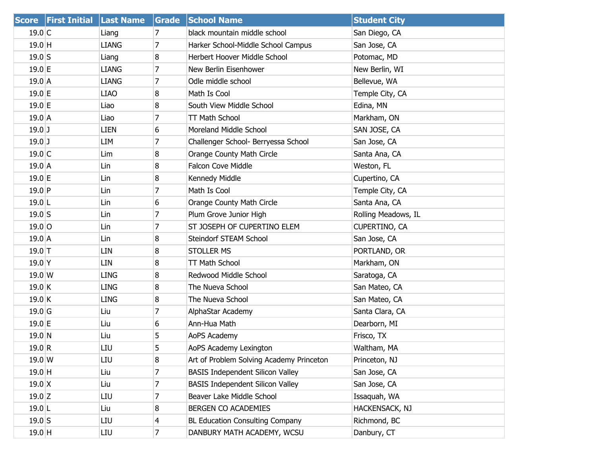|                   | <b>Score First Initial Last Name</b> |              | Grade          | <b>School Name</b>                       | <b>Student City</b> |
|-------------------|--------------------------------------|--------------|----------------|------------------------------------------|---------------------|
| 19.0 C            |                                      | Liang        | 7              | black mountain middle school             | San Diego, CA       |
| $19.0$ H          |                                      | <b>LIANG</b> | 7              | Harker School-Middle School Campus       | San Jose, CA        |
| $19.0$ S          |                                      | Liang        | 8              | Herbert Hoover Middle School             | Potomac, MD         |
| 19.0 E            |                                      | <b>LIANG</b> | 7              | New Berlin Eisenhower                    | New Berlin, WI      |
| $19.0$ A          |                                      | <b>LIANG</b> | 7              | Odle middle school                       | Bellevue, WA        |
| $19.0 \text{ E}$  |                                      | <b>LIAO</b>  | 8              | Math Is Cool                             | Temple City, CA     |
| 19.0 E            |                                      | Liao         | 8              | South View Middle School                 | Edina, MN           |
| $19.0$ A          |                                      | Liao         | 7              | TT Math School                           | Markham, ON         |
| $19.0$ J          |                                      | <b>LIEN</b>  | 6              | Moreland Middle School                   | SAN JOSE, CA        |
| $19.0$ J          |                                      | LIM          | 7              | Challenger School- Berryessa School      | San Jose, CA        |
| $19.0$ C          |                                      | Lim          | 8              | Orange County Math Circle                | Santa Ana, CA       |
| $19.0$ A          |                                      | Lin          | 8              | <b>Falcon Cove Middle</b>                | Weston, FL          |
| $19.0$ E          |                                      | Lin          | 8              | Kennedy Middle                           | Cupertino, CA       |
| $19.0$ P          |                                      | Lin          | 7              | Math Is Cool                             | Temple City, CA     |
| $19.0$  L         |                                      | Lin          | 6              | Orange County Math Circle                | Santa Ana, CA       |
| $19.0$ S          |                                      | Lin          | 7              | Plum Grove Junior High                   | Rolling Meadows, IL |
| $19.0$ O          |                                      | Lin          | 7              | ST JOSEPH OF CUPERTINO ELEM              | CUPERTINO, CA       |
| 19.0A             |                                      | Lin          | 8              | Steindorf STEAM School                   | San Jose, CA        |
| $19.0$ T          |                                      | LIN          | 8              | <b>STOLLER MS</b>                        | PORTLAND, OR        |
| 19.0 <sup>Y</sup> |                                      | LIN          | 8              | <b>TT Math School</b>                    | Markham, ON         |
| $19.0 \text{ W}$  |                                      | <b>LING</b>  | 8              | Redwood Middle School                    | Saratoga, CA        |
| $19.0$ K          |                                      | <b>LING</b>  | 8              | The Nueva School                         | San Mateo, CA       |
| $19.0$ K          |                                      | <b>LING</b>  | 8              | The Nueva School                         | San Mateo, CA       |
| $19.0$ G          |                                      | Liu          | 7              | AlphaStar Academy                        | Santa Clara, CA     |
| $19.0$ E          |                                      | Liu          | 6              | Ann-Hua Math                             | Dearborn, MI        |
| 19.0 N            |                                      | Liu          | 5              | AoPS Academy                             | Frisco, TX          |
| 19.0 R            |                                      | LIU          | 5              | AoPS Academy Lexington                   | Waltham, MA         |
| 19.0 W            |                                      | LIU          | 8              | Art of Problem Solving Academy Princeton | Princeton, NJ       |
| $19.0$ H          |                                      | Liu          | 7              | <b>BASIS Independent Silicon Valley</b>  | San Jose, CA        |
| $19.0 \text{ X}$  |                                      | Liu          | 7              | <b>BASIS Independent Silicon Valley</b>  | San Jose, CA        |
| $19.0$ Z          |                                      | LIU          | 7              | Beaver Lake Middle School                | Issaquah, WA        |
| $19.0$  L         |                                      | Liu          | 8              | <b>BERGEN CO ACADEMIES</b>               | HACKENSACK, NJ      |
| $19.0$ S          |                                      | LIU          | 4              | <b>BL Education Consulting Company</b>   | Richmond, BC        |
| $19.0$ H          |                                      | LIU          | $\overline{7}$ | DANBURY MATH ACADEMY, WCSU               | Danbury, CT         |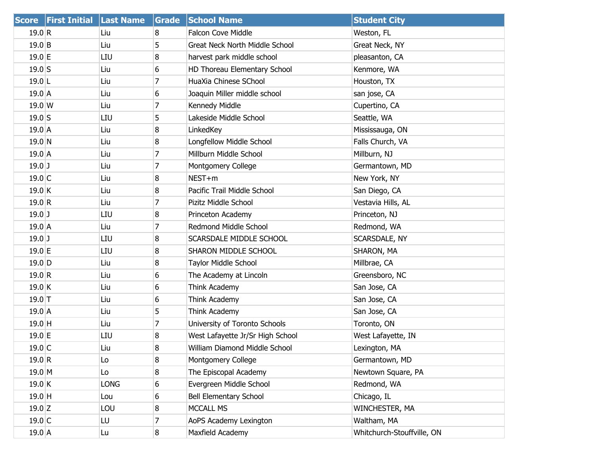|           | <b>Score First Initial</b> | <b>Last Name</b> | Grade    | <b>School Name</b>                    | <b>Student City</b>        |
|-----------|----------------------------|------------------|----------|---------------------------------------|----------------------------|
| 19.0 R    |                            | Liu              | 8        | <b>Falcon Cove Middle</b>             | Weston, FL                 |
| 19.0 B    |                            | Liu              | 5        | <b>Great Neck North Middle School</b> | Great Neck, NY             |
| $19.0$ E  |                            | LIU              | 8        | harvest park middle school            | pleasanton, CA             |
| $19.0$ S  |                            | Liu              | 6        | HD Thoreau Elementary School          | Kenmore, WA                |
| $19.0$  L |                            | Liu              | 7        | HuaXia Chinese SChool                 | Houston, TX                |
| $19.0$ A  |                            | Liu              | 6        | Joaquin Miller middle school          | san jose, CA               |
| 19.0 W    |                            | Liu              | 7        | Kennedy Middle                        | Cupertino, CA              |
| $19.0$ S  |                            | LIU              | 5        | Lakeside Middle School                | Seattle, WA                |
| $19.0$ A  |                            | Liu              | 8        | LinkedKey                             | Mississauga, ON            |
| 19.0 N    |                            | Liu              | 8        | Longfellow Middle School              | Falls Church, VA           |
| $19.0$ A  |                            | Liu              | 7        | Millburn Middle School                | Millburn, NJ               |
| $19.0$ J  |                            | Liu              | 7        | Montgomery College                    | Germantown, MD             |
| $19.0$ C  |                            | Liu              | 8        | NEST+m                                | New York, NY               |
| 19.0 K    |                            | Liu              | 8        | Pacific Trail Middle School           | San Diego, CA              |
| 19.0 R    |                            | Liu              | 7        | Pizitz Middle School                  | Vestavia Hills, AL         |
| $19.0$ J  |                            | LIU              | 8        | Princeton Academy                     | Princeton, NJ              |
| $19.0$ A  |                            | Liu              | 7        | Redmond Middle School                 | Redmond, WA                |
| $19.0$ J  |                            | LIU              | 8        | SCARSDALE MIDDLE SCHOOL               | <b>SCARSDALE, NY</b>       |
| $19.0$ E  |                            | LIU              | 8        | SHARON MIDDLE SCHOOL                  | SHARON, MA                 |
| $19.0$ D  |                            | Liu              | 8        | Taylor Middle School                  | Millbrae, CA               |
| 19.0 R    |                            | Liu              | 6        | The Academy at Lincoln                | Greensboro, NC             |
| 19.0 K    |                            | Liu              | 6        | Think Academy                         | San Jose, CA               |
| $19.0$ T  |                            | Liu              | 6        | Think Academy                         | San Jose, CA               |
| 19.0 A    |                            | Liu              | 5        | Think Academy                         | San Jose, CA               |
| $19.0$ H  |                            | Liu              | 7        | University of Toronto Schools         | Toronto, ON                |
| 19.0 E    |                            | LIU              | 8        | West Lafayette Jr/Sr High School      | West Lafayette, IN         |
| $19.0$ C  |                            | Liu              | 8        | William Diamond Middle School         | Lexington, MA              |
| 19.0 R    |                            | Lo               | 8        | Montgomery College                    | Germantown, MD             |
| $19.0$ M  |                            | Lo               | $\bf{8}$ | The Episcopal Academy                 | Newtown Square, PA         |
| 19.0 K    |                            | <b>LONG</b>      | 6        | Evergreen Middle School               | Redmond, WA                |
| $19.0$ H  |                            | Lou              | 6        | <b>Bell Elementary School</b>         | Chicago, IL                |
| $19.0$ Z  |                            | LOU              | 8        | <b>MCCALL MS</b>                      | WINCHESTER, MA             |
| $19.0$ C  |                            | LU               | 7        | AoPS Academy Lexington                | Waltham, MA                |
| $19.0$ A  |                            | Lu               | $\bf{8}$ | Maxfield Academy                      | Whitchurch-Stouffville, ON |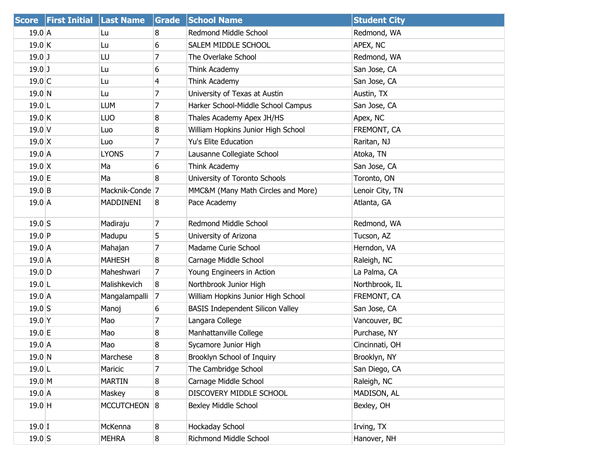|                  | Score First Initial Last Name |                            | Grade          | <b>School Name</b>                      | <b>Student City</b> |
|------------------|-------------------------------|----------------------------|----------------|-----------------------------------------|---------------------|
| $19.0$ A         |                               | Lu                         | 8              | Redmond Middle School                   | Redmond, WA         |
| 19.0 K           |                               | Lu                         | 6              | SALEM MIDDLE SCHOOL                     | APEX, NC            |
| $19.0$ J         |                               | LU                         | 7              | The Overlake School                     | Redmond, WA         |
| $19.0$ J         |                               | Lu                         | 6              | Think Academy                           | San Jose, CA        |
| 19.0 C           |                               | Lu                         | 4              | Think Academy                           | San Jose, CA        |
| $19.0$ N         |                               | Lu                         | 7              | University of Texas at Austin           | Austin, TX          |
| $19.0$ L         |                               | LUM                        | 7              | Harker School-Middle School Campus      | San Jose, CA        |
| $19.0$ K         |                               | <b>LUO</b>                 | 8              | Thales Academy Apex JH/HS               | Apex, NC            |
| $19.0$ V         |                               | Luo                        | 8              | William Hopkins Junior High School      | FREMONT, CA         |
| $19.0 \text{ X}$ |                               | Luo                        | $\overline{7}$ | <b>Yu's Elite Education</b>             | Raritan, NJ         |
| $19.0$ A         |                               | <b>LYONS</b>               | 7              | Lausanne Collegiate School              | Atoka, TN           |
| $19.0 \text{ X}$ |                               | Ma                         | 6              | Think Academy                           | San Jose, CA        |
| $19.0$ E         |                               | Ma                         | 8              | University of Toronto Schools           | Toronto, ON         |
| $19.0$ B         |                               | Macknik-Conde <sup>7</sup> |                | MMC&M (Many Math Circles and More)      | Lenoir City, TN     |
| 19.0A            |                               | MADDINENI                  | 8              | Pace Academy                            | Atlanta, GA         |
| $19.0$ S         |                               | Madiraju                   | 7              | Redmond Middle School                   | Redmond, WA         |
| $19.0$ P         |                               | Madupu                     | 5              | University of Arizona                   | Tucson, AZ          |
| 19.0A            |                               | Mahajan                    | $\overline{7}$ | Madame Curie School                     | Herndon, VA         |
| 19.0A            |                               | <b>MAHESH</b>              | 8              | Carnage Middle School                   | Raleigh, NC         |
| $19.0$ D         |                               | Maheshwari                 | 7              | Young Engineers in Action               | La Palma, CA        |
| $19.0$ L         |                               | Malishkevich               | 8              | Northbrook Junior High                  | Northbrook, IL      |
| 19.0A            |                               | Mangalampalli              | 7              | William Hopkins Junior High School      | FREMONT, CA         |
| $19.0$ S         |                               | Manoj                      | 6              | <b>BASIS Independent Silicon Valley</b> | San Jose, CA        |
| $19.0$ Y         |                               | Mao                        | 7              | Langara College                         | Vancouver, BC       |
| $19.0$ E         |                               | Mao                        | 8              | Manhattanville College                  | Purchase, NY        |
| $19.0$ A         |                               | Mao                        | 8              | Sycamore Junior High                    | Cincinnati, OH      |
| 19.0 N           |                               | Marchese                   | 8              | Brooklyn School of Inquiry              | Brooklyn, NY        |
| $19.0$ L         |                               | Maricic                    | 7              | The Cambridge School                    | San Diego, CA       |
| $19.0$ M         |                               | <b>MARTIN</b>              | 8              | Carnage Middle School                   | Raleigh, NC         |
| 19.0 A           |                               | Maskey                     | 8              | DISCOVERY MIDDLE SCHOOL                 | MADISON, AL         |
| $19.0$ H         |                               | <b>MCCUTCHEON</b>          | 8              | <b>Bexley Middle School</b>             | Bexley, OH          |
| $19.0$ I         |                               | McKenna                    | 8              | Hockaday School                         | Irving, TX          |
| $19.0$ S         |                               | <b>MEHRA</b>               | 8 <sup>°</sup> | Richmond Middle School                  | Hanover, NH         |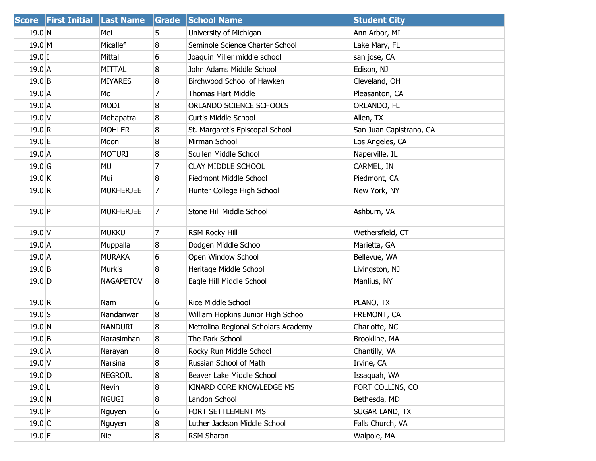| <b>Score</b>        | <b>First Initial Last Name</b> |                  | Grade          | <b>School Name</b>                  | <b>Student City</b>     |
|---------------------|--------------------------------|------------------|----------------|-------------------------------------|-------------------------|
| 19.0 N              |                                | Mei              | 5              | University of Michigan              | Ann Arbor, MI           |
| 19.0 M              |                                | Micallef         | 8              | Seminole Science Charter School     | Lake Mary, FL           |
| $19.0$ I            |                                | Mittal           | 6              | Joaquin Miller middle school        | san jose, CA            |
| $19.0$ A            |                                | <b>MITTAL</b>    | 8              | John Adams Middle School            | Edison, NJ              |
| $19.0$ B            |                                | <b>MIYARES</b>   | 8              | Birchwood School of Hawken          | Cleveland, OH           |
| 19.0A               |                                | Mo               | 7              | <b>Thomas Hart Middle</b>           | Pleasanton, CA          |
| $19.0$ A            |                                | MODI             | 8              | ORLANDO SCIENCE SCHOOLS             | ORLANDO, FL             |
| $19.0$ V            |                                | Mohapatra        | 8              | Curtis Middle School                | Allen, TX               |
| 19.0 R              |                                | <b>MOHLER</b>    | 8              | St. Margaret's Episcopal School     | San Juan Capistrano, CA |
| $19.0 \text{ }E$    |                                | Moon             | 8              | Mirman School                       | Los Angeles, CA         |
| 19.0A               |                                | <b>MOTURI</b>    | 8              | Scullen Middle School               | Naperville, IL          |
| $19.0$ <sup>G</sup> |                                | <b>MU</b>        | 7              | <b>CLAY MIDDLE SCHOOL</b>           | CARMEL, IN              |
| 19.0 K              |                                | Mui              | 8              | Piedmont Middle School              | Piedmont, CA            |
| 19.0 R              |                                | <b>MUKHERJEE</b> | 7              | Hunter College High School          | New York, NY            |
| $19.0$ P            |                                | <b>MUKHERJEE</b> | 7              | Stone Hill Middle School            | Ashburn, VA             |
| $19.0$ V            |                                | <b>MUKKU</b>     | 7              | <b>RSM Rocky Hill</b>               | Wethersfield, CT        |
| $19.0$ A            |                                | Muppalla         | 8              | Dodgen Middle School                | Marietta, GA            |
| 19.0A               |                                | <b>MURAKA</b>    | 6              | Open Window School                  | Bellevue, WA            |
| 19.0 B              |                                | <b>Murkis</b>    | 8              | Heritage Middle School              | Livingston, NJ          |
| $19.0$ D            |                                | <b>NAGAPETOV</b> | 8              | Eagle Hill Middle School            | Manlius, NY             |
| 19.0 R              |                                | Nam              | 6              | Rice Middle School                  | PLANO, TX               |
| $19.0$ S            |                                | Nandanwar        | 8              | William Hopkins Junior High School  | FREMONT, CA             |
| 19.0 N              |                                | <b>NANDURI</b>   | 8              | Metrolina Regional Scholars Academy | Charlotte, NC           |
| $19.0$ B            |                                | Narasimhan       | 8              | The Park School                     | Brookline, MA           |
| 19.0 A              |                                | Narayan          | 8              | Rocky Run Middle School             | Chantilly, VA           |
| $19.0$ V            |                                | Narsina          | 8              | Russian School of Math              | Irvine, CA              |
| $19.0$ D            |                                | <b>NEGROIU</b>   | 8              | Beaver Lake Middle School           | Issaquah, WA            |
| $19.0$ L            |                                | Nevin            | 8              | KINARD CORE KNOWLEDGE MS            | FORT COLLINS, CO        |
| 19.0 N              |                                | <b>NGUGI</b>     | 8              | Landon School                       | Bethesda, MD            |
| $19.0$ P            |                                | Nguyen           | 6              | FORT SETTLEMENT MS                  | SUGAR LAND, TX          |
| $19.0$ C            |                                | Nguyen           | 8              | Luther Jackson Middle School        | Falls Church, VA        |
| 19.0 E              |                                | Nie              | 8 <sup>°</sup> | RSM Sharon                          | Walpole, MA             |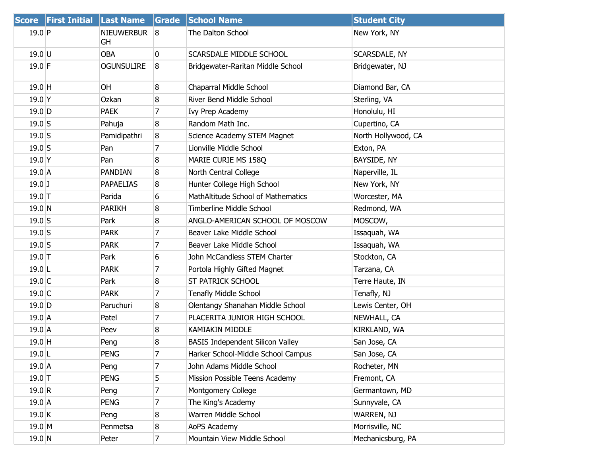|           | Score First Initial Last Name |                         | Grade          | <b>School Name</b>                      | <b>Student City</b> |
|-----------|-------------------------------|-------------------------|----------------|-----------------------------------------|---------------------|
| $19.0$ P  |                               | <b>NIEUWERBUR</b><br>GH | 8              | The Dalton School                       | New York, NY        |
| $19.0$ U  |                               | <b>OBA</b>              | 0              | SCARSDALE MIDDLE SCHOOL                 | SCARSDALE, NY       |
| $19.0$ F  |                               | <b>OGUNSULIRE</b>       | 8              | Bridgewater-Raritan Middle School       | Bridgewater, NJ     |
| 19.0 H    |                               | <b>OH</b>               | 8              | Chaparral Middle School                 | Diamond Bar, CA     |
| $19.0$ Y  |                               | Ozkan                   | 8              | River Bend Middle School                | Sterling, VA        |
| $19.0$ D  |                               | <b>PAEK</b>             | 7              | Ivy Prep Academy                        | Honolulu, HI        |
| $19.0$ S  |                               | Pahuja                  | 8              | Random Math Inc.                        | Cupertino, CA       |
| $19.0$ S  |                               | Pamidipathri            | 8              | Science Academy STEM Magnet             | North Hollywood, CA |
| $19.0$ S  |                               | Pan                     | $\overline{7}$ | Lionville Middle School                 | Exton, PA           |
| $19.0$ Y  |                               | Pan                     | 8              | MARIE CURIE MS 158Q                     | BAYSIDE, NY         |
| $19.0$ A  |                               | <b>PANDIAN</b>          | 8              | North Central College                   | Naperville, IL      |
| $19.0$ J  |                               | <b>PAPAELIAS</b>        | 8              | Hunter College High School              | New York, NY        |
| $19.0$ T  |                               | Parida                  | 6              | MathAltitude School of Mathematics      | Worcester, MA       |
| 19.0 N    |                               | <b>PARIKH</b>           | 8              | Timberline Middle School                | Redmond, WA         |
| $19.0$ S  |                               | Park                    | 8              | ANGLO-AMERICAN SCHOOL OF MOSCOW         | MOSCOW,             |
| $19.0$ S  |                               | <b>PARK</b>             | 7              | Beaver Lake Middle School               | Issaquah, WA        |
| $19.0$ S  |                               | <b>PARK</b>             | 7              | Beaver Lake Middle School               | Issaquah, WA        |
| $19.0$ T  |                               | Park                    | 6              | John McCandless STEM Charter            | Stockton, CA        |
| $19.0$ L  |                               | <b>PARK</b>             | $\overline{7}$ | Portola Highly Gifted Magnet            | Tarzana, CA         |
| 19.0 C    |                               | Park                    | 8              | <b>ST PATRICK SCHOOL</b>                | Terre Haute, IN     |
| $19.0$ C  |                               | <b>PARK</b>             | 7              | <b>Tenafly Middle School</b>            | Tenafly, NJ         |
| $19.0$ D  |                               | Paruchuri               | 8              | Olentangy Shanahan Middle School        | Lewis Center, OH    |
| $19.0$ A  |                               | Patel                   | 7              | PLACERITA JUNIOR HIGH SCHOOL            | NEWHALL, CA         |
| $19.0$ A  |                               | Peev                    | 8              | <b>KAMIAKIN MIDDLE</b>                  | KIRKLAND, WA        |
| $19.0$ H  |                               | Peng                    | 8              | <b>BASIS Independent Silicon Valley</b> | San Jose, CA        |
| $19.0$ L  |                               | <b>PENG</b>             | 7              | Harker School-Middle School Campus      | San Jose, CA        |
| 19.0 A    |                               | Peng                    | 7              | John Adams Middle School                | Rocheter, MN        |
| $19.0$ T  |                               | <b>PENG</b>             | 5              | Mission Possible Teens Academy          | Fremont, CA         |
| 19.0 R    |                               | Peng                    | 7              | Montgomery College                      | Germantown, MD      |
| $19.0\,A$ |                               | <b>PENG</b>             | 7              | The King's Academy                      | Sunnyvale, CA       |
| 19.0 K    |                               | Peng                    | 8              | Warren Middle School                    | WARREN, NJ          |
| 19.0 M    |                               | Penmetsa                | 8              | AoPS Academy                            | Morrisville, NC     |
| 19.0 N    |                               | Peter                   | 7              | Mountain View Middle School             | Mechanicsburg, PA   |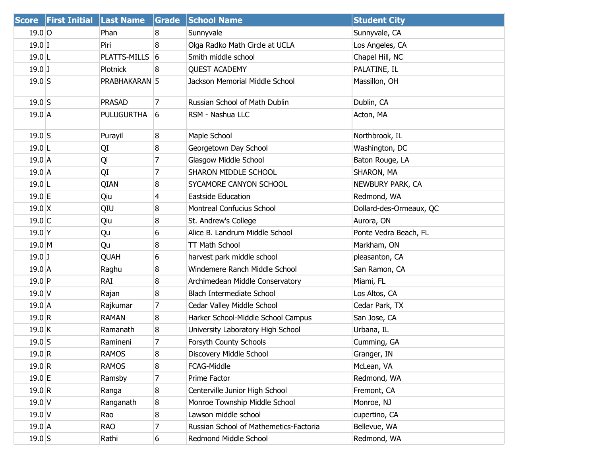|                  | Score First Initial Last Name |                   | Grade          | <b>School Name</b>                     | <b>Student City</b>     |
|------------------|-------------------------------|-------------------|----------------|----------------------------------------|-------------------------|
| $19.0$ O         |                               | Phan              | 8              | Sunnyvale                              | Sunnyvale, CA           |
| $19.0$ I         |                               | Piri              | 8              | Olga Radko Math Circle at UCLA         | Los Angeles, CA         |
| $19.0$ L         |                               | PLATTS-MILLS 6    |                | Smith middle school                    | Chapel Hill, NC         |
| $19.0$ J         |                               | <b>Plotnick</b>   | 8              | <b>QUEST ACADEMY</b>                   | PALATINE, IL            |
| $19.0$ S         |                               | PRABHAKARAN 5     |                | Jackson Memorial Middle School         | Massillon, OH           |
| $19.0$ S         |                               | <b>PRASAD</b>     | $\overline{7}$ | Russian School of Math Dublin          | Dublin, CA              |
| $19.0$ A         |                               | <b>PULUGURTHA</b> | $\boxed{6}$    | RSM - Nashua LLC                       | Acton, MA               |
| $19.0$ S         |                               | Purayil           | 8              | Maple School                           | Northbrook, IL          |
| $19.0$ L         |                               | QI                | 8              | Georgetown Day School                  | Washington, DC          |
| 19.0A            |                               | Qi                | 7              | Glasgow Middle School                  | Baton Rouge, LA         |
| $19.0$ A         |                               | QI                | $\overline{7}$ | SHARON MIDDLE SCHOOL                   | SHARON, MA              |
| $19.0$ L         |                               | QIAN              | 8              | SYCAMORE CANYON SCHOOL                 | NEWBURY PARK, CA        |
| 19.0 E           |                               | Qiu               | 4              | Eastside Education                     | Redmond, WA             |
| $19.0 \text{ X}$ |                               | QIU               | 8              | Montreal Confucius School              | Dollard-des-Ormeaux, QC |
| $19.0$ C         |                               | Qiu               | 8              | St. Andrew's College                   | Aurora, ON              |
| $19.0$ Y         |                               | Qu                | 6              | Alice B. Landrum Middle School         | Ponte Vedra Beach, FL   |
| $19.0$ M         |                               | Qu                | 8              | TT Math School                         | Markham, ON             |
| $19.0$ J         |                               | QUAH              | 6              | harvest park middle school             | pleasanton, CA          |
| 19.0A            |                               | Raghu             | 8              | Windemere Ranch Middle School          | San Ramon, CA           |
| $19.0$ P         |                               | rai               | 8              | Archimedean Middle Conservatory        | Miami, FL               |
| $19.0$ V         |                               | Rajan             | 8              | <b>Blach Intermediate School</b>       | Los Altos, CA           |
| 19.0A            |                               | Rajkumar          | 7              | Cedar Valley Middle School             | Cedar Park, TX          |
| 19.0 R           |                               | <b>RAMAN</b>      | 8              | Harker School-Middle School Campus     | San Jose, CA            |
| 19.0 K           |                               | Ramanath          | 8              | University Laboratory High School      | Urbana, IL              |
| $19.0$ S         |                               | Ramineni          | 7              | Forsyth County Schools                 | Cumming, GA             |
| 19.0 R           |                               | RAMOS             | 8              | Discovery Middle School                | Granger, IN             |
| 19.0 R           |                               | RAMOS             | 8              | FCAG-Middle                            | McLean, VA              |
| $19.0$ E         |                               | Ramsby            | 7              | Prime Factor                           | Redmond, WA             |
| 19.0 R           |                               | Ranga             | 8              | Centerville Junior High School         | Fremont, CA             |
| 19.0V            |                               | Ranganath         | 8              | Monroe Township Middle School          | Monroe, NJ              |
| $19.0$ V         |                               | Rao               | 8              | Lawson middle school                   | cupertino, CA           |
| 19.0 A           |                               | rao               | 7              | Russian School of Mathemetics-Factoria | Bellevue, WA            |
| $19.0$ S         |                               | Rathi             | 6              | Redmond Middle School                  | Redmond, WA             |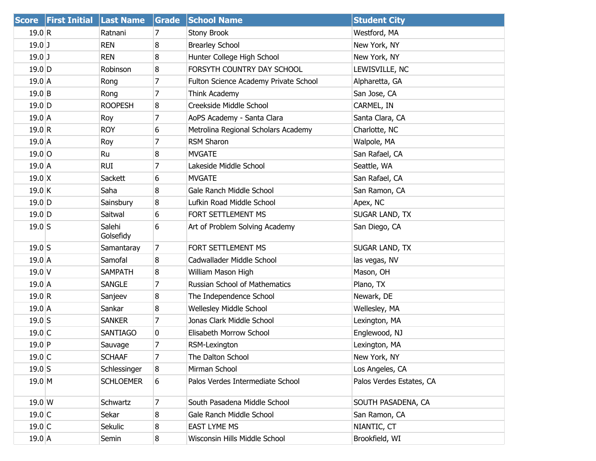|                  | Score First Initial Last Name |                     | Grade          | <b>School Name</b>                    | <b>Student City</b>      |
|------------------|-------------------------------|---------------------|----------------|---------------------------------------|--------------------------|
| 19.0 R           |                               | Ratnani             | 7              | Stony Brook                           | Westford, MA             |
| $19.0$ J         |                               | <b>REN</b>          | 8              | <b>Brearley School</b>                | New York, NY             |
| $19.0$ J         |                               | <b>REN</b>          | 8              | Hunter College High School            | New York, NY             |
| $19.0$ D         |                               | Robinson            | 8              | FORSYTH COUNTRY DAY SCHOOL            | LEWISVILLE, NC           |
| $19.0$ A         |                               | Rong                | 7              | Fulton Science Academy Private School | Alpharetta, GA           |
| 19.0 B           |                               | Rong                | 7              | Think Academy                         | San Jose, CA             |
| $19.0$ D         |                               | <b>ROOPESH</b>      | 8              | Creekside Middle School               | CARMEL, IN               |
| $19.0$ A         |                               | Roy                 | 7              | AoPS Academy - Santa Clara            | Santa Clara, CA          |
| 19.0 R           |                               | <b>ROY</b>          | 6              | Metrolina Regional Scholars Academy   | Charlotte, NC            |
| 19.0A            |                               | Roy                 | 7              | <b>RSM Sharon</b>                     | Walpole, MA              |
| $19.0$ O         |                               | Ru                  | 8              | <b>MVGATE</b>                         | San Rafael, CA           |
| 19.0A            |                               | <b>RUI</b>          | 7              | Lakeside Middle School                | Seattle, WA              |
| $19.0 \text{ X}$ |                               | Sackett             | 6              | <b>MVGATE</b>                         | San Rafael, CA           |
| 19.0 K           |                               | Saha                | 8              | Gale Ranch Middle School              | San Ramon, CA            |
| $19.0$ D         |                               | Sainsbury           | 8              | Lufkin Road Middle School             | Apex, NC                 |
| $19.0$ D         |                               | Saitwal             | 6              | FORT SETTLEMENT MS                    | SUGAR LAND, TX           |
| $19.0$ S         |                               | Salehi<br>Golsefidy | 6              | Art of Problem Solving Academy        | San Diego, CA            |
| $19.0$ S         |                               | Samantaray          | $\overline{7}$ | FORT SETTLEMENT MS                    | SUGAR LAND, TX           |
| 19.0A            |                               | Samofal             | 8              | Cadwallader Middle School             | las vegas, NV            |
| $19.0$ V         |                               | <b>SAMPATH</b>      | 8              | William Mason High                    | Mason, OH                |
| 19.0A            |                               | <b>SANGLE</b>       | $\overline{7}$ | <b>Russian School of Mathematics</b>  | Plano, TX                |
| 19.0 R           |                               | Sanjeev             | 8              | The Independence School               | Newark, DE               |
| $19.0$ A         |                               | Sankar              | 8              | Wellesley Middle School               | Wellesley, MA            |
| $19.0$ S         |                               | <b>SANKER</b>       | $\overline{7}$ | Jonas Clark Middle School             | Lexington, MA            |
| 19.0 C           |                               | <b>SANTIAGO</b>     | 0              | Elisabeth Morrow School               | Englewood, NJ            |
| $19.0$ P         |                               | Sauvage             | 7              | RSM-Lexington                         | Lexington, MA            |
| $19.0$ C         |                               | <b>SCHAAF</b>       | $\overline{7}$ | The Dalton School                     | New York, NY             |
| $19.0$ S         |                               | Schlessinger        | 8              | Mirman School                         | Los Angeles, CA          |
| $19.0$ M         |                               | <b>SCHLOEMER</b>    | 6              | Palos Verdes Intermediate School      | Palos Verdes Estates, CA |
| 19.0 W           |                               | Schwartz            | 7              | South Pasadena Middle School          | SOUTH PASADENA, CA       |
| $19.0$ C         |                               | Sekar               | 8              | Gale Ranch Middle School              | San Ramon, CA            |
| 19.0 C           |                               | Sekulic             | 8              | <b>EAST LYME MS</b>                   | NIANTIC, CT              |
| 19.0 A           |                               | Semin               | 8              | Wisconsin Hills Middle School         | Brookfield, WI           |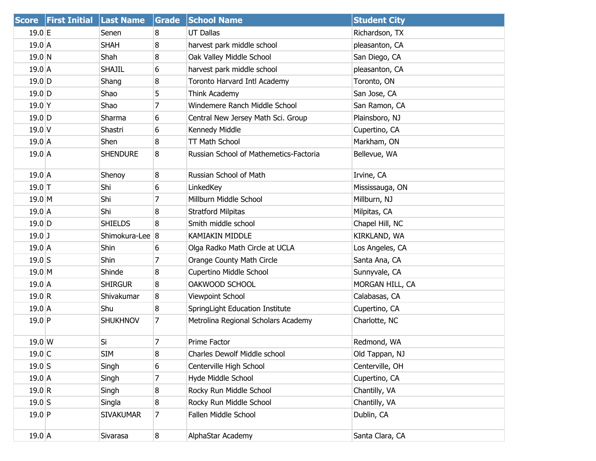|                 | Score First Initial Last Name |                  | Grade          | <b>School Name</b>                     | <b>Student City</b> |
|-----------------|-------------------------------|------------------|----------------|----------------------------------------|---------------------|
| $19.0$ E        |                               | Senen            | 8              | <b>UT Dallas</b>                       | Richardson, TX      |
| 19.0A           |                               | <b>SHAH</b>      | 8              | harvest park middle school             | pleasanton, CA      |
| $19.0$ N        |                               | Shah             | 8              | Oak Valley Middle School               | San Diego, CA       |
| 19.0A           |                               | <b>SHAJIL</b>    | 6              | harvest park middle school             | pleasanton, CA      |
| $19.0$ D        |                               | Shang            | 8              | Toronto Harvard Intl Academy           | Toronto, ON         |
| $19.0$ D        |                               | Shao             | 5              | Think Academy                          | San Jose, CA        |
| $19.0$ Y        |                               | Shao             | 7              | Windemere Ranch Middle School          | San Ramon, CA       |
| $19.0$ D        |                               | Sharma           | 6              | Central New Jersey Math Sci. Group     | Plainsboro, NJ      |
| $19.0$ V        |                               | Shastri          | 6              | Kennedy Middle                         | Cupertino, CA       |
| 19.0A           |                               | Shen             | 8              | <b>TT Math School</b>                  | Markham, ON         |
| 19.0A           |                               | <b>SHENDURE</b>  | 8              | Russian School of Mathemetics-Factoria | Bellevue, WA        |
| $19.0$ A        |                               | Shenoy           | 8              | Russian School of Math                 | Irvine, CA          |
| $19.0$ T        |                               | Shi              | 6              | LinkedKey                              | Mississauga, ON     |
| $19.0$ M        |                               | Shi              | 7              | Millburn Middle School                 | Millburn, NJ        |
| $19.0$ A        |                               | Shi              | 8              | <b>Stratford Milpitas</b>              | Milpitas, CA        |
| $19.0$ D        |                               | <b>SHIELDS</b>   | 8              | Smith middle school                    | Chapel Hill, NC     |
| $19.0$ J        |                               | Shimokura-Lee 8  |                | KAMIAKIN MIDDLE                        | KIRKLAND, WA        |
| $19.0$ A        |                               | Shin             | 6              | Olga Radko Math Circle at UCLA         | Los Angeles, CA     |
| $19.0$ S        |                               | Shin             | $\overline{7}$ | Orange County Math Circle              | Santa Ana, CA       |
| $19.0$ M        |                               | Shinde           | 8              | Cupertino Middle School                | Sunnyvale, CA       |
| 19.0A           |                               | <b>SHIRGUR</b>   | 8              | OAKWOOD SCHOOL                         | MORGAN HILL, CA     |
| 19.0 R          |                               | Shivakumar       | 8              | Viewpoint School                       | Calabasas, CA       |
| $19.0$ A        |                               | Shu              | 8              | SpringLight Education Institute        | Cupertino, CA       |
| $19.0$ P        |                               | <b>SHUKHNOV</b>  | $\overline{7}$ | Metrolina Regional Scholars Academy    | Charlotte, NC       |
| $19.0 \text{W}$ |                               | Si               | 7              | Prime Factor                           | Redmond, WA         |
| $19.0$ C        |                               | <b>SIM</b>       | 8              | Charles Dewolf Middle school           | Old Tappan, NJ      |
| $19.0$ S        |                               | Singh            | 6              | Centerville High School                | Centerville, OH     |
| $19.0$ A        |                               | Singh            | 7              | Hyde Middle School                     | Cupertino, CA       |
| 19.0 R          |                               | Singh            | 8              | Rocky Run Middle School                | Chantilly, VA       |
| $19.0$ S        |                               | Singla           | 8              | Rocky Run Middle School                | Chantilly, VA       |
| $19.0$ P        |                               | <b>SIVAKUMAR</b> | $\overline{7}$ | Fallen Middle School                   | Dublin, CA          |
| $19.0$ A        |                               | Sivarasa         | 8              | AlphaStar Academy                      | Santa Clara, CA     |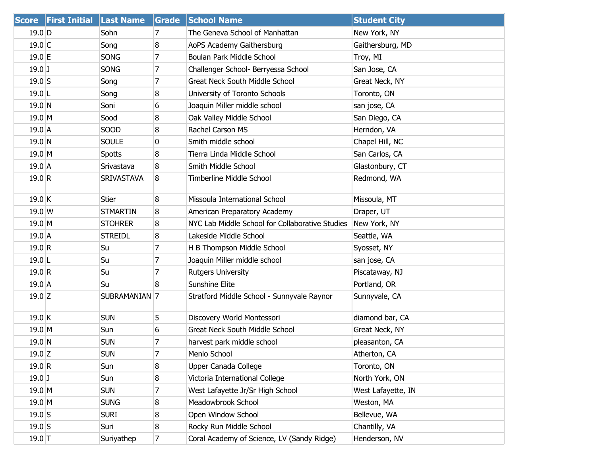| <b>Score</b> | <b>First Initial Last Name</b> |                   | Grade          | <b>School Name</b>                              | <b>Student City</b> |
|--------------|--------------------------------|-------------------|----------------|-------------------------------------------------|---------------------|
| $19.0$ D     |                                | Sohn              | 7              | The Geneva School of Manhattan                  | New York, NY        |
| $19.0$ C     |                                | Song              | 8              | AoPS Academy Gaithersburg                       | Gaithersburg, MD    |
| $19.0$ E     |                                | SONG              | 7              | Boulan Park Middle School                       | Troy, MI            |
| $19.0$ J     |                                | <b>SONG</b>       | 7              | Challenger School- Berryessa School             | San Jose, CA        |
| $19.0$ S     |                                | Song              | 7              | Great Neck South Middle School                  | Great Neck, NY      |
| $19.0$  L    |                                | Song              | 8              | University of Toronto Schools                   | Toronto, ON         |
| 19.0 N       |                                | Soni              | 6              | Joaquin Miller middle school                    | san jose, CA        |
| $19.0$ M     |                                | Sood              | 8              | Oak Valley Middle School                        | San Diego, CA       |
| $19.0$ A     |                                | SOOD              | 8              | Rachel Carson MS                                | Herndon, VA         |
| 19.0 N       |                                | <b>SOULE</b>      | 0              | Smith middle school                             | Chapel Hill, NC     |
| $19.0$ M     |                                | <b>Spotts</b>     | 8              | Tierra Linda Middle School                      | San Carlos, CA      |
| $19.0$ A     |                                | Srivastava        | 8              | Smith Middle School                             | Glastonbury, CT     |
| 19.0 R       |                                | <b>SRIVASTAVA</b> | 8              | <b>Timberline Middle School</b>                 | Redmond, WA         |
| $19.0$ K     |                                | Stier             | 8              | Missoula International School                   | Missoula, MT        |
| 19.0 W       |                                | <b>STMARTIN</b>   | 8              | American Preparatory Academy                    | Draper, UT          |
| $19.0$ M     |                                | <b>STOHRER</b>    | 8              | NYC Lab Middle School for Collaborative Studies | New York, NY        |
| $19.0\,A$    |                                | <b>STREIDL</b>    | 8              | Lakeside Middle School                          | Seattle, WA         |
| 19.0 R       |                                | Su                | 7              | H B Thompson Middle School                      | Syosset, NY         |
| $19.0$ L     |                                | Su                | 7              | Joaquin Miller middle school                    | san jose, CA        |
| 19.0 R       |                                | Su                | 7              | <b>Rutgers University</b>                       | Piscataway, NJ      |
| $19.0$ A     |                                | Su                | 8              | <b>Sunshine Elite</b>                           | Portland, OR        |
| $19.0$ Z     |                                | SUBRAMANIAN 7     |                | Stratford Middle School - Sunnyvale Raynor      | Sunnyvale, CA       |
| $19.0$ K     |                                | <b>SUN</b>        | 5              | Discovery World Montessori                      | diamond bar, CA     |
| 19.0 M       |                                | Sun               | 6              | <b>Great Neck South Middle School</b>           | Great Neck, NY      |
| 19.0 N       |                                | <b>SUN</b>        | 7              | harvest park middle school                      | pleasanton, CA      |
| $19.0$ Z     |                                | Sun               | 7              | Menlo School                                    | Atherton, CA        |
| 19.0 R       |                                | Sun               | 8              | Upper Canada College                            | Toronto, ON         |
| $19.0$ J     |                                | Sun               | 8              | Victoria International College                  | North York, ON      |
| $19.0$ M     |                                | <b>SUN</b>        | 7              | West Lafayette Jr/Sr High School                | West Lafayette, IN  |
| $19.0$ M     |                                | <b>SUNG</b>       | 8              | Meadowbrook School                              | Weston, MA          |
| $19.0$ S     |                                | <b>SURI</b>       | 8              | Open Window School                              | Bellevue, WA        |
| $19.0$ S     |                                | Suri              | 8              | Rocky Run Middle School                         | Chantilly, VA       |
| $19.0$ T     |                                | Suriyathep        | $\overline{7}$ | Coral Academy of Science, LV (Sandy Ridge)      | Henderson, NV       |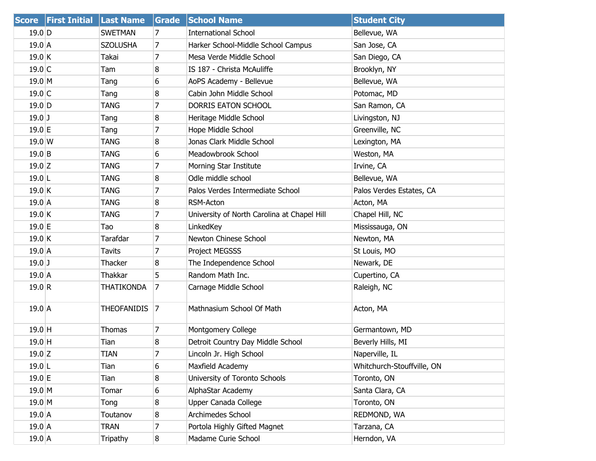|                  | Score First Initial Last Name |                    | Grade          | <b>School Name</b>                          | <b>Student City</b>        |
|------------------|-------------------------------|--------------------|----------------|---------------------------------------------|----------------------------|
| 19.0 D           |                               | <b>SWETMAN</b>     | 7              | <b>International School</b>                 | Bellevue, WA               |
| $19.0$ A         |                               | <b>SZOLUSHA</b>    | $\overline{7}$ | Harker School-Middle School Campus          | San Jose, CA               |
| $19.0$ K         |                               | Takai              | $\overline{7}$ | Mesa Verde Middle School                    | San Diego, CA              |
| 19.0 C           |                               | Tam                | 8              | IS 187 - Christa McAuliffe                  | Brooklyn, NY               |
| 19.0 M           |                               | Tang               | 6              | AoPS Academy - Bellevue                     | Bellevue, WA               |
| $19.0$ C         |                               | Tang               | 8              | Cabin John Middle School                    | Potomac, MD                |
| $19.0$ D         |                               | <b>TANG</b>        | 7              | DORRIS EATON SCHOOL                         | San Ramon, CA              |
| $19.0$ J         |                               | Tang               | 8              | Heritage Middle School                      | Livingston, NJ             |
| $19.0$ E         |                               | Tang               | 7              | Hope Middle School                          | Greenville, NC             |
| 19.0 W           |                               | <b>TANG</b>        | 8              | Jonas Clark Middle School                   | Lexington, MA              |
| $19.0$ B         |                               | <b>TANG</b>        | 6              | Meadowbrook School                          | Weston, MA                 |
| $19.0$ Z         |                               | <b>TANG</b>        | 7              | Morning Star Institute                      | Irvine, CA                 |
| $19.0$  L        |                               | <b>TANG</b>        | 8              | Odle middle school                          | Bellevue, WA               |
| 19.0 K           |                               | <b>TANG</b>        | 7              | Palos Verdes Intermediate School            | Palos Verdes Estates, CA   |
| 19.0 A           |                               | <b>TANG</b>        | 8              | RSM-Acton                                   | Acton, MA                  |
| $19.0$ K         |                               | <b>TANG</b>        | 7              | University of North Carolina at Chapel Hill | Chapel Hill, NC            |
| $19.0$ E         |                               | Tao                | 8              | LinkedKey                                   | Mississauga, ON            |
| 19.0 K           |                               | Tarafdar           | $\overline{7}$ | Newton Chinese School                       | Newton, MA                 |
| 19.0 A           |                               | <b>Tavits</b>      | 7              | Project MEGSSS                              | St Louis, MO               |
| $19.0$ J         |                               | Thacker            | 8              | The Independence School                     | Newark, DE                 |
| $19.0$ A         |                               | Thakkar            | 5              | Random Math Inc.                            | Cupertino, CA              |
| 19.0 R           |                               | <b>THATIKONDA</b>  | $\overline{7}$ | Carnage Middle School                       | Raleigh, NC                |
| $19.0$ A         |                               | <b>THEOFANIDIS</b> | $\vert$ 7      | Mathnasium School Of Math                   | Acton, MA                  |
| 19.0 H           |                               | Thomas             | 7              | Montgomery College                          | Germantown, MD             |
| 19.0 H           |                               | Tian               | 8              | Detroit Country Day Middle School           | Beverly Hills, MI          |
| $19.0$ Z         |                               | TIAN               | 7              | Lincoln Jr. High School                     | Naperville, IL             |
| $19.0$ L         |                               | Tian               | 6              | Maxfield Academy                            | Whitchurch-Stouffville, ON |
| $19.0 \text{ E}$ |                               | Tian               | 8              | University of Toronto Schools               | Toronto, ON                |
| $19.0$ M         |                               | Tomar              | 6              | AlphaStar Academy                           | Santa Clara, CA            |
| 19.0 M           |                               | Tong               | 8              | Upper Canada College                        | Toronto, ON                |
| 19.0 A           |                               | Toutanov           | 8              | Archimedes School                           | REDMOND, WA                |
| $19.0$ A         |                               | <b>TRAN</b>        | 7              | Portola Highly Gifted Magnet                | Tarzana, CA                |
| 19.0 A           |                               | Tripathy           | 8              | Madame Curie School                         | Herndon, VA                |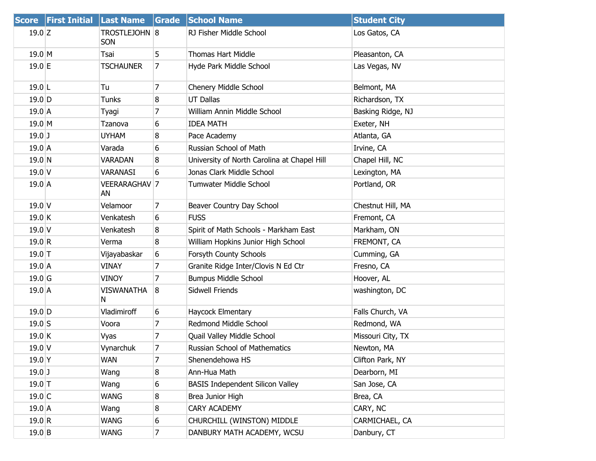|                   | Score First Initial | Last Name                   | Grade          | <b>School Name</b>                          | <b>Student City</b> |
|-------------------|---------------------|-----------------------------|----------------|---------------------------------------------|---------------------|
| $19.0$ Z          |                     | TROSTLEJOHN 8<br><b>SON</b> |                | RJ Fisher Middle School                     | Los Gatos, CA       |
| $19.0$ M          |                     | Tsai                        | 5              | <b>Thomas Hart Middle</b>                   | Pleasanton, CA      |
| $19.0$ E          |                     | <b>TSCHAUNER</b>            | 7              | Hyde Park Middle School                     | Las Vegas, NV       |
| $19.0$ L          |                     | Tu                          | 7              | Chenery Middle School                       | Belmont, MA         |
| $19.0$ D          |                     | Tunks                       | 8              | <b>UT Dallas</b>                            | Richardson, TX      |
| $19.0$ A          |                     | Tyagi                       | 7              | William Annin Middle School                 | Basking Ridge, NJ   |
| $19.0$ M          |                     | Tzanova                     | 6              | <b>IDEA MATH</b>                            | Exeter, NH          |
| $19.0$ J          |                     | <b>UYHAM</b>                | 8              | Pace Academy                                | Atlanta, GA         |
| $19.0$ A          |                     | Varada                      | 6              | Russian School of Math                      | Irvine, CA          |
| 19.0 N            |                     | <b>VARADAN</b>              | 8              | University of North Carolina at Chapel Hill | Chapel Hill, NC     |
| $19.0$ V          |                     | VARANASI                    | 6              | Jonas Clark Middle School                   | Lexington, MA       |
| $19.0$ A          |                     | VEERARAGHAV 7<br>AN         |                | Tumwater Middle School                      | Portland, OR        |
| $19.0$ V          |                     | Velamoor                    | 7              | Beaver Country Day School                   | Chestnut Hill, MA   |
| 19.0 K            |                     | Venkatesh                   | 6              | <b>FUSS</b>                                 | Fremont, CA         |
| $19.0$ V          |                     | Venkatesh                   | 8              | Spirit of Math Schools - Markham East       | Markham, ON         |
| 19.0 R            |                     | Verma                       | 8              | William Hopkins Junior High School          | FREMONT, CA         |
| $19.0$ T          |                     | Vijayabaskar                | 6              | Forsyth County Schools                      | Cumming, GA         |
| $19.0$ A          |                     | <b>VINAY</b>                | 7              | Granite Ridge Inter/Clovis N Ed Ctr         | Fresno, CA          |
| 19.0 <sub>G</sub> |                     | <b>VINOY</b>                | 7              | <b>Bumpus Middle School</b>                 | Hoover, AL          |
| $19.0$ A          |                     | <b>VISWANATHA</b><br>N.     | 8              | Sidwell Friends                             | washington, DC      |
| $19.0$ D          |                     | Vladimiroff                 | 6              | Haycock Elmentary                           | Falls Church, VA    |
| $19.0$ S          |                     | Voora                       | 7              | Redmond Middle School                       | Redmond, WA         |
| $19.0$ K          |                     | Vyas                        | 7              | Quail Valley Middle School                  | Missouri City, TX   |
| 19.0 V            |                     | Vynarchuk                   | $\overline{7}$ | Russian School of Mathematics               | Newton, MA          |
| 19.0 <sup>Y</sup> |                     | <b>WAN</b>                  | $\overline{7}$ | Shenendehowa HS                             | Clifton Park, NY    |
| $19.0$ J          |                     | Wang                        | 8              | Ann-Hua Math                                | Dearborn, MI        |
| $19.0$ T          |                     | Wang                        | 6              | <b>BASIS Independent Silicon Valley</b>     | San Jose, CA        |
| $19.0$ C          |                     | <b>WANG</b>                 | 8              | Brea Junior High                            | Brea, CA            |
| $19.0$ A          |                     | Wang                        | 8              | CARY ACADEMY                                | CARY, NC            |
| 19.0 R            |                     | <b>WANG</b>                 | 6              | CHURCHILL (WINSTON) MIDDLE                  | CARMICHAEL, CA      |
| $19.0$ B          |                     | <b>WANG</b>                 | $\overline{7}$ | DANBURY MATH ACADEMY, WCSU                  | Danbury, CT         |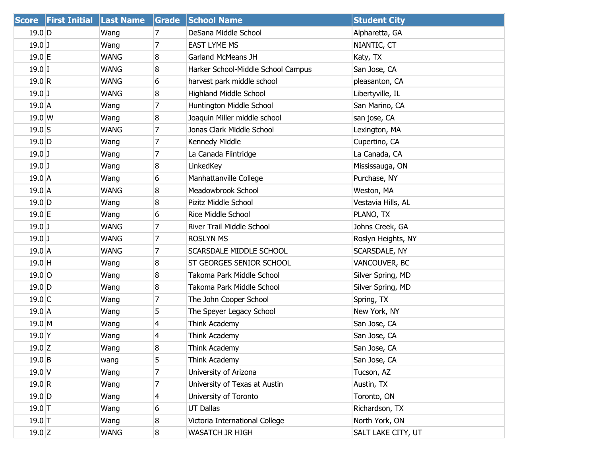|                   | Score First Initial Last Name |             | Grade          | <b>School Name</b>                 | <b>Student City</b> |
|-------------------|-------------------------------|-------------|----------------|------------------------------------|---------------------|
| $19.0$ D          |                               | Wang        | 7              | DeSana Middle School               | Alpharetta, GA      |
| $19.0$ J          |                               | Wang        | 7              | <b>EAST LYME MS</b>                | NIANTIC, CT         |
| 19.0 E            |                               | <b>WANG</b> | 8              | Garland McMeans JH                 | Katy, TX            |
| $19.0$ I          |                               | <b>WANG</b> | 8              | Harker School-Middle School Campus | San Jose, CA        |
| 19.0 R            |                               | <b>WANG</b> | 6              | harvest park middle school         | pleasanton, CA      |
| $19.0$ J          |                               | <b>WANG</b> | 8              | <b>Highland Middle School</b>      | Libertyville, IL    |
| $19.0$ A          |                               | Wang        | 7              | Huntington Middle School           | San Marino, CA      |
| 19.0 W            |                               | Wang        | 8              | Joaquin Miller middle school       | san jose, CA        |
| $19.0$ S          |                               | <b>WANG</b> | 7              | Jonas Clark Middle School          | Lexington, MA       |
| $19.0$ D          |                               | Wang        | 7              | Kennedy Middle                     | Cupertino, CA       |
| $19.0$ J          |                               | Wang        | 7              | La Canada Flintridge               | La Canada, CA       |
| $19.0$ J          |                               | Wang        | 8              | LinkedKey                          | Mississauga, ON     |
| 19.0A             |                               | Wang        | 6              | Manhattanville College             | Purchase, NY        |
| $19.0$ A          |                               | <b>WANG</b> | 8              | Meadowbrook School                 | Weston, MA          |
| $19.0$ D          |                               | Wang        | 8              | Pizitz Middle School               | Vestavia Hills, AL  |
| $19.0$ E          |                               | Wang        | 6              | Rice Middle School                 | PLANO, TX           |
| $19.0$ J          |                               | <b>WANG</b> | 7              | River Trail Middle School          | Johns Creek, GA     |
| $19.0$ J          |                               | <b>WANG</b> | $\overline{7}$ | <b>ROSLYN MS</b>                   | Roslyn Heights, NY  |
| 19.0A             |                               | <b>WANG</b> | 7              | SCARSDALE MIDDLE SCHOOL            | SCARSDALE, NY       |
| $19.0$ H          |                               | Wang        | 8              | ST GEORGES SENIOR SCHOOL           | VANCOUVER, BC       |
| $19.0$ O          |                               | Wang        | 8              | Takoma Park Middle School          | Silver Spring, MD   |
| $19.0$ D          |                               | Wang        | 8              | Takoma Park Middle School          | Silver Spring, MD   |
| $19.0$ C          |                               | Wang        | 7              | The John Cooper School             | Spring, TX          |
| $19.0$ A          |                               | Wang        | 5              | The Speyer Legacy School           | New York, NY        |
| $19.0$ M          |                               | Wang        | 4              | Think Academy                      | San Jose, CA        |
| 19.0 <sup>Y</sup> |                               | Wang        | 4              | Think Academy                      | San Jose, CA        |
| $19.0$ Z          |                               | Wang        | 8              | Think Academy                      | San Jose, CA        |
| $19.0$ B          |                               | wang        | 5              | Think Academy                      | San Jose, CA        |
| 19.0V             |                               | Wang        | 7              | University of Arizona              | Tucson, AZ          |
| 19.0 R            |                               | Wang        | 7              | University of Texas at Austin      | Austin, TX          |
| $19.0$ D          |                               | Wang        | 4              | University of Toronto              | Toronto, ON         |
| $19.0$ T          |                               | Wang        | 6              | UT Dallas                          | Richardson, TX      |
| $19.0$ T          |                               | Wang        | 8              | Victoria International College     | North York, ON      |
| $19.0$ Z          |                               | <b>WANG</b> | 8              | WASATCH JR HIGH                    | SALT LAKE CITY, UT  |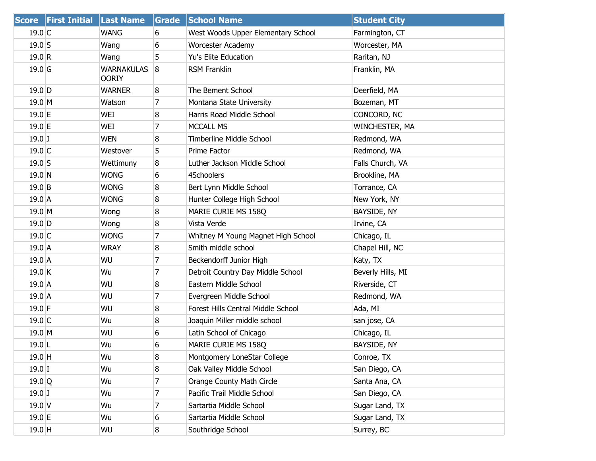|                  | Score First Initial Last Name |                                   | Grade          | <b>School Name</b>                 | <b>Student City</b> |
|------------------|-------------------------------|-----------------------------------|----------------|------------------------------------|---------------------|
| 19.0 C           |                               | <b>WANG</b>                       | 6              | West Woods Upper Elementary School | Farmington, CT      |
| $19.0$ S         |                               | Wang                              | 6              | <b>Worcester Academy</b>           | Worcester, MA       |
| 19.0 R           |                               | Wang                              | 5              | Yu's Elite Education               | Raritan, NJ         |
| $19.0$ G         |                               | <b>WARNAKULAS</b><br><b>OORIY</b> | 8              | <b>RSM Franklin</b>                | Franklin, MA        |
| $19.0$ D         |                               | <b>WARNER</b>                     | 8              | The Bement School                  | Deerfield, MA       |
| $19.0$ M         |                               | Watson                            | 7              | Montana State University           | Bozeman, MT         |
| 19.0 E           |                               | WEI                               | 8              | Harris Road Middle School          | CONCORD, NC         |
| $19.0 \text{ }E$ |                               | WEI                               | 7              | <b>MCCALL MS</b>                   | WINCHESTER, MA      |
| $19.0$ J         |                               | <b>WEN</b>                        | 8              | Timberline Middle School           | Redmond, WA         |
| 19.0 C           |                               | Westover                          | 5              | Prime Factor                       | Redmond, WA         |
| $19.0$ S         |                               | Wettimuny                         | 8              | Luther Jackson Middle School       | Falls Church, VA    |
| 19.0 N           |                               | <b>WONG</b>                       | 6              | 4Schoolers                         | Brookline, MA       |
| $19.0$ B         |                               | <b>WONG</b>                       | 8              | Bert Lynn Middle School            | Torrance, CA        |
| $19.0$ A         |                               | <b>WONG</b>                       | 8              | Hunter College High School         | New York, NY        |
| $19.0$ M         |                               | Wong                              | 8              | MARIE CURIE MS 158Q                | BAYSIDE, NY         |
| $19.0$ D         |                               | Wong                              | 8              | Vista Verde                        | Irvine, CA          |
| $19.0$ C         |                               | <b>WONG</b>                       | 7              | Whitney M Young Magnet High School | Chicago, IL         |
| 19.0A            |                               | <b>WRAY</b>                       | 8              | Smith middle school                | Chapel Hill, NC     |
| 19.0A            |                               | WU                                | $\overline{7}$ | Beckendorff Junior High            | Katy, TX            |
| $19.0$ K         |                               | Wu                                | 7              | Detroit Country Day Middle School  | Beverly Hills, MI   |
| $19.0$ A         |                               | WU                                | 8              | Eastern Middle School              | Riverside, CT       |
| $19.0$ A         |                               | WU                                | 7              | Evergreen Middle School            | Redmond, WA         |
| $19.0 \text{ F}$ |                               | WU                                | 8              | Forest Hills Central Middle School | Ada, MI             |
| $19.0$ C         |                               | Wu                                | 8              | Joaquin Miller middle school       | san jose, CA        |
| $19.0$ M         |                               | WU                                | 6              | Latin School of Chicago            | Chicago, IL         |
| $19.0$ L         |                               | Wu                                | 6              | MARIE CURIE MS 158Q                | BAYSIDE, NY         |
| $19.0$ H         |                               | Wu                                | 8              | Montgomery LoneStar College        | Conroe, TX          |
| $19.0$ I         |                               | Wu                                | 8              | Oak Valley Middle School           | San Diego, CA       |
| $19.0$ Q         |                               | Wu                                | 7              | Orange County Math Circle          | Santa Ana, CA       |
| $19.0$ J         |                               | Wu                                | 7              | Pacific Trail Middle School        | San Diego, CA       |
| $19.0$ V         |                               | Wu                                | 7              | Sartartia Middle School            | Sugar Land, TX      |
| 19.0 E           |                               | Wu                                | 6              | Sartartia Middle School            | Sugar Land, TX      |
| $19.0$ H         |                               | WU                                | 8              | Southridge School                  | Surrey, BC          |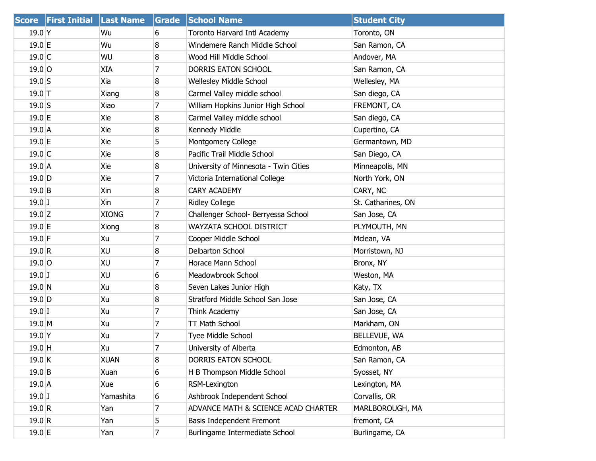| <b>Score</b> | <b>First Initial</b> | <b>Last Name</b> | <b>Grade</b> | <b>School Name</b>                    | <b>Student City</b> |
|--------------|----------------------|------------------|--------------|---------------------------------------|---------------------|
| $19.0$ Y     |                      | Wu               | 6            | Toronto Harvard Intl Academy          | Toronto, ON         |
| 19.0 E       |                      | Wu               | 8            | Windemere Ranch Middle School         | San Ramon, CA       |
| $19.0$ C     |                      | WU               | 8            | Wood Hill Middle School               | Andover, MA         |
| $19.0$ O     |                      | XIA              | 7            | DORRIS EATON SCHOOL                   | San Ramon, CA       |
| $19.0$ S     |                      | Xia              | 8            | Wellesley Middle School               | Wellesley, MA       |
| $19.0$ T     |                      | Xiang            | 8            | Carmel Valley middle school           | San diego, CA       |
| $19.0$ S     |                      | Xiao             | 7            | William Hopkins Junior High School    | FREMONT, CA         |
| $19.0$ E     |                      | Xie              | 8            | Carmel Valley middle school           | San diego, CA       |
| $19.0$ A     |                      | Xie              | 8            | Kennedy Middle                        | Cupertino, CA       |
| $19.0$ E     |                      | Xie              | 5            | Montgomery College                    | Germantown, MD      |
| $19.0$ C     |                      | Xie              | 8            | Pacific Trail Middle School           | San Diego, CA       |
| 19.0 A       |                      | Xie              | 8            | University of Minnesota - Twin Cities | Minneapolis, MN     |
| $19.0$ D     |                      | Xie              | 7            | Victoria International College        | North York, ON      |
| $19.0$ B     |                      | Xin              | 8            | <b>CARY ACADEMY</b>                   | CARY, NC            |
| $19.0$ J     |                      | Xin              | 7            | <b>Ridley College</b>                 | St. Catharines, ON  |
| $19.0$ Z     |                      | <b>XIONG</b>     | 7            | Challenger School- Berryessa School   | San Jose, CA        |
| $19.0$ E     |                      | Xiong            | 8            | WAYZATA SCHOOL DISTRICT               | PLYMOUTH, MN        |
| $19.0$ F     |                      | Xu               | 7            | Cooper Middle School                  | Mclean, VA          |
| 19.0 R       |                      | XU               | 8            | Delbarton School                      | Morristown, NJ      |
| $19.0$ O     |                      | XU               | 7            | Horace Mann School                    | Bronx, NY           |
| $19.0$ J     |                      | XU               | 6            | Meadowbrook School                    | Weston, MA          |
| 19.0 N       |                      | Xu               | 8            | Seven Lakes Junior High               | Katy, TX            |
| $19.0$ D     |                      | Xu               | 8            | Stratford Middle School San Jose      | San Jose, CA        |
| $19.0$ I     |                      | Xu               | 7            | Think Academy                         | San Jose, CA        |
| $19.0$ M     |                      | Xu               | 7            | TT Math School                        | Markham, ON         |
| $19.0$ Y     |                      | Xu               | 7            | Tyee Middle School                    | BELLEVUE, WA        |
| 19.0 H       |                      | Xu               | 7            | University of Alberta                 | Edmonton, AB        |
| $19.0$ K     |                      | <b>XUAN</b>      | 8            | DORRIS EATON SCHOOL                   | San Ramon, CA       |
| 19.0 B       |                      | Xuan             | 6            | H B Thompson Middle School            | Syosset, NY         |
| 19.0 A       |                      | Xue              | 6            | RSM-Lexington                         | Lexington, MA       |
| $19.0$ J     |                      | Yamashita        | 6            | Ashbrook Independent School           | Corvallis, OR       |
| 19.0 R       |                      | Yan              | 7            | ADVANCE MATH & SCIENCE ACAD CHARTER   | MARLBOROUGH, MA     |
| 19.0 R       |                      | Yan              | 5            | Basis Independent Fremont             | fremont, CA         |
| $19.0$ E     |                      | Yan              | 7            | Burlingame Intermediate School        | Burlingame, CA      |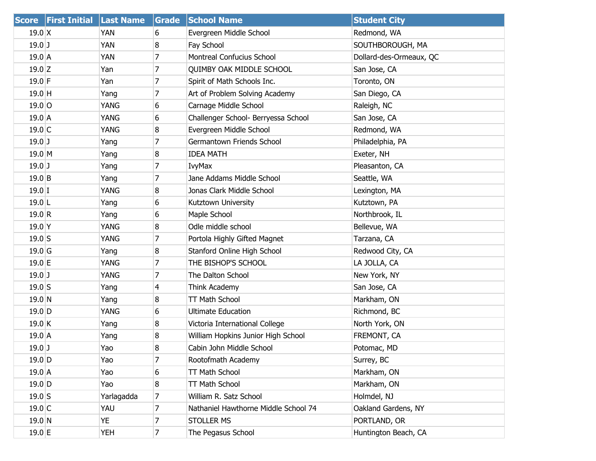| <b>Score</b>     | <b>First Initial Last Name</b> |             | <b>Grade</b>   | <b>School Name</b>                   | <b>Student City</b>     |
|------------------|--------------------------------|-------------|----------------|--------------------------------------|-------------------------|
| $19.0 \text{ X}$ |                                | YAN         | 6              | Evergreen Middle School              | Redmond, WA             |
| $19.0$ J         |                                | YAN         | 8              | Fay School                           | SOUTHBOROUGH, MA        |
| $19.0$ A         |                                | YAN         | 7              | Montreal Confucius School            | Dollard-des-Ormeaux, QC |
| $19.0$ Z         |                                | Yan         | 7              | <b>QUIMBY OAK MIDDLE SCHOOL</b>      | San Jose, CA            |
| $19.0$ F         |                                | Yan         | 7              | Spirit of Math Schools Inc.          | Toronto, ON             |
| $19.0$ H         |                                | Yang        | 7              | Art of Problem Solving Academy       | San Diego, CA           |
| $19.0$ O         |                                | YANG        | 6              | Carnage Middle School                | Raleigh, NC             |
| $19.0$ A         |                                | YANG        | 6              | Challenger School- Berryessa School  | San Jose, CA            |
| $19.0$ C         |                                | <b>YANG</b> | 8              | Evergreen Middle School              | Redmond, WA             |
| $19.0$ J         |                                | Yang        | 7              | Germantown Friends School            | Philadelphia, PA        |
| 19.0 M           |                                | Yang        | 8              | <b>IDEA MATH</b>                     | Exeter, NH              |
| $19.0$ J         |                                | Yang        | 7              | <b>IvyMax</b>                        | Pleasanton, CA          |
| $19.0$ B         |                                | Yang        | $\overline{7}$ | Jane Addams Middle School            | Seattle, WA             |
| $19.0$ I         |                                | YANG        | 8              | Jonas Clark Middle School            | Lexington, MA           |
| $19.0$ L         |                                | Yang        | 6              | Kutztown University                  | Kutztown, PA            |
| 19.0 R           |                                | Yang        | 6              | Maple School                         | Northbrook, IL          |
| $19.0$ Y         |                                | YANG        | 8              | Odle middle school                   | Bellevue, WA            |
| $19.0$ S         |                                | YANG        | 7              | Portola Highly Gifted Magnet         | Tarzana, CA             |
| $19.0$ G         |                                | Yang        | 8              | Stanford Online High School          | Redwood City, CA        |
| $19.0$ E         |                                | YANG        | 7              | THE BISHOP'S SCHOOL                  | LA JOLLA, CA            |
| $19.0$ J         |                                | YANG        | $\overline{7}$ | The Dalton School                    | New York, NY            |
| $19.0$ S         |                                | Yang        | 4              | Think Academy                        | San Jose, CA            |
| 19.0 N           |                                | Yang        | 8              | TT Math School                       | Markham, ON             |
| $19.0$ D         |                                | YANG        | 6              | <b>Ultimate Education</b>            | Richmond, BC            |
| $19.0$ K         |                                | Yang        | 8              | Victoria International College       | North York, ON          |
| $19.0$ A         |                                | Yang        | 8              | William Hopkins Junior High School   | FREMONT, CA             |
| $19.0$ J         |                                | Yao         | 8              | Cabin John Middle School             | Potomac, MD             |
| $19.0$ D         |                                | Yao         | $\overline{7}$ | Rootofmath Academy                   | Surrey, BC              |
| 19.0 A           |                                | Yao         | 6              | TT Math School                       | Markham, ON             |
| $19.0$ D         |                                | Yao         | 8              | TT Math School                       | Markham, ON             |
| $19.0$ S         |                                | Yarlagadda  | 7              | William R. Satz School               | Holmdel, NJ             |
| $19.0$ C         |                                | YAU         | 7              | Nathaniel Hawthorne Middle School 74 | Oakland Gardens, NY     |
| $19.0$ N         |                                | YE          | 7              | <b>STOLLER MS</b>                    | PORTLAND, OR            |
| $19.0$ E         |                                | YEH         | $\overline{7}$ | The Pegasus School                   | Huntington Beach, CA    |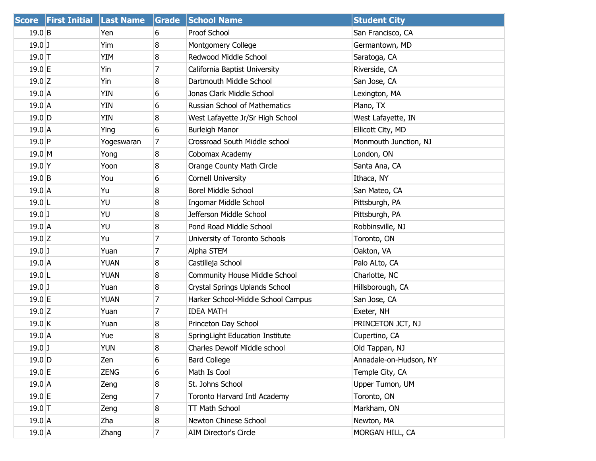|           | Score First Initial Last Name |             | Grade          | <b>School Name</b>                   | <b>Student City</b>    |
|-----------|-------------------------------|-------------|----------------|--------------------------------------|------------------------|
| $19.0$ B  |                               | Yen         | 6              | Proof School                         | San Francisco, CA      |
| $19.0$ J  |                               | Yim         | 8              | Montgomery College                   | Germantown, MD         |
| $19.0$ T  |                               | YIM         | 8              | Redwood Middle School                | Saratoga, CA           |
| 19.0 E    |                               | Yin         | 7              | California Baptist University        | Riverside, CA          |
| $19.0$ Z  |                               | Yin         | 8              | Dartmouth Middle School              | San Jose, CA           |
| $19.0$ A  |                               | YIN         | 6              | Jonas Clark Middle School            | Lexington, MA          |
| $19.0$ A  |                               | YIN         | 6              | Russian School of Mathematics        | Plano, TX              |
| $19.0$ D  |                               | YIN         | 8              | West Lafayette Jr/Sr High School     | West Lafayette, IN     |
| $19.0$ A  |                               | Ying        | 6              | <b>Burleigh Manor</b>                | Ellicott City, MD      |
| $19.0$ P  |                               | Yogeswaran  | 7              | Crossroad South Middle school        | Monmouth Junction, NJ  |
| 19.0 M    |                               | Yong        | 8              | Cobomax Academy                      | London, ON             |
| $19.0$ Y  |                               | Yoon        | 8              | Orange County Math Circle            | Santa Ana, CA          |
| $19.0$ B  |                               | You         | 6              | <b>Cornell University</b>            | Ithaca, NY             |
| $19.0$ A  |                               | Yu          | 8              | <b>Borel Middle School</b>           | San Mateo, CA          |
| $19.0$  L |                               | YU          | 8              | <b>Ingomar Middle School</b>         | Pittsburgh, PA         |
| $19.0$ J  |                               | YU          | 8              | Jefferson Middle School              | Pittsburgh, PA         |
| $19.0$ A  |                               | YU          | 8              | Pond Road Middle School              | Robbinsville, NJ       |
| $19.0$ Z  |                               | Yu          | $\overline{7}$ | University of Toronto Schools        | Toronto, ON            |
| $19.0$ J  |                               | Yuan        | $\overline{7}$ | Alpha STEM                           | Oakton, VA             |
| $19.0$ A  |                               | YUAN        | 8              | Castilleja School                    | Palo ALto, CA          |
| $19.0$ L  |                               | <b>YUAN</b> | 8              | <b>Community House Middle School</b> | Charlotte, NC          |
| $19.0$ J  |                               | Yuan        | 8              | Crystal Springs Uplands School       | Hillsborough, CA       |
| 19.0 E    |                               | YUAN        | 7              | Harker School-Middle School Campus   | San Jose, CA           |
| $19.0$ Z  |                               | Yuan        | $\overline{7}$ | <b>IDEA MATH</b>                     | Exeter, NH             |
| $19.0$ K  |                               | Yuan        | 8              | Princeton Day School                 | PRINCETON JCT, NJ      |
| $19.0$ A  |                               | Yue         | 8              | SpringLight Education Institute      | Cupertino, CA          |
| $19.0$ J  |                               | <b>YUN</b>  | 8              | Charles Dewolf Middle school         | Old Tappan, NJ         |
| $19.0$ D  |                               | Zen         | 6              | <b>Bard College</b>                  | Annadale-on-Hudson, NY |
| $19.0$ E  |                               | <b>ZENG</b> | 6              | Math Is Cool                         | Temple City, CA        |
| $19.0\,A$ |                               | Zeng        | 8              | St. Johns School                     | Upper Tumon, UM        |
| $19.0$ E  |                               | Zeng        | 7              | Toronto Harvard Intl Academy         | Toronto, ON            |
| $19.0$ T  |                               | Zeng        | 8              | TT Math School                       | Markham, ON            |
| 19.0 A    |                               | Zha         | 8              | Newton Chinese School                | Newton, MA             |
| $19.0$ A  |                               | Zhang       | $\overline{7}$ | <b>AIM Director's Circle</b>         | MORGAN HILL, CA        |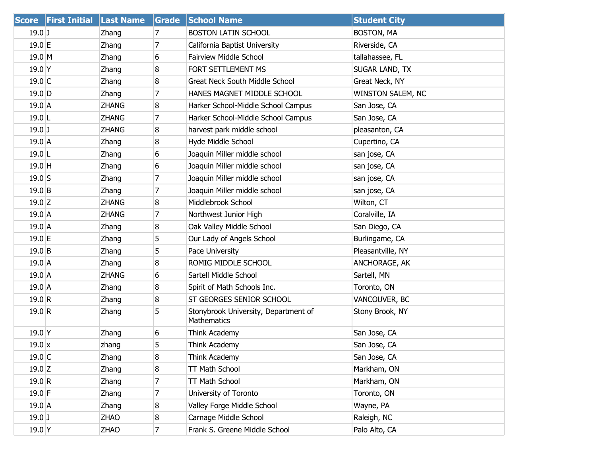| <b>Score</b>  | <b>First Initial</b> | <b>Last Name</b> | Grade          | <b>School Name</b>                                  | <b>Student City</b> |
|---------------|----------------------|------------------|----------------|-----------------------------------------------------|---------------------|
| $19.0$ J      |                      | Zhang            | 7              | <b>BOSTON LATIN SCHOOL</b>                          | <b>BOSTON, MA</b>   |
| 19.0 E        |                      | Zhang            | 7              | California Baptist University                       | Riverside, CA       |
| $19.0$ M      |                      | Zhang            | 6              | Fairview Middle School                              | tallahassee, FL     |
| $19.0$ Y      |                      | Zhang            | 8              | FORT SETTLEMENT MS                                  | SUGAR LAND, TX      |
| $19.0$ C      |                      | Zhang            | 8              | <b>Great Neck South Middle School</b>               | Great Neck, NY      |
| $19.0$ D      |                      | Zhang            | 7              | HANES MAGNET MIDDLE SCHOOL                          | WINSTON SALEM, NC   |
| $19.0$ A      |                      | <b>ZHANG</b>     | 8              | Harker School-Middle School Campus                  | San Jose, CA        |
| $19.0$  L     |                      | <b>ZHANG</b>     | 7              | Harker School-Middle School Campus                  | San Jose, CA        |
| $19.0$ J      |                      | <b>ZHANG</b>     | 8              | harvest park middle school                          | pleasanton, CA      |
| $19.0$ A      |                      | Zhang            | 8              | Hyde Middle School                                  | Cupertino, CA       |
| $19.0$  L     |                      | Zhang            | 6              | Joaquin Miller middle school                        | san jose, CA        |
| $19.0$ H      |                      | Zhang            | 6              | Joaquin Miller middle school                        | san jose, CA        |
| $19.0$ S      |                      | Zhang            | $\overline{7}$ | Joaquin Miller middle school                        | san jose, CA        |
| $19.0$ B      |                      | Zhang            | 7              | Joaquin Miller middle school                        | san jose, CA        |
| $19.0$ Z      |                      | <b>ZHANG</b>     | 8              | Middlebrook School                                  | Wilton, CT          |
| $19.0$ A      |                      | <b>ZHANG</b>     | 7              | Northwest Junior High                               | Coralville, IA      |
| $19.0\,A$     |                      | Zhang            | 8              | Oak Valley Middle School                            | San Diego, CA       |
| $19.0$ E      |                      | Zhang            | 5              | Our Lady of Angels School                           | Burlingame, CA      |
| $19.0$ B      |                      | Zhang            | 5              | Pace University                                     | Pleasantville, NY   |
| $19.0\,A$     |                      | Zhang            | 8              | ROMIG MIDDLE SCHOOL                                 | ANCHORAGE, AK       |
| $19.0$ A      |                      | <b>ZHANG</b>     | 6              | Sartell Middle School                               | Sartell, MN         |
| $19.0$ A      |                      | Zhang            | 8              | Spirit of Math Schools Inc.                         | Toronto, ON         |
| 19.0 R        |                      | Zhang            | 8              | ST GEORGES SENIOR SCHOOL                            | VANCOUVER, BC       |
| 19.0 R        |                      | Zhang            | 5              | Stonybrook University, Department of<br>Mathematics | Stony Brook, NY     |
| $19.0$ Y      |                      | Zhang            | 6              | Think Academy                                       | San Jose, CA        |
| $19.0 \times$ |                      | zhang            | 5              | Think Academy                                       | San Jose, CA        |
| $19.0$ C      |                      | Zhang            | 8              | Think Academy                                       | San Jose, CA        |
| $19.0$ Z      |                      | Zhang            | 8              | TT Math School                                      | Markham, ON         |
| 19.0 R        |                      | Zhang            | 7              | TT Math School                                      | Markham, ON         |
| $19.0$ F      |                      | Zhang            | 7              | University of Toronto                               | Toronto, ON         |
| $19.0$ A      |                      | Zhang            | 8              | Valley Forge Middle School                          | Wayne, PA           |
| $19.0$ J      |                      | <b>ZHAO</b>      | 8              | Carnage Middle School                               | Raleigh, NC         |
| $19.0$ Y      |                      | ZHAO             | $\overline{7}$ | Frank S. Greene Middle School                       | Palo Alto, CA       |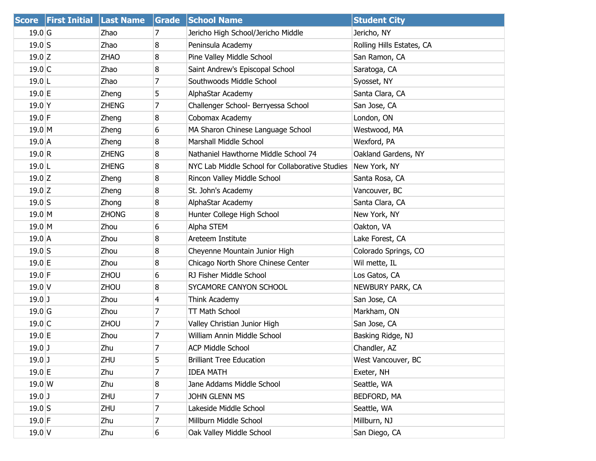| <b>Score</b>      | <b>First Initial Last Name</b> |              | Grade | <b>School Name</b>                              | <b>Student City</b>       |
|-------------------|--------------------------------|--------------|-------|-------------------------------------------------|---------------------------|
| 19.0 <sub>G</sub> |                                | Zhao         | 7     | Jericho High School/Jericho Middle              | Jericho, NY               |
| $19.0$ S          |                                | Zhao         | 8     | Peninsula Academy                               | Rolling Hills Estates, CA |
| $19.0$ Z          |                                | <b>ZHAO</b>  | 8     | Pine Valley Middle School                       | San Ramon, CA             |
| $19.0$ C          |                                | Zhao         | 8     | Saint Andrew's Episcopal School                 | Saratoga, CA              |
| $19.0$ L          |                                | Zhao         | 7     | Southwoods Middle School                        | Syosset, NY               |
| $19.0$ E          |                                | Zheng        | 5     | AlphaStar Academy                               | Santa Clara, CA           |
| $19.0$ Y          |                                | <b>ZHENG</b> | 7     | Challenger School- Berryessa School             | San Jose, CA              |
| $19.0$ F          |                                | Zheng        | 8     | Cobomax Academy                                 | London, ON                |
| $19.0$ M          |                                | Zheng        | 6     | MA Sharon Chinese Language School               | Westwood, MA              |
| $19.0$ A          |                                | Zheng        | 8     | Marshall Middle School                          | Wexford, PA               |
| 19.0 R            |                                | <b>ZHENG</b> | 8     | Nathaniel Hawthorne Middle School 74            | Oakland Gardens, NY       |
| $19.0$  L         |                                | <b>ZHENG</b> | 8     | NYC Lab Middle School for Collaborative Studies | New York, NY              |
| $19.0$ Z          |                                | Zheng        | 8     | Rincon Valley Middle School                     | Santa Rosa, CA            |
| $19.0$ Z          |                                | Zheng        | 8     | St. John's Academy                              | Vancouver, BC             |
| $19.0$ S          |                                | Zhong        | 8     | AlphaStar Academy                               | Santa Clara, CA           |
| $19.0$ M          |                                | <b>ZHONG</b> | 8     | Hunter College High School                      | New York, NY              |
| 19.0 M            |                                | Zhou         | 6     | Alpha STEM                                      | Oakton, VA                |
| $19.0$ A          |                                | Zhou         | 8     | Areteem Institute                               | Lake Forest, CA           |
| $19.0$ S          |                                | Zhou         | 8     | Cheyenne Mountain Junior High                   | Colorado Springs, CO      |
| $19.0$ E          |                                | Zhou         | 8     | Chicago North Shore Chinese Center              | Wil mette, IL             |
| $19.0$ F          |                                | <b>ZHOU</b>  | 6     | RJ Fisher Middle School                         | Los Gatos, CA             |
| $19.0$ V          |                                | ZHOU         | 8     | SYCAMORE CANYON SCHOOL                          | NEWBURY PARK, CA          |
| $19.0$ J          |                                | Zhou         | 4     | Think Academy                                   | San Jose, CA              |
| $19.0$ G          |                                | Zhou         | 7     | <b>TT Math School</b>                           | Markham, ON               |
| $19.0$ C          |                                | ZHOU         | 7     | Valley Christian Junior High                    | San Jose, CA              |
| $19.0$ E          |                                | Zhou         | 7     | William Annin Middle School                     | Basking Ridge, NJ         |
| $19.0$ J          |                                | Zhu          | 7     | <b>ACP Middle School</b>                        | Chandler, AZ              |
| $19.0$ J          |                                | ZHU          | 5     | <b>Brilliant Tree Education</b>                 | West Vancouver, BC        |
| 19.0 E            |                                | Zhu          | 7     | <b>IDEA MATH</b>                                | Exeter, NH                |
| 19.0 W            |                                | Zhu          | 8     | Jane Addams Middle School                       | Seattle, WA               |
| $19.0$ J          |                                | ZHU          | 7     | JOHN GLENN MS                                   | BEDFORD, MA               |
| $19.0$ S          |                                | ZHU          | 7     | Lakeside Middle School                          | Seattle, WA               |
| $19.0$ F          |                                | Zhu          | 7     | Millburn Middle School                          | Millburn, NJ              |
| $19.0$ V          |                                | Zhu          | 6     | Oak Valley Middle School                        | San Diego, CA             |